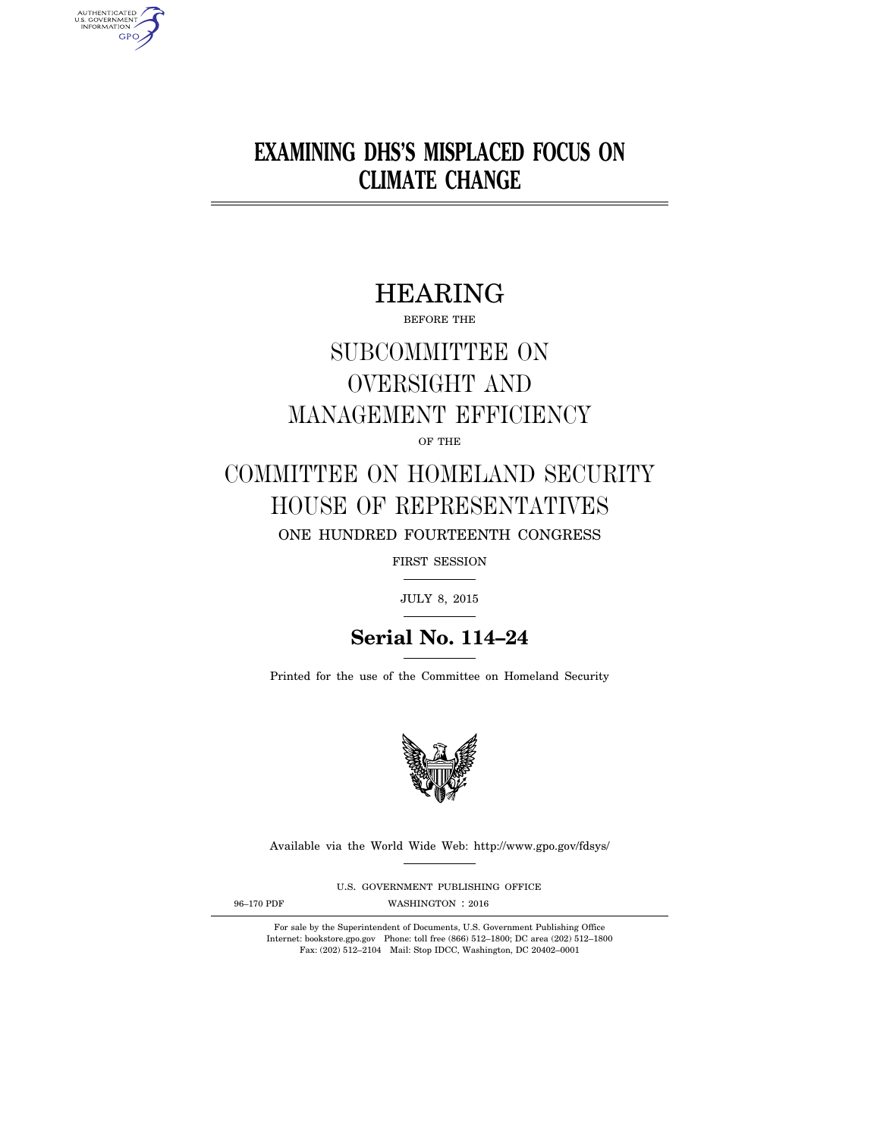# **EXAMINING DHS'S MISPLACED FOCUS ON CLIMATE CHANGE**

# HEARING

BEFORE THE

# SUBCOMMITTEE ON OVERSIGHT AND MANAGEMENT EFFICIENCY

OF THE

## COMMITTEE ON HOMELAND SECURITY HOUSE OF REPRESENTATIVES ONE HUNDRED FOURTEENTH CONGRESS

FIRST SESSION

JULY 8, 2015

## **Serial No. 114–24**

Printed for the use of the Committee on Homeland Security



Available via the World Wide Web: http://www.gpo.gov/fdsys/

U.S. GOVERNMENT PUBLISHING OFFICE

AUTHENTICATED<br>U.S. GOVERNMENT<br>INFORMATION GPO

96-170 PDF WASHINGTON : 2016

For sale by the Superintendent of Documents, U.S. Government Publishing Office Internet: bookstore.gpo.gov Phone: toll free (866) 512–1800; DC area (202) 512–1800 Fax: (202) 512–2104 Mail: Stop IDCC, Washington, DC 20402–0001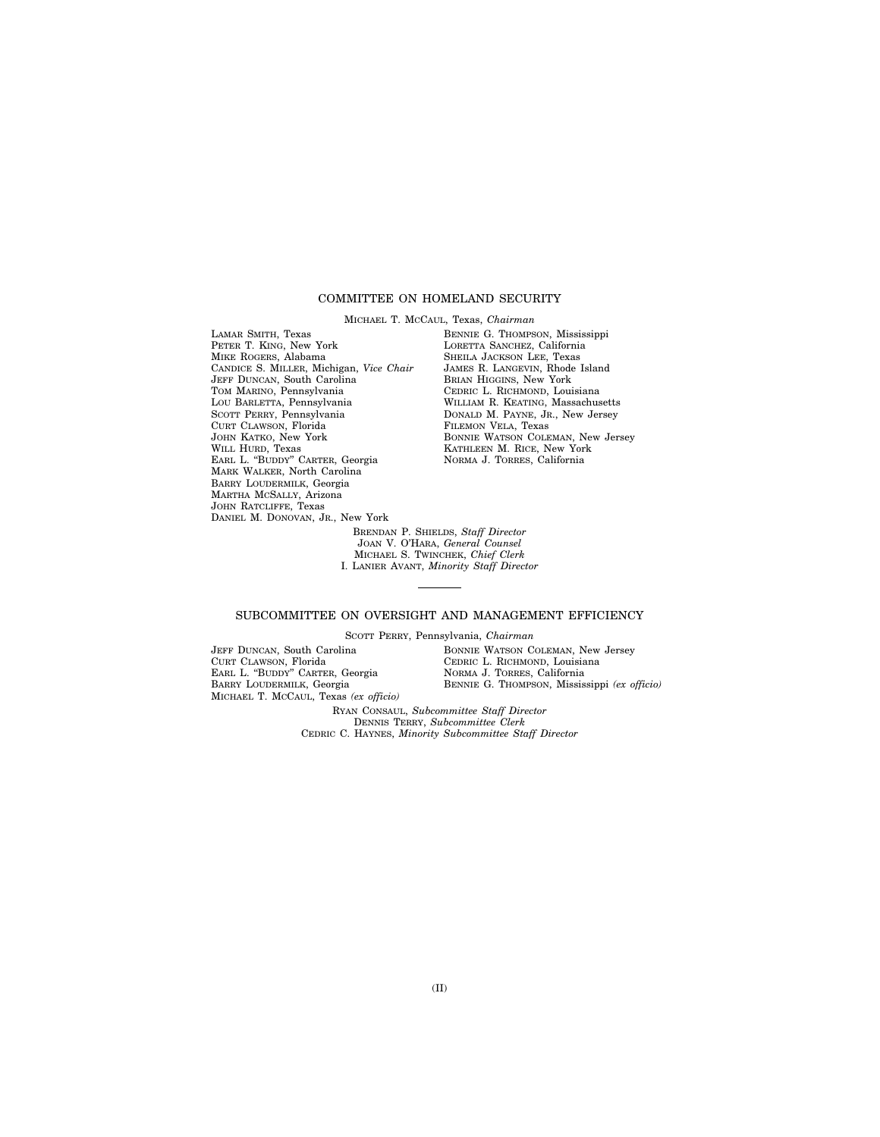## COMMITTEE ON HOMELAND SECURITY

MICHAEL T. MCCAUL, Texas, *Chairman* 

LAMAR SMITH, Texas PETER T. KING, New York MIKE ROGERS, Alabama CANDICE S. MILLER, Michigan, *Vice Chair*  JEFF DUNCAN, South Carolina TOM MARINO, Pennsylvania LOU BARLETTA, Pennsylvania SCOTT PERRY, Pennsylvania CURT CLAWSON, Florida JOHN KATKO, New York WILL HURD, Texas EARL L. ''BUDDY'' CARTER, Georgia MARK WALKER, North Carolina BARRY LOUDERMILK, Georgia MARTHA MCSALLY, Arizona JOHN RATCLIFFE, Texas DANIEL M. DONOVAN, JR., New York

BENNIE G. THOMPSON, Mississippi LORETTA SANCHEZ, California SHEILA JACKSON LEE, Texas JAMES R. LANGEVIN, Rhode Island BRIAN HIGGINS, New York CEDRIC L. RICHMOND, Louisiana WILLIAM R. KEATING, Massachusetts DONALD M. PAYNE, JR., New Jersey FILEMON VELA, Texas BONNIE WATSON COLEMAN, New Jersey KATHLEEN M. RICE, New York NORMA J. TORRES, California

BRENDAN P. SHIELDS, *Staff Director*  JOAN V. O'HARA, *General Counsel*  MICHAEL S. TWINCHEK, *Chief Clerk*  I. LANIER AVANT, *Minority Staff Director* 

### SUBCOMMITTEE ON OVERSIGHT AND MANAGEMENT EFFICIENCY

SCOTT PERRY, Pennsylvania, *Chairman* 

JEFF DUNCAN, South Carolina CURT CLAWSON, Florida EARL L. ''BUDDY'' CARTER, Georgia BARRY LOUDERMILK, Georgia MICHAEL T. MCCAUL, Texas *(ex officio)*  BONNIE WATSON COLEMAN, New Jersey CEDRIC L. RICHMOND, Louisiana NORMA J. TORRES, California BENNIE G. THOMPSON, Mississippi *(ex officio)* 

RYAN CONSAUL, *Subcommittee Staff Director*  DENNIS TERRY, *Subcommittee Clerk*  CEDRIC C. HAYNES, *Minority Subcommittee Staff Director*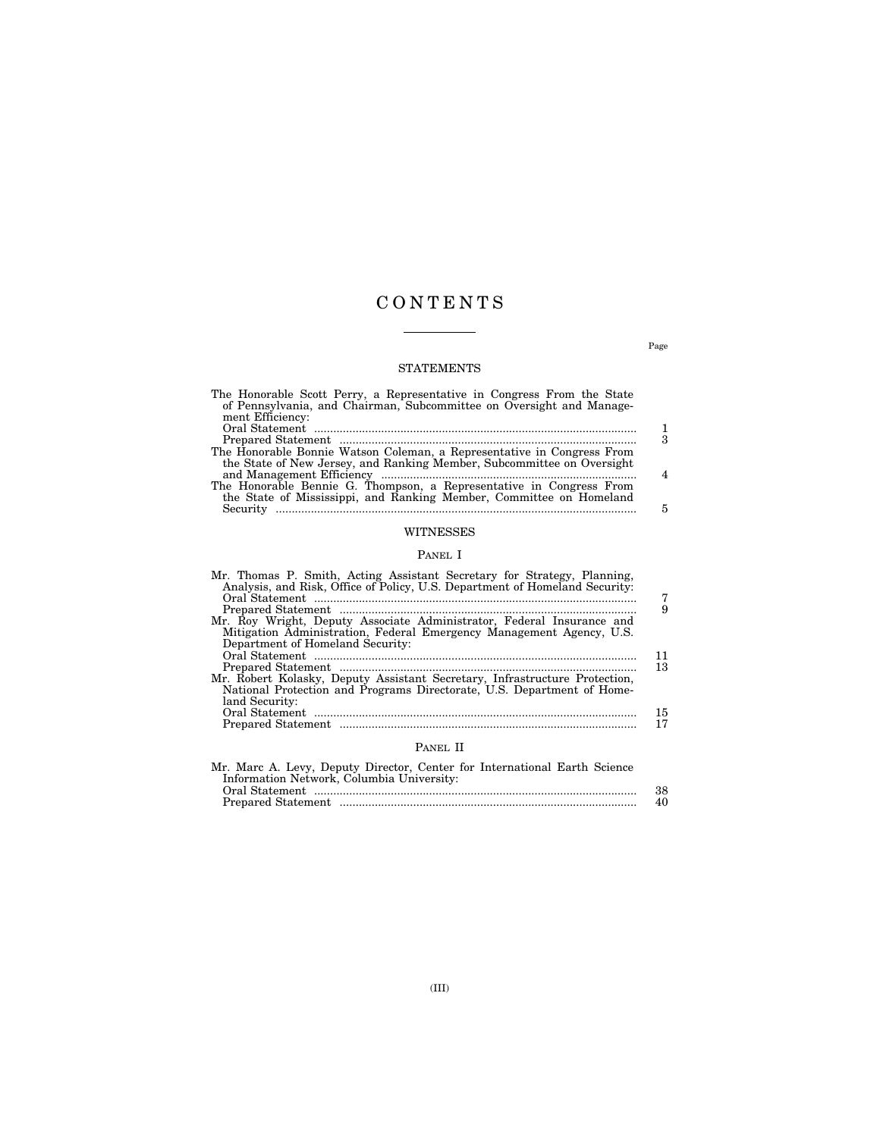## C O N T E N T S

 $\overline{\phantom{a}}$ 

## STATEMENTS

| The Honorable Scott Perry, a Representative in Congress From the State<br>of Pennsylvania, and Chairman, Subcommittee on Oversight and Manage-<br>ment Efficiency: |   |
|--------------------------------------------------------------------------------------------------------------------------------------------------------------------|---|
|                                                                                                                                                                    |   |
|                                                                                                                                                                    | 3 |
| The Honorable Bonnie Watson Coleman, a Representative in Congress From                                                                                             |   |
| the State of New Jersey, and Ranking Member, Subcommittee on Oversight                                                                                             |   |
|                                                                                                                                                                    | 4 |
| The Honorable Bennie G. Thompson, a Representative in Congress From                                                                                                |   |
| the State of Mississippi, and Ranking Member, Committee on Homeland                                                                                                |   |
|                                                                                                                                                                    | 5 |
| WITNESSES                                                                                                                                                          |   |

## PANEL I

| Mr. Thomas P. Smith, Acting Assistant Secretary for Strategy, Planning,<br>Analysis, and Risk, Office of Policy, U.S. Department of Homeland Security: | 7  |
|--------------------------------------------------------------------------------------------------------------------------------------------------------|----|
|                                                                                                                                                        | 9  |
| Mr. Roy Wright, Deputy Associate Administrator, Federal Insurance and<br>Mitigation Administration, Federal Emergency Management Agency, U.S.          |    |
| Department of Homeland Security:                                                                                                                       |    |
|                                                                                                                                                        | 11 |
|                                                                                                                                                        | 13 |
| Mr. Robert Kolasky, Deputy Assistant Secretary, Infrastructure Protection,                                                                             |    |
| National Protection and Programs Directorate, U.S. Department of Home-                                                                                 |    |
| land Security:                                                                                                                                         |    |
|                                                                                                                                                        | 15 |
|                                                                                                                                                        | 17 |
| PANEL II                                                                                                                                               |    |

| Mr. Marc A. Levy, Deputy Director, Center for International Earth Science |     |
|---------------------------------------------------------------------------|-----|
| Information Network, Columbia University:                                 |     |
|                                                                           | 38. |
|                                                                           | 40  |
|                                                                           |     |

Page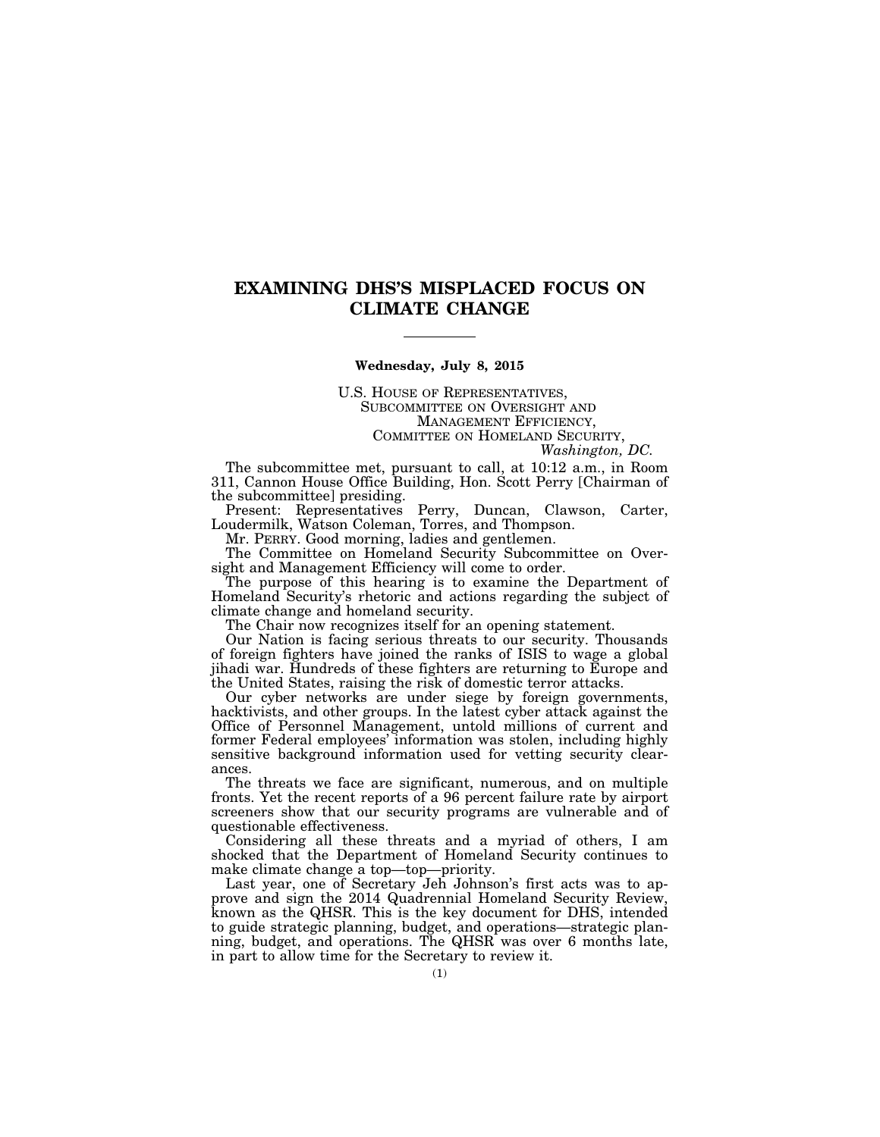## **EXAMINING DHS'S MISPLACED FOCUS ON CLIMATE CHANGE**

#### **Wednesday, July 8, 2015**

U.S. HOUSE OF REPRESENTATIVES, SUBCOMMITTEE ON OVERSIGHT AND MANAGEMENT EFFICIENCY, COMMITTEE ON HOMELAND SECURITY,

*Washington, DC.* 

The subcommittee met, pursuant to call, at 10:12 a.m., in Room 311, Cannon House Office Building, Hon. Scott Perry [Chairman of the subcommittee] presiding.

Present: Representatives Perry, Duncan, Clawson, Carter, Loudermilk, Watson Coleman, Torres, and Thompson.

Mr. PERRY. Good morning, ladies and gentlemen.

The Committee on Homeland Security Subcommittee on Oversight and Management Efficiency will come to order.

The purpose of this hearing is to examine the Department of Homeland Security's rhetoric and actions regarding the subject of climate change and homeland security.

The Chair now recognizes itself for an opening statement.

Our Nation is facing serious threats to our security. Thousands of foreign fighters have joined the ranks of ISIS to wage a global jihadi war. Hundreds of these fighters are returning to Europe and the United States, raising the risk of domestic terror attacks.

Our cyber networks are under siege by foreign governments, hacktivists, and other groups. In the latest cyber attack against the Office of Personnel Management, untold millions of current and former Federal employees' information was stolen, including highly sensitive background information used for vetting security clearances.

The threats we face are significant, numerous, and on multiple fronts. Yet the recent reports of a 96 percent failure rate by airport screeners show that our security programs are vulnerable and of questionable effectiveness.

Considering all these threats and a myriad of others, I am shocked that the Department of Homeland Security continues to make climate change a top—top—priority.

Last year, one of Secretary Jeh Johnson's first acts was to approve and sign the 2014 Quadrennial Homeland Security Review, known as the QHSR. This is the key document for DHS, intended to guide strategic planning, budget, and operations—strategic planning, budget, and operations. The QHSR was over 6 months late, in part to allow time for the Secretary to review it.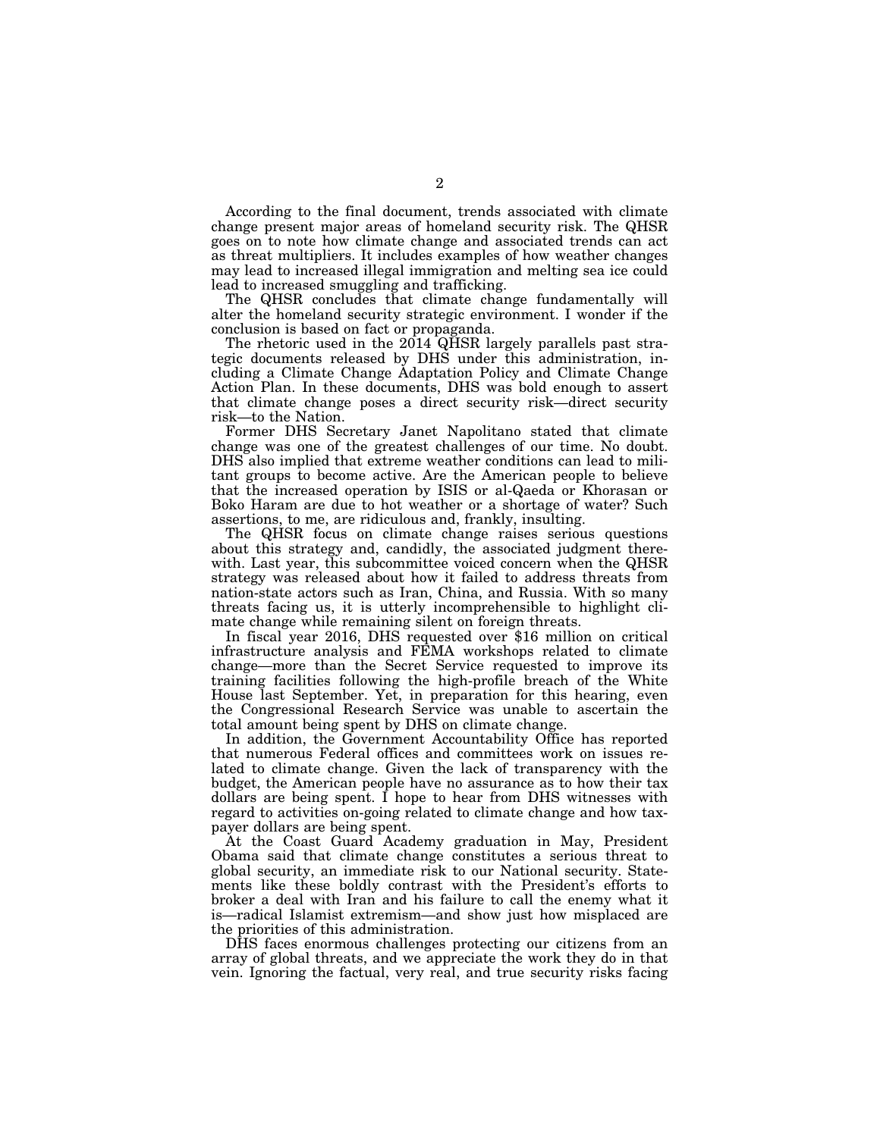According to the final document, trends associated with climate change present major areas of homeland security risk. The QHSR goes on to note how climate change and associated trends can act as threat multipliers. It includes examples of how weather changes may lead to increased illegal immigration and melting sea ice could lead to increased smuggling and trafficking.

The QHSR concludes that climate change fundamentally will alter the homeland security strategic environment. I wonder if the conclusion is based on fact or propaganda.

The rhetoric used in the 2014 QHSR largely parallels past strategic documents released by DHS under this administration, including a Climate Change Adaptation Policy and Climate Change Action Plan. In these documents, DHS was bold enough to assert that climate change poses a direct security risk—direct security risk—to the Nation.

Former DHS Secretary Janet Napolitano stated that climate change was one of the greatest challenges of our time. No doubt. DHS also implied that extreme weather conditions can lead to militant groups to become active. Are the American people to believe that the increased operation by ISIS or al-Qaeda or Khorasan or Boko Haram are due to hot weather or a shortage of water? Such assertions, to me, are ridiculous and, frankly, insulting.

The QHSR focus on climate change raises serious questions about this strategy and, candidly, the associated judgment therewith. Last year, this subcommittee voiced concern when the QHSR strategy was released about how it failed to address threats from nation-state actors such as Iran, China, and Russia. With so many threats facing us, it is utterly incomprehensible to highlight climate change while remaining silent on foreign threats.

In fiscal year 2016, DHS requested over \$16 million on critical infrastructure analysis and FEMA workshops related to climate change—more than the Secret Service requested to improve its training facilities following the high-profile breach of the White House last September. Yet, in preparation for this hearing, even the Congressional Research Service was unable to ascertain the total amount being spent by DHS on climate change.

In addition, the Government Accountability Office has reported that numerous Federal offices and committees work on issues related to climate change. Given the lack of transparency with the budget, the American people have no assurance as to how their tax dollars are being spent. I hope to hear from DHS witnesses with regard to activities on-going related to climate change and how taxpayer dollars are being spent.

At the Coast Guard Academy graduation in May, President Obama said that climate change constitutes a serious threat to global security, an immediate risk to our National security. Statements like these boldly contrast with the President's efforts to broker a deal with Iran and his failure to call the enemy what it is—radical Islamist extremism—and show just how misplaced are the priorities of this administration.

DHS faces enormous challenges protecting our citizens from an array of global threats, and we appreciate the work they do in that vein. Ignoring the factual, very real, and true security risks facing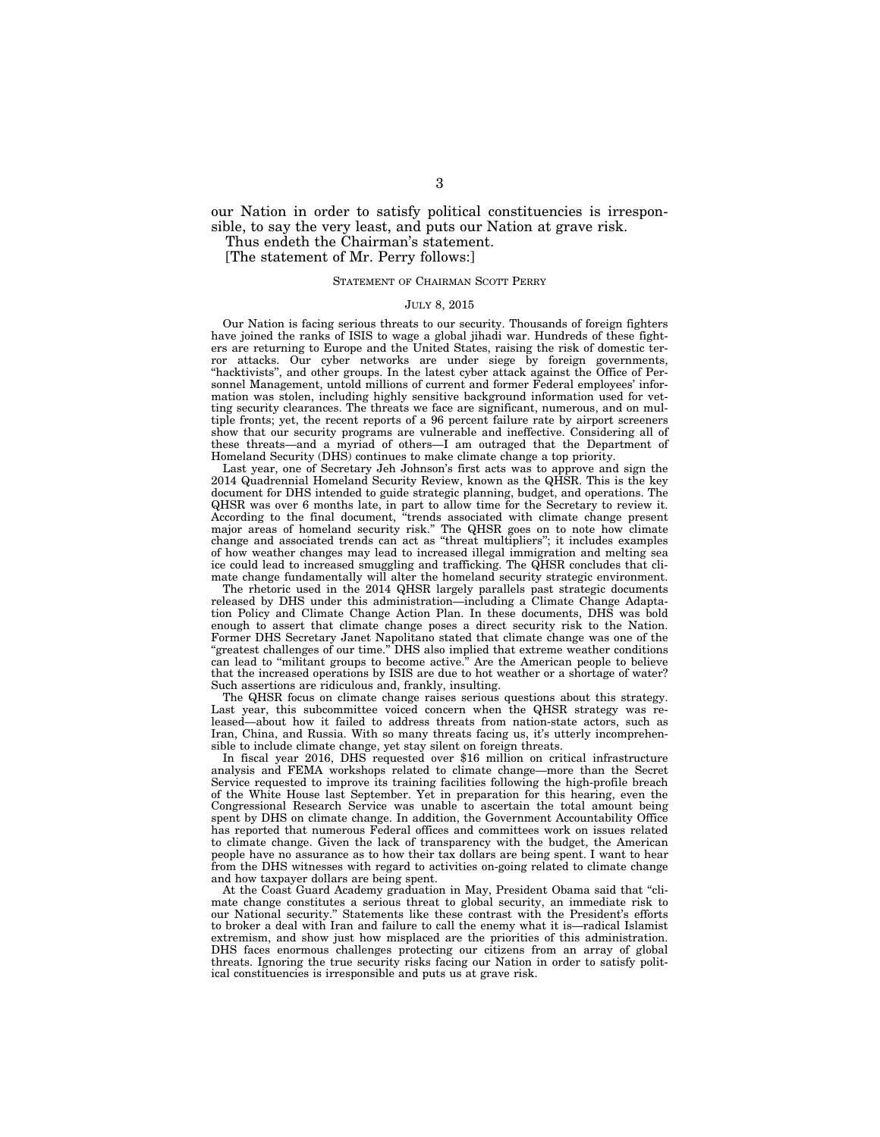our Nation in order to satisfy political constituencies is irresponsible, to say the very least, and puts our Nation at grave risk.

Thus endeth the Chairman's statement.

[The statement of Mr. Perry follows:]

### STATEMENT OF CHAIRMAN SCOTT PERRY

#### JULY 8, 2015

Our Nation is facing serious threats to our security. Thousands of foreign fighters have joined the ranks of ISIS to wage a global jihadi war. Hundreds of these fighters are returning to Europe and the United States, raising the risk of domestic terror attacks. Our cyber networks are under siege by foreign governments, "hacktivists", and other groups. In the latest cyber attack against the Office of Personnel Management, untold millions of current and former Federal employees' information was stolen, including highly sensitive background information used for vetting security clearances. The threats we face are significant, numerous, and on multiple fronts; yet, the recent reports of a 96 percent failure rate by airport screeners show that our security programs are vulnerable and ineffective. Considering all of these threats—and a myriad of others—I am outraged that the Department of Homeland Security (DHS) continues to make climate change a top priority.

Last year, one of Secretary Jeh Johnson's first acts was to approve and sign the 2014 Quadrennial Homeland Security Review, known as the QHSR. This is the key document for DHS intended to guide strategic planning, budget, and operations. The QHSR was over 6 months late, in part to allow time for the Secretary to review it. According to the final document, ''trends associated with climate change present major areas of homeland security risk.'' The QHSR goes on to note how climate change and associated trends can act as ''threat multipliers''; it includes examples of how weather changes may lead to increased illegal immigration and melting sea ice could lead to increased smuggling and trafficking. The QHSR concludes that climate change fundamentally will alter the homeland security strategic environment.

The rhetoric used in the 2014 QHSR largely parallels past strategic documents released by DHS under this administration—including a Climate Change Adaptation Policy and Climate Change Action Plan. In these documents, DHS was bold enough to assert that climate change poses a direct security risk to the Nation. Former DHS Secretary Janet Napolitano stated that climate change was one of the ''greatest challenges of our time.'' DHS also implied that extreme weather conditions can lead to ''militant groups to become active.'' Are the American people to believe that the increased operations by ISIS are due to hot weather or a shortage of water? Such assertions are ridiculous and, frankly, insulting.

The QHSR focus on climate change raises serious questions about this strategy. Last year, this subcommittee voiced concern when the QHSR strategy was released—about how it failed to address threats from nation-state actors, such as Iran, China, and Russia. With so many threats facing us, it's utterly incomprehensible to include climate change, yet stay silent on foreign threats.

In fiscal year 2016, DHS requested over \$16 million on critical infrastructure analysis and FEMA workshops related to climate change—more than the Secret Service requested to improve its training facilities following the high-profile breach of the White House last September. Yet in preparation for this hearing, even the Congressional Research Service was unable to ascertain the total amount being spent by DHS on climate change. In addition, the Government Accountability Office has reported that numerous Federal offices and committees work on issues related to climate change. Given the lack of transparency with the budget, the American people have no assurance as to how their tax dollars are being spent. I want to hear from the DHS witnesses with regard to activities on-going related to climate change and how taxpayer dollars are being spent.

At the Coast Guard Academy graduation in May, President Obama said that ''climate change constitutes a serious threat to global security, an immediate risk to our National security.'' Statements like these contrast with the President's efforts to broker a deal with Iran and failure to call the enemy what it is—radical Islamist extremism, and show just how misplaced are the priorities of this administration. DHS faces enormous challenges protecting our citizens from an array of global threats. Ignoring the true security risks facing our Nation in order to satisfy political constituencies is irresponsible and puts us at grave risk.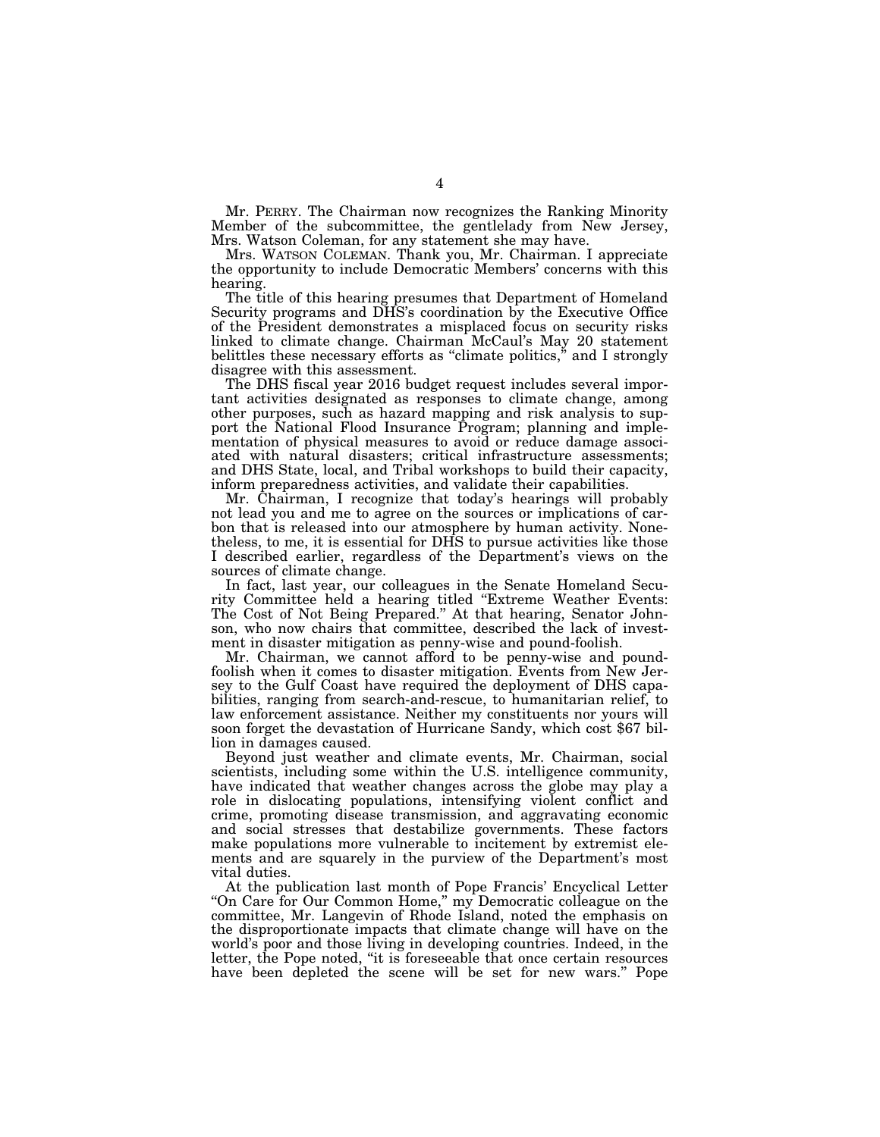Mr. PERRY. The Chairman now recognizes the Ranking Minority Member of the subcommittee, the gentlelady from New Jersey, Mrs. Watson Coleman, for any statement she may have.

Mrs. WATSON COLEMAN. Thank you, Mr. Chairman. I appreciate the opportunity to include Democratic Members' concerns with this hearing.

The title of this hearing presumes that Department of Homeland Security programs and DHS's coordination by the Executive Office of the President demonstrates a misplaced focus on security risks linked to climate change. Chairman McCaul's May 20 statement belittles these necessary efforts as "climate politics," and I strongly disagree with this assessment.

The DHS fiscal year 2016 budget request includes several important activities designated as responses to climate change, among other purposes, such as hazard mapping and risk analysis to support the National Flood Insurance Program; planning and implementation of physical measures to avoid or reduce damage associated with natural disasters; critical infrastructure assessments; and DHS State, local, and Tribal workshops to build their capacity, inform preparedness activities, and validate their capabilities.

Mr. Chairman, I recognize that today's hearings will probably not lead you and me to agree on the sources or implications of carbon that is released into our atmosphere by human activity. Nonetheless, to me, it is essential for DHS to pursue activities like those I described earlier, regardless of the Department's views on the sources of climate change.

In fact, last year, our colleagues in the Senate Homeland Security Committee held a hearing titled ''Extreme Weather Events: The Cost of Not Being Prepared.'' At that hearing, Senator Johnson, who now chairs that committee, described the lack of investment in disaster mitigation as penny-wise and pound-foolish.

Mr. Chairman, we cannot afford to be penny-wise and poundfoolish when it comes to disaster mitigation. Events from New Jersey to the Gulf Coast have required the deployment of DHS capabilities, ranging from search-and-rescue, to humanitarian relief, to law enforcement assistance. Neither my constituents nor yours will soon forget the devastation of Hurricane Sandy, which cost \$67 billion in damages caused.

Beyond just weather and climate events, Mr. Chairman, social scientists, including some within the U.S. intelligence community, have indicated that weather changes across the globe may play a role in dislocating populations, intensifying violent conflict and crime, promoting disease transmission, and aggravating economic and social stresses that destabilize governments. These factors make populations more vulnerable to incitement by extremist elements and are squarely in the purview of the Department's most vital duties.

At the publication last month of Pope Francis' Encyclical Letter "On Care for Our Common Home," my Democratic colleague on the committee, Mr. Langevin of Rhode Island, noted the emphasis on the disproportionate impacts that climate change will have on the world's poor and those living in developing countries. Indeed, in the letter, the Pope noted, ''it is foreseeable that once certain resources have been depleted the scene will be set for new wars.'' Pope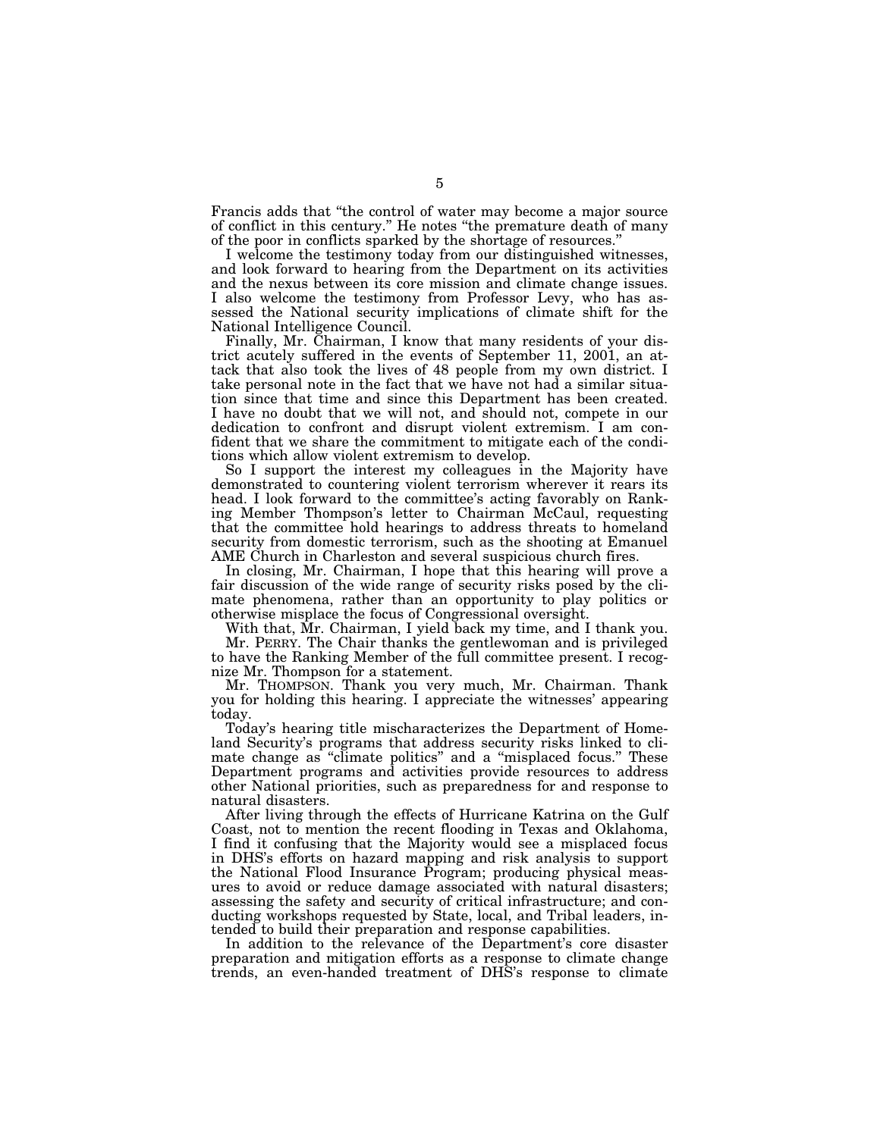Francis adds that ''the control of water may become a major source of conflict in this century.'' He notes ''the premature death of many of the poor in conflicts sparked by the shortage of resources.''

I welcome the testimony today from our distinguished witnesses, and look forward to hearing from the Department on its activities and the nexus between its core mission and climate change issues. I also welcome the testimony from Professor Levy, who has assessed the National security implications of climate shift for the National Intelligence Council.

Finally, Mr. Chairman, I know that many residents of your district acutely suffered in the events of September 11, 2001, an attack that also took the lives of 48 people from my own district. I take personal note in the fact that we have not had a similar situation since that time and since this Department has been created. I have no doubt that we will not, and should not, compete in our dedication to confront and disrupt violent extremism. I am confident that we share the commitment to mitigate each of the conditions which allow violent extremism to develop.

So I support the interest my colleagues in the Majority have demonstrated to countering violent terrorism wherever it rears its head. I look forward to the committee's acting favorably on Ranking Member Thompson's letter to Chairman McCaul, requesting that the committee hold hearings to address threats to homeland security from domestic terrorism, such as the shooting at Emanuel AME Church in Charleston and several suspicious church fires.

In closing, Mr. Chairman, I hope that this hearing will prove a fair discussion of the wide range of security risks posed by the climate phenomena, rather than an opportunity to play politics or otherwise misplace the focus of Congressional oversight.

With that, Mr. Chairman, I yield back my time, and I thank you. Mr. PERRY. The Chair thanks the gentlewoman and is privileged to have the Ranking Member of the full committee present. I recognize Mr. Thompson for a statement.

Mr. THOMPSON. Thank you very much, Mr. Chairman. Thank you for holding this hearing. I appreciate the witnesses' appearing today.

Today's hearing title mischaracterizes the Department of Homeland Security's programs that address security risks linked to climate change as ''climate politics'' and a ''misplaced focus.'' These Department programs and activities provide resources to address other National priorities, such as preparedness for and response to natural disasters.

After living through the effects of Hurricane Katrina on the Gulf Coast, not to mention the recent flooding in Texas and Oklahoma, I find it confusing that the Majority would see a misplaced focus in DHS's efforts on hazard mapping and risk analysis to support the National Flood Insurance Program; producing physical measures to avoid or reduce damage associated with natural disasters; assessing the safety and security of critical infrastructure; and conducting workshops requested by State, local, and Tribal leaders, intended to build their preparation and response capabilities.

In addition to the relevance of the Department's core disaster preparation and mitigation efforts as a response to climate change trends, an even-handed treatment of DHS's response to climate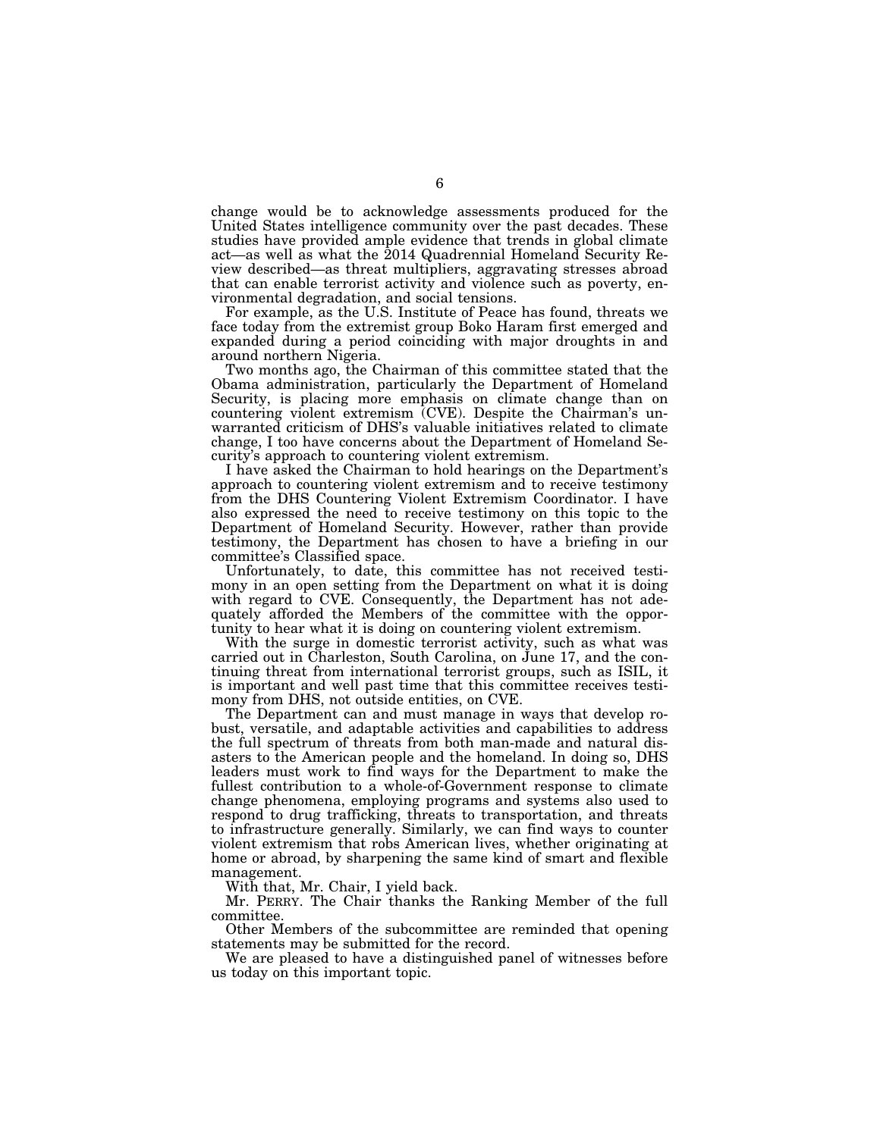change would be to acknowledge assessments produced for the United States intelligence community over the past decades. These studies have provided ample evidence that trends in global climate act—as well as what the 2014 Quadrennial Homeland Security Review described—as threat multipliers, aggravating stresses abroad that can enable terrorist activity and violence such as poverty, environmental degradation, and social tensions.

For example, as the U.S. Institute of Peace has found, threats we face today from the extremist group Boko Haram first emerged and expanded during a period coinciding with major droughts in and around northern Nigeria.

Two months ago, the Chairman of this committee stated that the Obama administration, particularly the Department of Homeland Security, is placing more emphasis on climate change than on countering violent extremism (CVE). Despite the Chairman's unwarranted criticism of DHS's valuable initiatives related to climate change, I too have concerns about the Department of Homeland Security's approach to countering violent extremism.

I have asked the Chairman to hold hearings on the Department's approach to countering violent extremism and to receive testimony from the DHS Countering Violent Extremism Coordinator. I have also expressed the need to receive testimony on this topic to the Department of Homeland Security. However, rather than provide testimony, the Department has chosen to have a briefing in our committee's Classified space.

Unfortunately, to date, this committee has not received testimony in an open setting from the Department on what it is doing with regard to CVE. Consequently, the Department has not adequately afforded the Members of the committee with the opportunity to hear what it is doing on countering violent extremism.

With the surge in domestic terrorist activity, such as what was carried out in Charleston, South Carolina, on June 17, and the continuing threat from international terrorist groups, such as ISIL, it is important and well past time that this committee receives testimony from DHS, not outside entities, on CVE.

The Department can and must manage in ways that develop robust, versatile, and adaptable activities and capabilities to address the full spectrum of threats from both man-made and natural disasters to the American people and the homeland. In doing so, DHS leaders must work to find ways for the Department to make the fullest contribution to a whole-of-Government response to climate change phenomena, employing programs and systems also used to respond to drug trafficking, threats to transportation, and threats to infrastructure generally. Similarly, we can find ways to counter violent extremism that robs American lives, whether originating at home or abroad, by sharpening the same kind of smart and flexible management.

With that, Mr. Chair, I yield back.

Mr. PERRY. The Chair thanks the Ranking Member of the full committee.

Other Members of the subcommittee are reminded that opening statements may be submitted for the record.

We are pleased to have a distinguished panel of witnesses before us today on this important topic.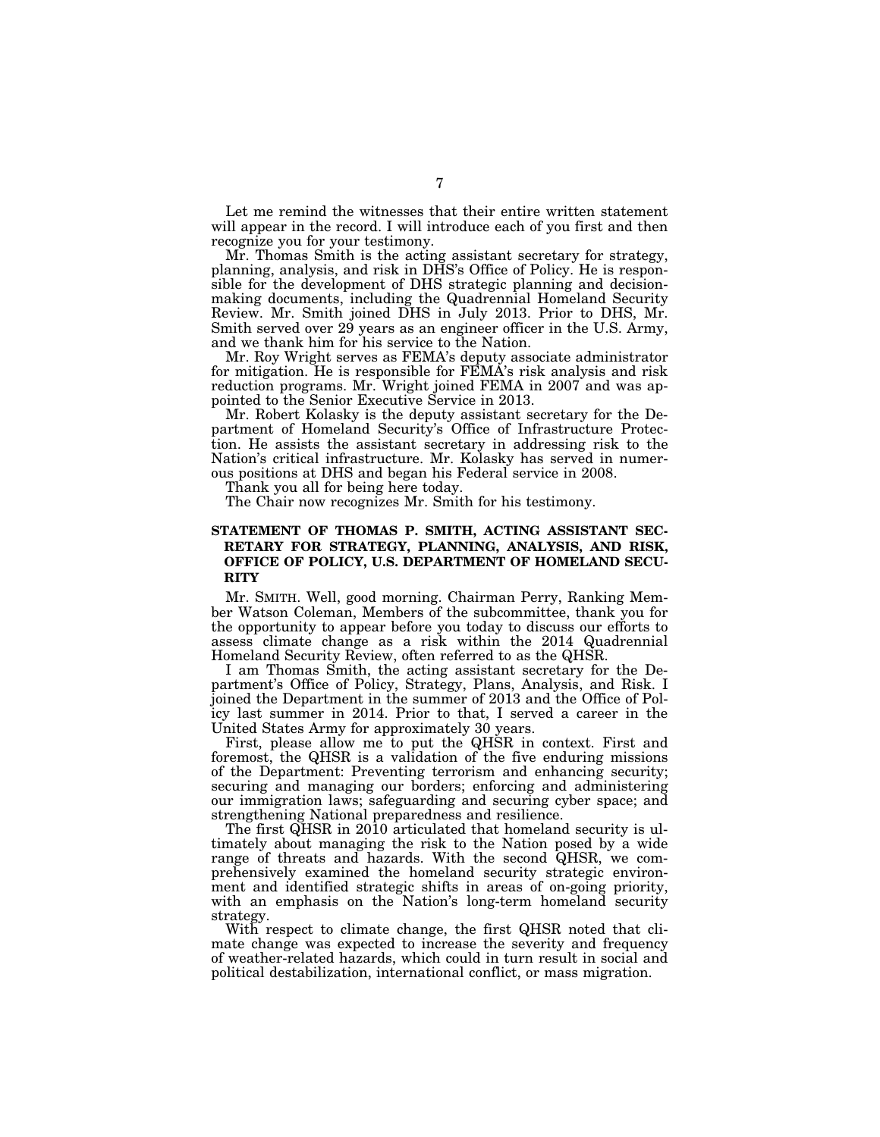Let me remind the witnesses that their entire written statement will appear in the record. I will introduce each of you first and then recognize you for your testimony.

Mr. Thomas Smith is the acting assistant secretary for strategy, planning, analysis, and risk in DHS's Office of Policy. He is responsible for the development of DHS strategic planning and decisionmaking documents, including the Quadrennial Homeland Security Review. Mr. Smith joined DHS in July 2013. Prior to DHS, Mr. Smith served over 29 years as an engineer officer in the U.S. Army, and we thank him for his service to the Nation.

Mr. Roy Wright serves as FEMA's deputy associate administrator for mitigation. He is responsible for FEMA's risk analysis and risk reduction programs. Mr. Wright joined FEMA in 2007 and was appointed to the Senior Executive Service in 2013.

Mr. Robert Kolasky is the deputy assistant secretary for the Department of Homeland Security's Office of Infrastructure Protection. He assists the assistant secretary in addressing risk to the Nation's critical infrastructure. Mr. Kolasky has served in numerous positions at DHS and began his Federal service in 2008.

Thank you all for being here today.

The Chair now recognizes Mr. Smith for his testimony.

## **STATEMENT OF THOMAS P. SMITH, ACTING ASSISTANT SEC-RETARY FOR STRATEGY, PLANNING, ANALYSIS, AND RISK, OFFICE OF POLICY, U.S. DEPARTMENT OF HOMELAND SECU-RITY**

Mr. SMITH. Well, good morning. Chairman Perry, Ranking Member Watson Coleman, Members of the subcommittee, thank you for the opportunity to appear before you today to discuss our efforts to assess climate change as a risk within the 2014 Quadrennial Homeland Security Review, often referred to as the QHSR.

I am Thomas Smith, the acting assistant secretary for the Department's Office of Policy, Strategy, Plans, Analysis, and Risk. I joined the Department in the summer of 2013 and the Office of Policy last summer in 2014. Prior to that, I served a career in the United States Army for approximately 30 years.

First, please allow me to put the QHSR in context. First and foremost, the QHSR is a validation of the five enduring missions of the Department: Preventing terrorism and enhancing security; securing and managing our borders; enforcing and administering our immigration laws; safeguarding and securing cyber space; and strengthening National preparedness and resilience.

The first QHSR in 2010 articulated that homeland security is ultimately about managing the risk to the Nation posed by a wide range of threats and hazards. With the second QHSR, we comprehensively examined the homeland security strategic environment and identified strategic shifts in areas of on-going priority, with an emphasis on the Nation's long-term homeland security strategy.

With respect to climate change, the first QHSR noted that climate change was expected to increase the severity and frequency of weather-related hazards, which could in turn result in social and political destabilization, international conflict, or mass migration.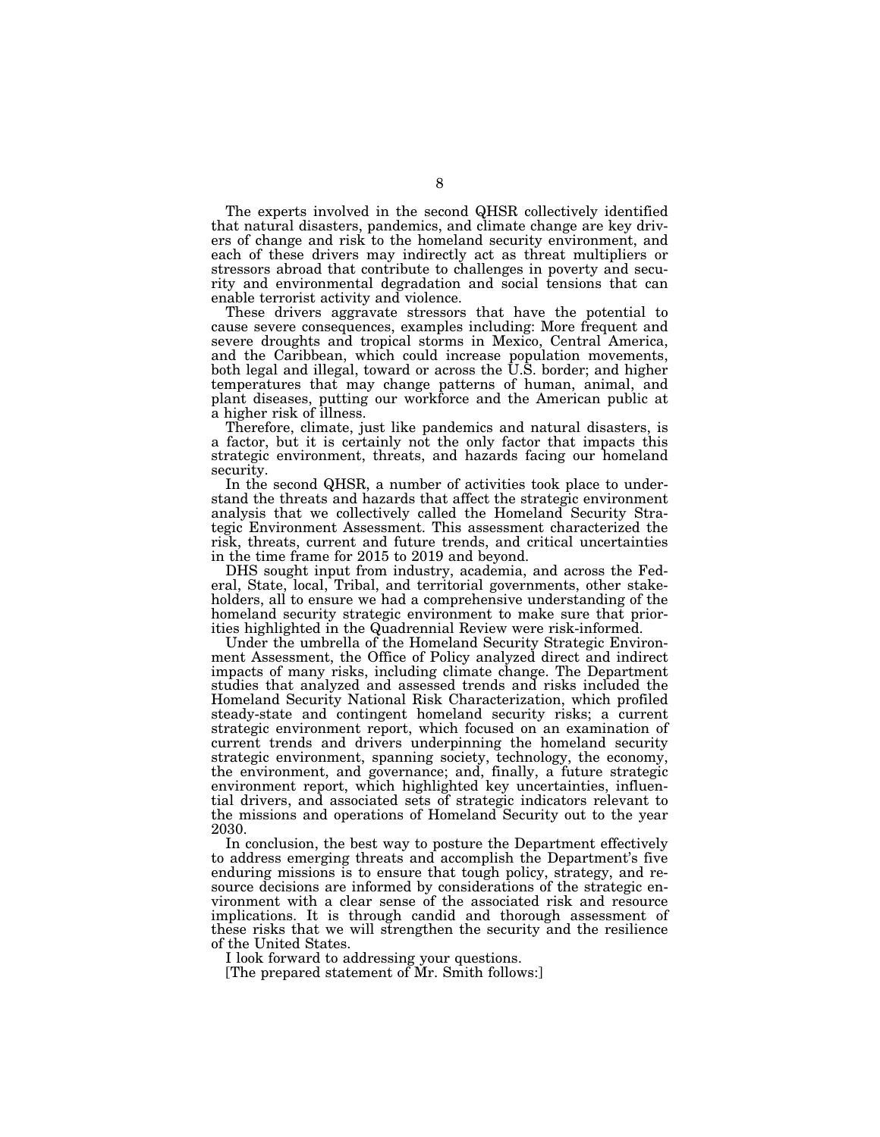The experts involved in the second QHSR collectively identified that natural disasters, pandemics, and climate change are key drivers of change and risk to the homeland security environment, and each of these drivers may indirectly act as threat multipliers or stressors abroad that contribute to challenges in poverty and security and environmental degradation and social tensions that can enable terrorist activity and violence.

These drivers aggravate stressors that have the potential to cause severe consequences, examples including: More frequent and severe droughts and tropical storms in Mexico, Central America, and the Caribbean, which could increase population movements, both legal and illegal, toward or across the U.S. border; and higher temperatures that may change patterns of human, animal, and plant diseases, putting our workforce and the American public at a higher risk of illness.

Therefore, climate, just like pandemics and natural disasters, is a factor, but it is certainly not the only factor that impacts this strategic environment, threats, and hazards facing our homeland security.

In the second QHSR, a number of activities took place to understand the threats and hazards that affect the strategic environment analysis that we collectively called the Homeland Security Strategic Environment Assessment. This assessment characterized the risk, threats, current and future trends, and critical uncertainties in the time frame for 2015 to 2019 and beyond.

DHS sought input from industry, academia, and across the Federal, State, local, Tribal, and territorial governments, other stakeholders, all to ensure we had a comprehensive understanding of the homeland security strategic environment to make sure that priorities highlighted in the Quadrennial Review were risk-informed.

Under the umbrella of the Homeland Security Strategic Environment Assessment, the Office of Policy analyzed direct and indirect impacts of many risks, including climate change. The Department studies that analyzed and assessed trends and risks included the Homeland Security National Risk Characterization, which profiled steady-state and contingent homeland security risks; a current strategic environment report, which focused on an examination of current trends and drivers underpinning the homeland security strategic environment, spanning society, technology, the economy, the environment, and governance; and, finally, a future strategic environment report, which highlighted key uncertainties, influential drivers, and associated sets of strategic indicators relevant to the missions and operations of Homeland Security out to the year 2030.

In conclusion, the best way to posture the Department effectively to address emerging threats and accomplish the Department's five enduring missions is to ensure that tough policy, strategy, and resource decisions are informed by considerations of the strategic environment with a clear sense of the associated risk and resource implications. It is through candid and thorough assessment of these risks that we will strengthen the security and the resilience of the United States.

I look forward to addressing your questions.

[The prepared statement of Mr. Smith follows:]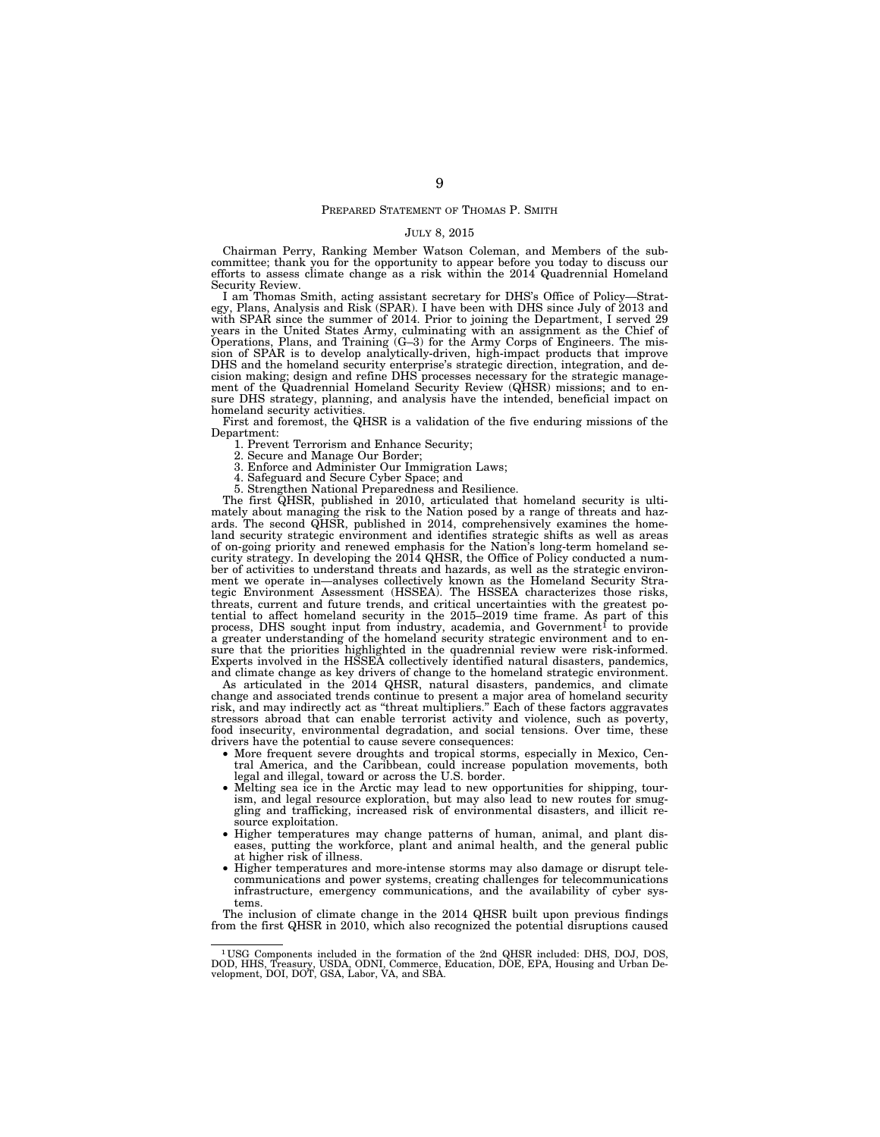#### PREPARED STATEMENT OF THOMAS P. SMITH

#### JULY 8, 2015

Chairman Perry, Ranking Member Watson Coleman, and Members of the subcommittee; thank you for the opportunity to appear before you today to discuss our efforts to assess climate change as a risk within the 2014 Quadrennial Homeland Security Review.

I am Thomas Smith, acting assistant secretary for DHS's Office of Policy—Strategy, Plans, Analysis and Risk (SPAR). I have been with DHS since July of 2013 and with SPAR since the summer of 2014. Prior to joining the Department, I served 29 years in the United States Army, culminating with an assignment as the Chief of Operations, Plans, and Training (G–3) for the Army Corps of Engineers. The mission of SPAR is to develop analytically-driven, high-impact prod cision making; design and refine DHS processes necessary for the strategic manage-ment of the Quadrennial Homeland Security Review (QHSR) missions; and to ensure DHS strategy, planning, and analysis have the intended, beneficial impact on homeland security activities.

First and foremost, the QHSR is a validation of the five enduring missions of the Department:

1. Prevent Terrorism and Enhance Security;

Secure and Manage Our Border;

3. Enforce and Administer Our Immigration Laws;

4. Safeguard and Secure Cyber Space; and

5. Strengthen National Preparedness and Resilience.

The first QHSR, published in 2010, articulated that homeland security is ulti-mately about managing the risk to the Nation posed by a range of threats and hazards. The second QHSR, published in 2014, comprehensively examines the homeland security strategic environment and identifies strategic shifts as well as areas of on-going priority and renewed emphasis for the Nation's long-term homeland security strategy. In developing the 2014 QHSR, the Office of Policy conducted a number of activities to understand threats and hazards, as well as the strategic environment we operate in—analyses collectively known as the Homeland Security Strategic Environment Assessment (HSSEA). The HSSEA characterizes those risks, threats, current and future trends, and critical uncertainties with the greatest potential to affect homeland security in the  $2015-2019$  time frame. As part of this process, DHS sought input from industry, academia, and Government<sup>1</sup> to provide a greater understanding of the homeland security strategic environment and to ensure that the priorities highlighted in the quadrennial review were risk-informed. Experts involved in the HSSEA collectively identified natural disasters, pandemics, and climate change as key drivers of change to the homeland strategic environment.

As articulated in the 2014 QHSR, natural disasters, pandemics, and climate change and associated trends continue to present a major area of homeland security risk, and may indirectly act as ''threat multipliers.'' Each of these factors aggravates stressors abroad that can enable terrorist activity and violence, such as poverty, food insecurity, environmental degradation, and social tensions. Over time, these drivers have the potential to cause severe consequences:

- More frequent severe droughts and tropical storms, especially in Mexico, Central America, and the Caribbean, could increase population movements, both legal and illegal, toward or across the U.S. border.
- Melting sea ice in the Arctic may lead to new opportunities for shipping, tourism, and legal resource exploration, but may also lead to new routes for smuggling and trafficking, increased risk of environmental disasters, and illicit resource exploitation.
- Higher temperatures may change patterns of human, animal, and plant diseases, putting the workforce, plant and animal health, and the general public at higher risk of illness.
- Higher temperatures and more-intense storms may also damage or disrupt telecommunications and power systems, creating challenges for telecommunications infrastructure, emergency communications, and the availability of cyber systems.

The inclusion of climate change in the 2014 QHSR built upon previous findings from the first QHSR in 2010, which also recognized the potential disruptions caused

<sup>&</sup>lt;sup>1</sup>USG Components included in the formation of the 2nd QHSR included: DHS, DOJ, DOS, DOD, HHS, Treasury, USDA, ODNI, Commerce, Education, DOE, EPA, Housing and Urban De-velopment, DOI, DOT, GSA, Labor, VA, and SBA.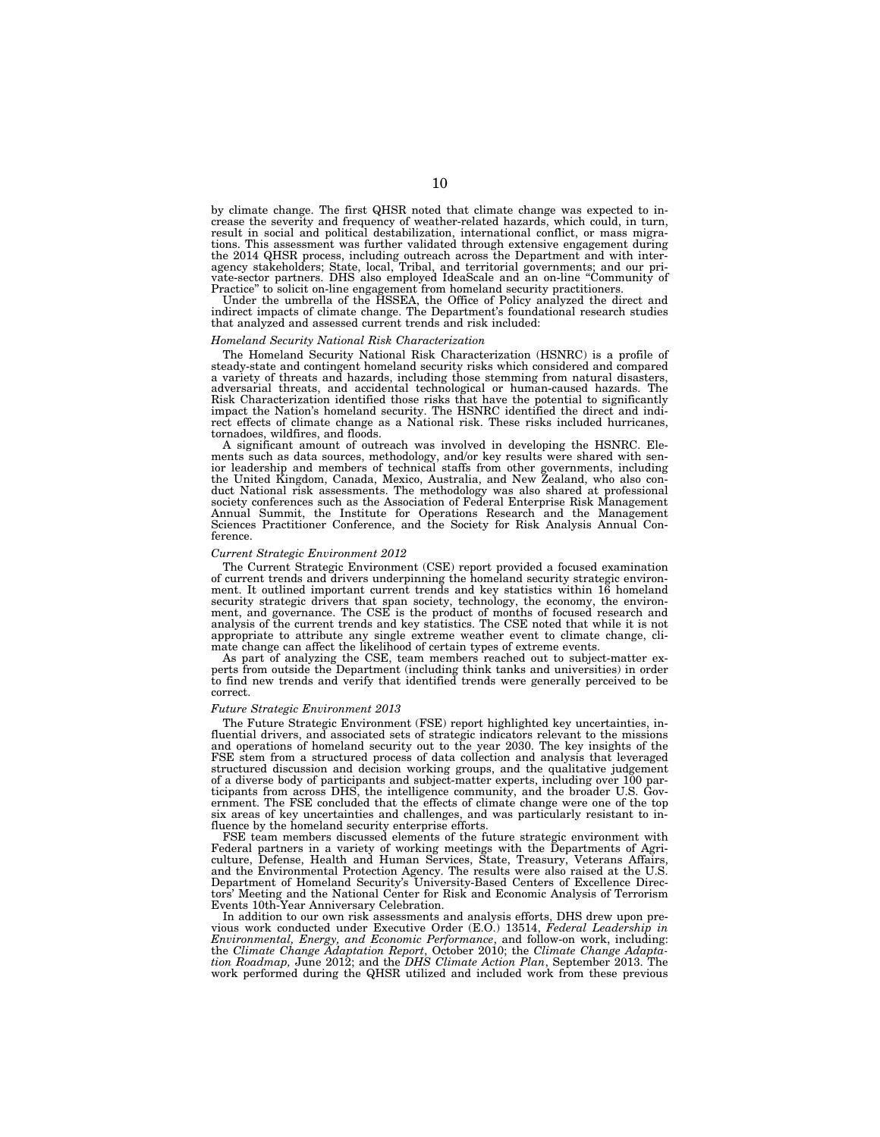by climate change. The first QHSR noted that climate change was expected to increase the severity and frequency of weather-related hazards, which could, in turn, result in social and political destabilization, international conflict, or mass migra-tions. This assessment was further validated through extensive engagement during the 2014 QHSR process, including outreach across the Department and with inter-<br>agency stakeholders; State, local, Tribal, and territorial governments; and our pri-<br>vate-sector partners. DHS also employed IdeaScale and an Practice" to solicit on-line engagement from homeland security practitioners.

Under the umbrella of the HSSEA, the Office of Policy analyzed the direct and indirect impacts of climate change. The Department's foundational research studies that analyzed and assessed current trends and risk included:

#### *Homeland Security National Risk Characterization*

The Homeland Security National Risk Characterization (HSNRC) is a profile of steady-state and contingent homeland security risks which considered and compared a variety of threats and hazards, including those stemming from natural disasters, adversarial threats, and accidental technological or human-caused hazards. The Risk Characterization identified those risks that have the potential to significantly impact the Nation's homeland security. The HSNRC identified the direct and indirect effects of climate change as a National risk. These risks included hurricanes, tornadoes, wildfires, and floods.

A significant amount of outreach was involved in developing the HSNRC. Elements such as data sources, methodology, and/or key results were shared with senior leadership and members of technical staffs from other governments, including the United Kingdom, Canada, Mexico, Australia, and New Zealand, who also conduct National risk assessments. The methodology was also shared at professional society conferences such as the Association of Federal Enterprise Risk Management Annual Summit, the Institute for Operations Research and the Management Sciences Practitioner Conference, and the Society for Risk Analysis Annual Conference.

#### *Current Strategic Environment 2012*

The Current Strategic Environment (CSE) report provided a focused examination of current trends and drivers underpinning the homeland security strategic environment. It outlined important current trends and key statistics within 16 homeland security strategic drivers that span society, technology, the economy, the environment, and governance. The CSE is the product of months of focused research and analysis of the current trends and key statistics. The CSE noted that while it is not appropriate to attribute any single extreme weather event to climate change, climate change can affect the likelihood of certain types of extreme events.

As part of analyzing the CSE, team members reached out to subject-matter experts from outside the Department (including think tanks and universities) in order to find new trends and verify that identified trends were generally perceived to be correct.

#### *Future Strategic Environment 2013*

The Future Strategic Environment (FSE) report highlighted key uncertainties, influential drivers, and associated sets of strategic indicators relevant to the missions and operations of homeland security out to the year 2030. The key insights of the FSE stem from a structured process of data collection and analysis that leveraged structured discussion and decision working groups, and the qualitative judgement of a diverse body of participants and subject-matter experts, including over 100 participants from across DHS, the intelligence community, and the broader U.S. Government. The FSE concluded that the effects of climate change were one of the top six areas of key uncertainties and challenges, and was particularly resistant to influence by the homeland security enterprise efforts.

FSE team members discussed elements of the future strategic environment with Federal partners in a variety of working meetings with the Departments of Agriculture, Defense, Health and Human Services, State, Treasury, Veterans Affairs, and the Environmental Protection Agency. The results were also raised at the U.S. Department of Homeland Security's University-Based Centers of Excellence Directors' Meeting and the National Center for Risk and Economic Analysis of Terrorism Events 10th-Year Anniversary Celebration.

In addition to our own risk assessments and analysis efforts, DHS drew upon previous work conducted under Executive Order (E.O.) 13514, *Federal Leadership in Environmental, Energy, and Economic Performance*, and follow-on work, including: the *Climate Change Adaptation Report*, October 2010; the *Climate Change Adapta-tion Roadmap,* June 2012; and the *DHS Climate Action Plan*, September 2013. The work performed during the QHSR utilized and included work from these previous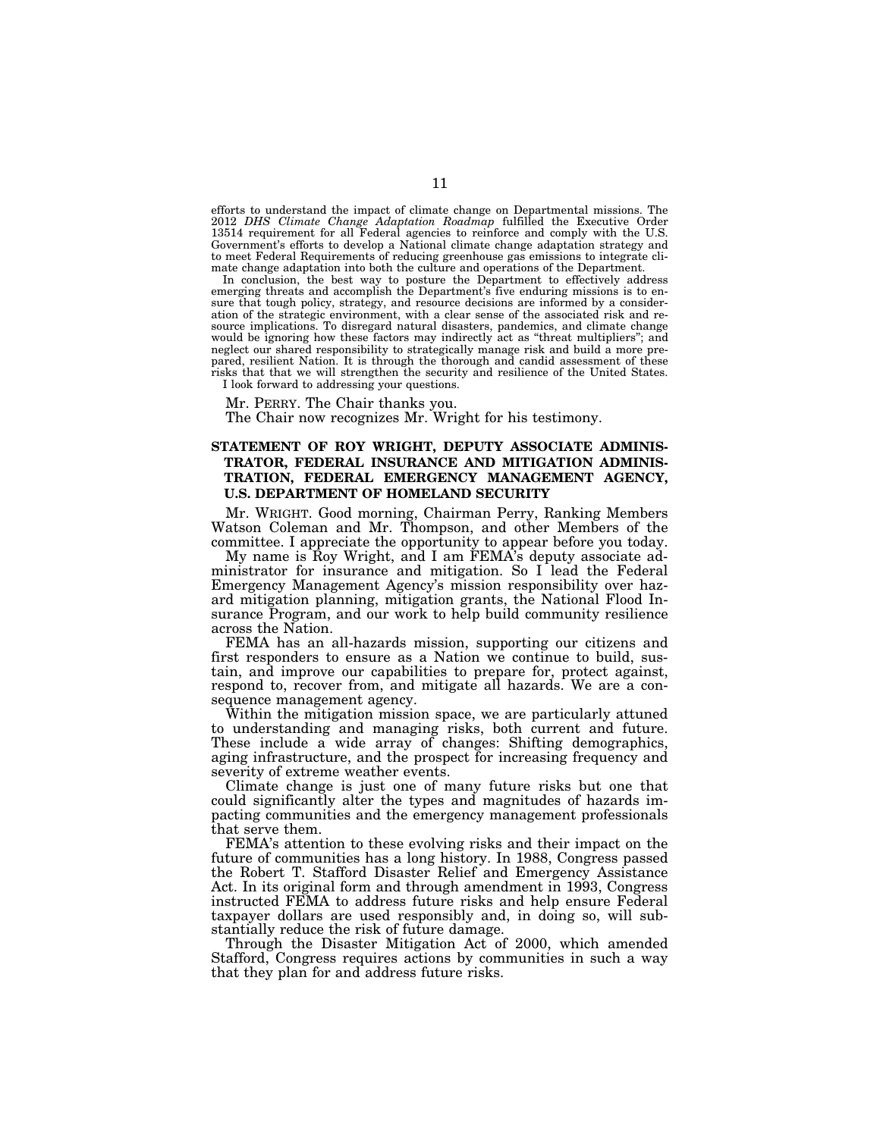efforts to understand the impact of climate change on Departmental missions. The 2012 *DHS Climate Change Adaptation Roadmap* fulfilled the Executive Order 13514 requirement for all Federal agencies to reinforce and comply with the U.S. Government's efforts to develop a National climate change adaptation strategy and to meet Federal Requirements of reducing greenhouse gas emissions to integrate climate change adaptation into both the culture and operations of the Department.

In conclusion, the best way to posture the Department to effectively address emerging threats and accomplish the Department's five enduring missions is to ensure that tough policy, strategy, and resource decisions are informed by a consideration of the strategic environment, with a clear sense of the associated risk and resource implications. To disregard natural disasters, pandemics, and climate change would be ignoring how these factors may indirectly act as ''threat multipliers''; and neglect our shared responsibility to strategically manage risk and build a more prepared, resilient Nation. It is through the thorough and candid assessment of these risks that that we will strengthen the security and resilience of the United States. I look forward to addressing your questions.

Mr. PERRY. The Chair thanks you.

The Chair now recognizes Mr. Wright for his testimony.

## **STATEMENT OF ROY WRIGHT, DEPUTY ASSOCIATE ADMINIS-TRATOR, FEDERAL INSURANCE AND MITIGATION ADMINIS-TRATION, FEDERAL EMERGENCY MANAGEMENT AGENCY, U.S. DEPARTMENT OF HOMELAND SECURITY**

Mr. WRIGHT. Good morning, Chairman Perry, Ranking Members Watson Coleman and Mr. Thompson, and other Members of the committee. I appreciate the opportunity to appear before you today.

My name is Roy Wright, and I am FEMA's deputy associate administrator for insurance and mitigation. So I lead the Federal Emergency Management Agency's mission responsibility over hazard mitigation planning, mitigation grants, the National Flood Insurance Program, and our work to help build community resilience across the Nation.

FEMA has an all-hazards mission, supporting our citizens and first responders to ensure as a Nation we continue to build, sustain, and improve our capabilities to prepare for, protect against, respond to, recover from, and mitigate all hazards. We are a consequence management agency.

Within the mitigation mission space, we are particularly attuned to understanding and managing risks, both current and future. These include a wide array of changes: Shifting demographics, aging infrastructure, and the prospect for increasing frequency and severity of extreme weather events.

Climate change is just one of many future risks but one that could significantly alter the types and magnitudes of hazards impacting communities and the emergency management professionals that serve them.

FEMA's attention to these evolving risks and their impact on the future of communities has a long history. In 1988, Congress passed the Robert T. Stafford Disaster Relief and Emergency Assistance Act. In its original form and through amendment in 1993, Congress instructed FEMA to address future risks and help ensure Federal taxpayer dollars are used responsibly and, in doing so, will substantially reduce the risk of future damage.

Through the Disaster Mitigation Act of 2000, which amended Stafford, Congress requires actions by communities in such a way that they plan for and address future risks.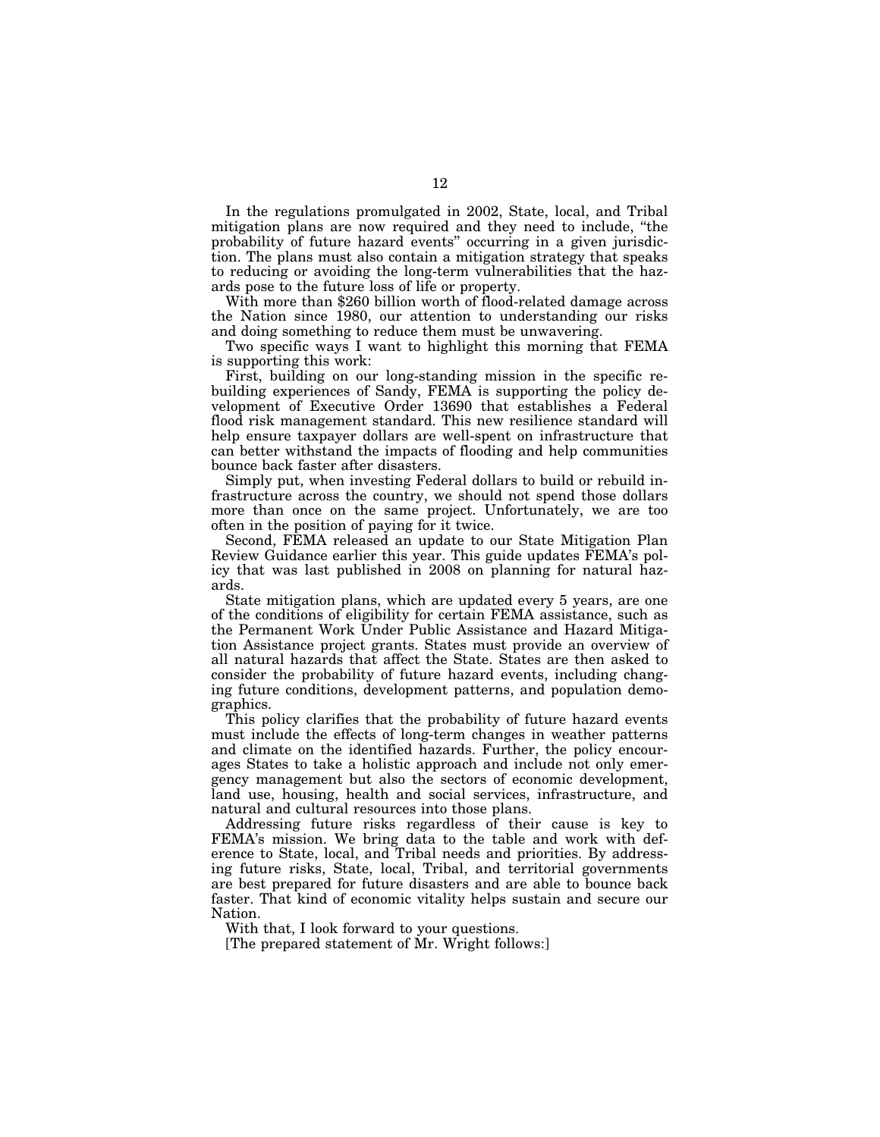In the regulations promulgated in 2002, State, local, and Tribal mitigation plans are now required and they need to include, ''the probability of future hazard events'' occurring in a given jurisdiction. The plans must also contain a mitigation strategy that speaks to reducing or avoiding the long-term vulnerabilities that the hazards pose to the future loss of life or property.

With more than \$260 billion worth of flood-related damage across the Nation since 1980, our attention to understanding our risks and doing something to reduce them must be unwavering.

Two specific ways I want to highlight this morning that FEMA is supporting this work:

First, building on our long-standing mission in the specific rebuilding experiences of Sandy, FEMA is supporting the policy development of Executive Order 13690 that establishes a Federal flood risk management standard. This new resilience standard will help ensure taxpayer dollars are well-spent on infrastructure that can better withstand the impacts of flooding and help communities bounce back faster after disasters.

Simply put, when investing Federal dollars to build or rebuild infrastructure across the country, we should not spend those dollars more than once on the same project. Unfortunately, we are too often in the position of paying for it twice.

Second, FEMA released an update to our State Mitigation Plan Review Guidance earlier this year. This guide updates FEMA's policy that was last published in 2008 on planning for natural hazards.

State mitigation plans, which are updated every 5 years, are one of the conditions of eligibility for certain FEMA assistance, such as the Permanent Work Under Public Assistance and Hazard Mitigation Assistance project grants. States must provide an overview of all natural hazards that affect the State. States are then asked to consider the probability of future hazard events, including changing future conditions, development patterns, and population demographics.

This policy clarifies that the probability of future hazard events must include the effects of long-term changes in weather patterns and climate on the identified hazards. Further, the policy encourages States to take a holistic approach and include not only emergency management but also the sectors of economic development, land use, housing, health and social services, infrastructure, and natural and cultural resources into those plans.

Addressing future risks regardless of their cause is key to FEMA's mission. We bring data to the table and work with deference to State, local, and Tribal needs and priorities. By addressing future risks, State, local, Tribal, and territorial governments are best prepared for future disasters and are able to bounce back faster. That kind of economic vitality helps sustain and secure our Nation.

With that, I look forward to your questions.

[The prepared statement of Mr. Wright follows:]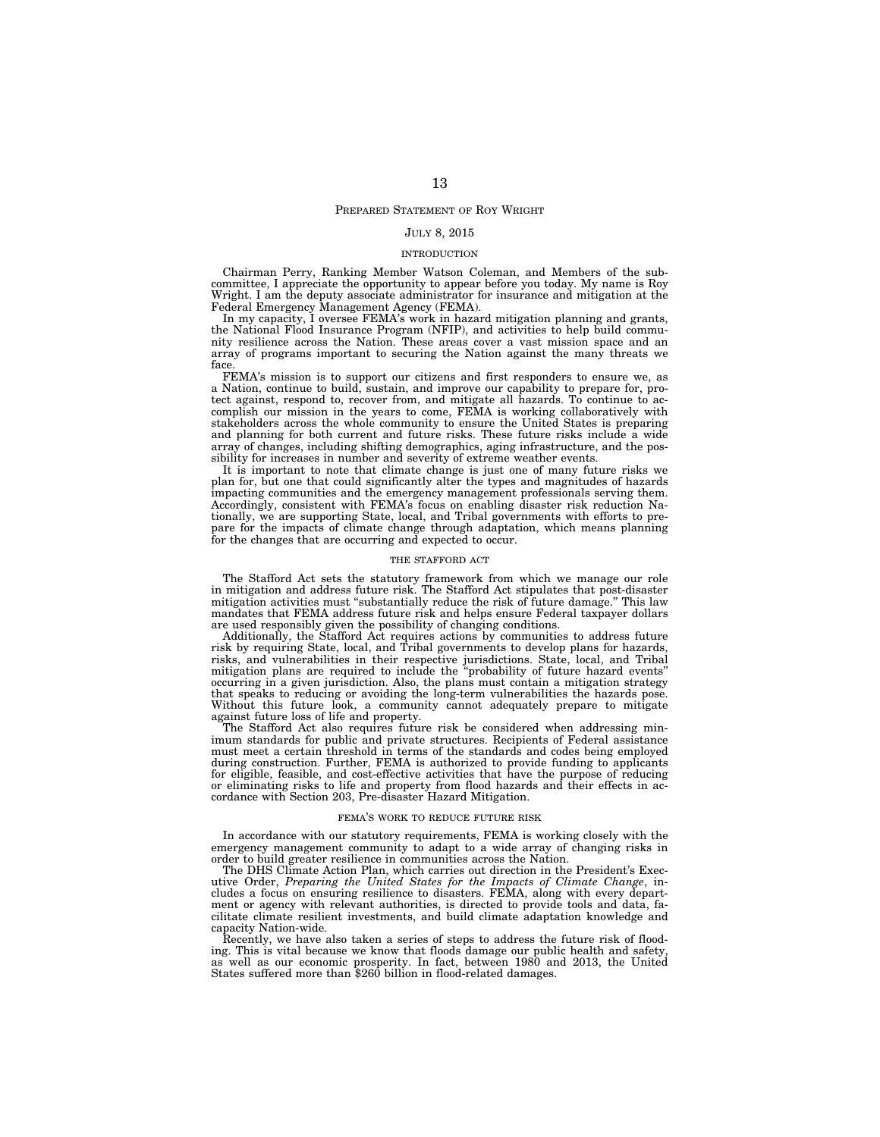#### PREPARED STATEMENT OF ROY WRIGHT

#### JULY 8, 2015

#### INTRODUCTION

Chairman Perry, Ranking Member Watson Coleman, and Members of the subcommittee, I appreciate the opportunity to appear before you today. My name is Roy Wright. I am the deputy associate administrator for insurance and mitigation at the Federal Emergency Management Agency (FEMA).

In my capacity, I oversee FEMA's work in hazard mitigation planning and grants, the National Flood Insurance Program (NFIP), and activities to help build community resilience across the Nation. These areas cover a vast mission space and an array of programs important to securing the Nation against the many threats we face.

FEMA's mission is to support our citizens and first responders to ensure we, as a Nation, continue to build, sustain, and improve our capability to prepare for, protect against, respond to, recover from, and mitigate all hazards. To continue to accomplish our mission in the years to come, FEMA is working collaboratively with stakeholders across the whole community to ensure the United States is preparing and planning for both current and future risks. These future risks include a wide array of changes, including shifting demographics, aging infrastructure, and the possibility for increases in number and severity of extreme weather events.

It is important to note that climate change is just one of many future risks we plan for, but one that could significantly alter the types and magnitudes of hazards impacting communities and the emergency management professionals serving them. Accordingly, consistent with FEMA's focus on enabling disaster risk reduction Nationally, we are supporting State, local, and Tribal governments with efforts to prepare for the impacts of climate change through adaptation, which means planning for the changes that are occurring and expected to occur.

#### THE STAFFORD ACT

The Stafford Act sets the statutory framework from which we manage our role in mitigation and address future risk. The Stafford Act stipulates that post-disaster mitigation activities must "substantially reduce the risk of future damage." This law mandates that FEMA address future risk and helps ensure Federal taxpayer dollars are used responsibly given the possibility of changing conditions.

Additionally, the Stafford Act requires actions by communities to address future risk by requiring State, local, and Tribal governments to develop plans for hazards, risks, and vulnerabilities in their respective jurisdictions. State, local, and Tribal mitigation plans are required to include the ''probability of future hazard events'' occurring in a given jurisdiction. Also, the plans must contain a mitigation strategy that speaks to reducing or avoiding the long-term vulnerabilities the hazards pose. Without this future look, a community cannot adequately prepare to mitigate against future loss of life and property.

The Stafford Act also requires future risk be considered when addressing minimum standards for public and private structures. Recipients of Federal assistance must meet a certain threshold in terms of the standards and codes being employed during construction. Further, FEMA is authorized to provide funding to applicants for eligible, feasible, and cost-effective activities that have the purpose of reducing or eliminating risks to life and property from flood hazards and their effects in accordance with Section 203, Pre-disaster Hazard Mitigation.

#### FEMA'S WORK TO REDUCE FUTURE RISK

In accordance with our statutory requirements, FEMA is working closely with the emergency management community to adapt to a wide array of changing risks in order to build greater resilience in communities across the Nation.

The DHS Climate Action Plan, which carries out direction in the President's Executive Order, *Preparing the United States for the Impacts of Climate Change*, includes a focus on ensuring resilience to disasters. FEMA, along with every department or agency with relevant authorities, is directed to provide tools and data, facilitate climate resilient investments, and build climate adaptation knowledge and capacity Nation-wide.

Recently, we have also taken a series of steps to address the future risk of flooding. This is vital because we know that floods damage our public health and safety, as well as our economic prosperity. In fact, between 1980 and 2013, the United States suffered more than \$260 billion in flood-related damages.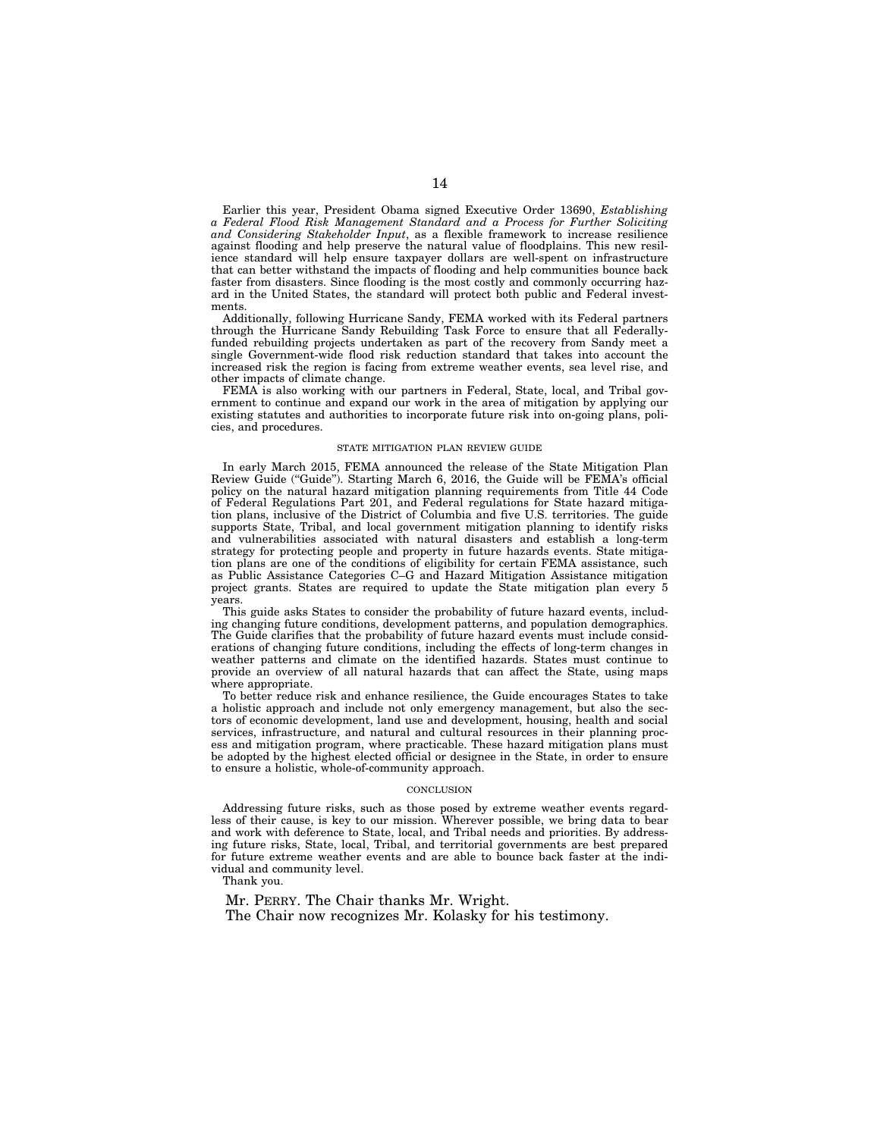Earlier this year, President Obama signed Executive Order 13690, *Establishing a Federal Flood Risk Management Standard and a Process for Further Soliciting and Considering Stakeholder Input*, as a flexible framework to increase resilience against flooding and help preserve the natural value of floodplains. This new resilience standard will help ensure taxpayer dollars are well-spent on infrastructure that can better withstand the impacts of flooding and help communities bounce back faster from disasters. Since flooding is the most costly and commonly occurring hazard in the United States, the standard will protect both public and Federal investments.

Additionally, following Hurricane Sandy, FEMA worked with its Federal partners through the Hurricane Sandy Rebuilding Task Force to ensure that all Federallyfunded rebuilding projects undertaken as part of the recovery from Sandy meet a single Government-wide flood risk reduction standard that takes into account the increased risk the region is facing from extreme weather events, sea level rise, and other impacts of climate change.

FEMA is also working with our partners in Federal, State, local, and Tribal government to continue and expand our work in the area of mitigation by applying our existing statutes and authorities to incorporate future risk into on-going plans, policies, and procedures.

#### STATE MITIGATION PLAN REVIEW GUIDE

In early March 2015, FEMA announced the release of the State Mitigation Plan Review Guide ("Guide"). Starting March 6, 2016, the Guide will be FEMA's official policy on the natural hazard mitigation planning requirements from Title 44 Code of Federal Regulations Part 201, and Federal regulations for State hazard mitigation plans, inclusive of the District of Columbia and five U.S. territories. The guide supports State, Tribal, and local government mitigation planning to identify risks and vulnerabilities associated with natural disasters and establish a long-term strategy for protecting people and property in future hazards events. State mitigation plans are one of the conditions of eligibility for certain FEMA assistance, such as Public Assistance Categories C–G and Hazard Mitigation Assistance mitigation project grants. States are required to update the State mitigation plan every 5 years.

This guide asks States to consider the probability of future hazard events, including changing future conditions, development patterns, and population demographics. The Guide clarifies that the probability of future hazard events must include considerations of changing future conditions, including the effects of long-term changes in weather patterns and climate on the identified hazards. States must continue to provide an overview of all natural hazards that can affect the State, using maps where appropriate.

To better reduce risk and enhance resilience, the Guide encourages States to take a holistic approach and include not only emergency management, but also the sectors of economic development, land use and development, housing, health and social services, infrastructure, and natural and cultural resources in their planning process and mitigation program, where practicable. These hazard mitigation plans must be adopted by the highest elected official or designee in the State, in order to ensure to ensure a holistic, whole-of-community approach.

#### **CONCLUSION**

Addressing future risks, such as those posed by extreme weather events regardless of their cause, is key to our mission. Wherever possible, we bring data to bear and work with deference to State, local, and Tribal needs and priorities. By addressing future risks, State, local, Tribal, and territorial governments are best prepared for future extreme weather events and are able to bounce back faster at the individual and community level.

Thank you.

Mr. PERRY. The Chair thanks Mr. Wright. The Chair now recognizes Mr. Kolasky for his testimony.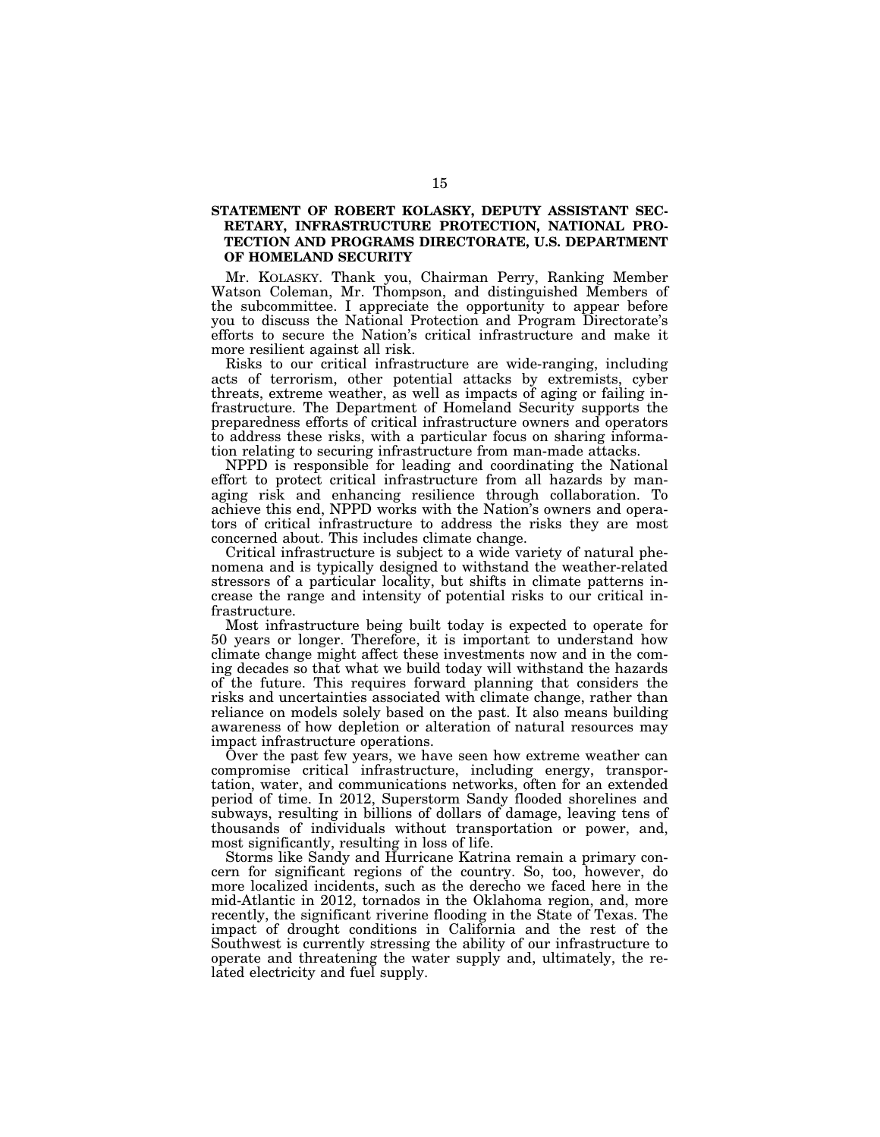## **STATEMENT OF ROBERT KOLASKY, DEPUTY ASSISTANT SEC-RETARY, INFRASTRUCTURE PROTECTION, NATIONAL PRO-TECTION AND PROGRAMS DIRECTORATE, U.S. DEPARTMENT OF HOMELAND SECURITY**

Mr. KOLASKY. Thank you, Chairman Perry, Ranking Member Watson Coleman, Mr. Thompson, and distinguished Members of the subcommittee. I appreciate the opportunity to appear before you to discuss the National Protection and Program Directorate's efforts to secure the Nation's critical infrastructure and make it more resilient against all risk.

Risks to our critical infrastructure are wide-ranging, including acts of terrorism, other potential attacks by extremists, cyber threats, extreme weather, as well as impacts of aging or failing infrastructure. The Department of Homeland Security supports the preparedness efforts of critical infrastructure owners and operators to address these risks, with a particular focus on sharing information relating to securing infrastructure from man-made attacks.

NPPD is responsible for leading and coordinating the National effort to protect critical infrastructure from all hazards by managing risk and enhancing resilience through collaboration. To achieve this end, NPPD works with the Nation's owners and operators of critical infrastructure to address the risks they are most concerned about. This includes climate change.

Critical infrastructure is subject to a wide variety of natural phenomena and is typically designed to withstand the weather-related stressors of a particular locality, but shifts in climate patterns increase the range and intensity of potential risks to our critical infrastructure.

Most infrastructure being built today is expected to operate for 50 years or longer. Therefore, it is important to understand how climate change might affect these investments now and in the coming decades so that what we build today will withstand the hazards of the future. This requires forward planning that considers the risks and uncertainties associated with climate change, rather than reliance on models solely based on the past. It also means building awareness of how depletion or alteration of natural resources may impact infrastructure operations.

Over the past few years, we have seen how extreme weather can compromise critical infrastructure, including energy, transportation, water, and communications networks, often for an extended period of time. In 2012, Superstorm Sandy flooded shorelines and subways, resulting in billions of dollars of damage, leaving tens of thousands of individuals without transportation or power, and, most significantly, resulting in loss of life.

Storms like Sandy and Hurricane Katrina remain a primary concern for significant regions of the country. So, too, however, do more localized incidents, such as the derecho we faced here in the mid-Atlantic in 2012, tornados in the Oklahoma region, and, more recently, the significant riverine flooding in the State of Texas. The impact of drought conditions in California and the rest of the Southwest is currently stressing the ability of our infrastructure to operate and threatening the water supply and, ultimately, the related electricity and fuel supply.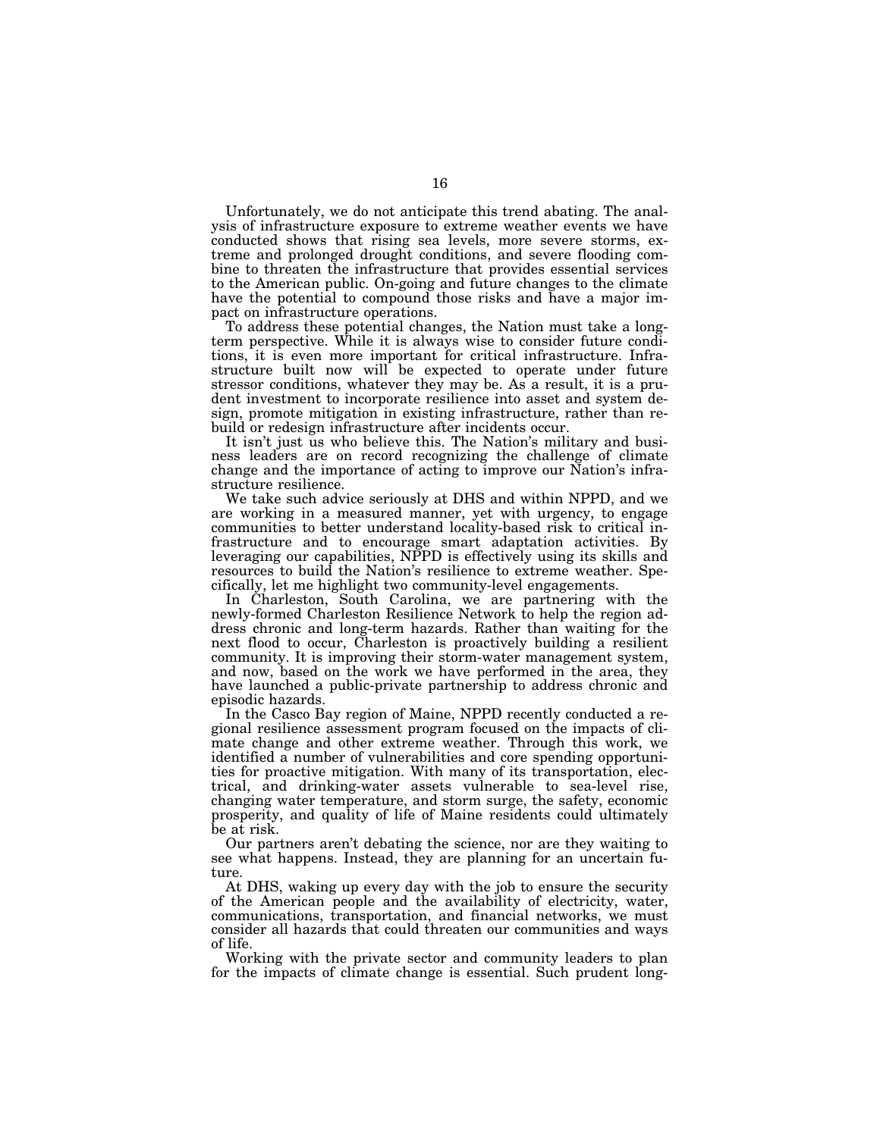Unfortunately, we do not anticipate this trend abating. The analysis of infrastructure exposure to extreme weather events we have conducted shows that rising sea levels, more severe storms, extreme and prolonged drought conditions, and severe flooding combine to threaten the infrastructure that provides essential services to the American public. On-going and future changes to the climate have the potential to compound those risks and have a major impact on infrastructure operations.

To address these potential changes, the Nation must take a longterm perspective. While it is always wise to consider future conditions, it is even more important for critical infrastructure. Infrastructure built now will be expected to operate under future stressor conditions, whatever they may be. As a result, it is a prudent investment to incorporate resilience into asset and system design, promote mitigation in existing infrastructure, rather than rebuild or redesign infrastructure after incidents occur.

It isn't just us who believe this. The Nation's military and business leaders are on record recognizing the challenge of climate change and the importance of acting to improve our Nation's infrastructure resilience.

We take such advice seriously at DHS and within NPPD, and we are working in a measured manner, yet with urgency, to engage communities to better understand locality-based risk to critical infrastructure and to encourage smart adaptation activities. By leveraging our capabilities, NPPD is effectively using its skills and resources to build the Nation's resilience to extreme weather. Specifically, let me highlight two community-level engagements.

In Charleston, South Carolina, we are partnering with the newly-formed Charleston Resilience Network to help the region address chronic and long-term hazards. Rather than waiting for the next flood to occur, Charleston is proactively building a resilient community. It is improving their storm-water management system, and now, based on the work we have performed in the area, they have launched a public-private partnership to address chronic and episodic hazards.

In the Casco Bay region of Maine, NPPD recently conducted a regional resilience assessment program focused on the impacts of climate change and other extreme weather. Through this work, we identified a number of vulnerabilities and core spending opportunities for proactive mitigation. With many of its transportation, electrical, and drinking-water assets vulnerable to sea-level rise, changing water temperature, and storm surge, the safety, economic prosperity, and quality of life of Maine residents could ultimately be at risk.

Our partners aren't debating the science, nor are they waiting to see what happens. Instead, they are planning for an uncertain future.

At DHS, waking up every day with the job to ensure the security of the American people and the availability of electricity, water, communications, transportation, and financial networks, we must consider all hazards that could threaten our communities and ways of life.

Working with the private sector and community leaders to plan for the impacts of climate change is essential. Such prudent long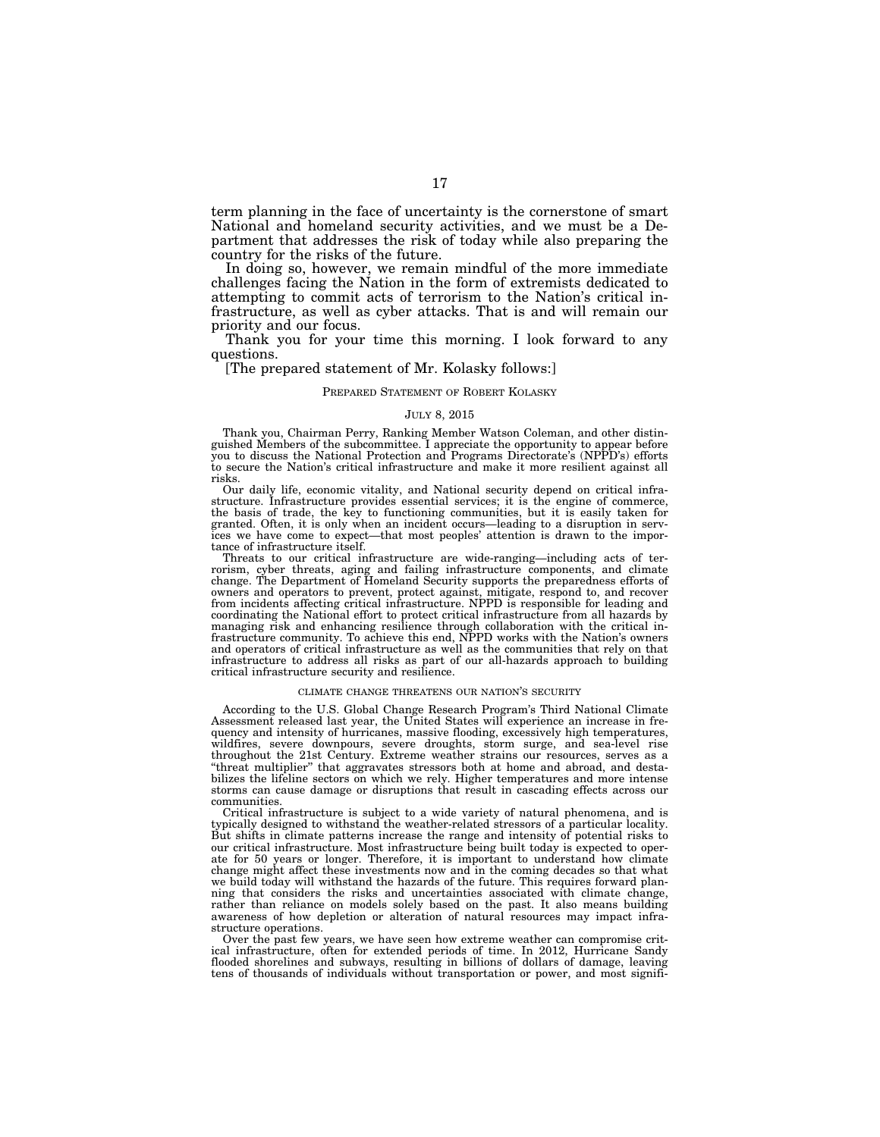term planning in the face of uncertainty is the cornerstone of smart National and homeland security activities, and we must be a Department that addresses the risk of today while also preparing the country for the risks of the future.

In doing so, however, we remain mindful of the more immediate challenges facing the Nation in the form of extremists dedicated to attempting to commit acts of terrorism to the Nation's critical infrastructure, as well as cyber attacks. That is and will remain our priority and our focus.

Thank you for your time this morning. I look forward to any questions.

#### [The prepared statement of Mr. Kolasky follows:]

#### PREPARED STATEMENT OF ROBERT KOLASKY

#### JULY 8, 2015

Thank you, Chairman Perry, Ranking Member Watson Coleman, and other distinguished Members of the subcommittee. I appreciate the opportunity to appear before you to discuss the National Protection and Programs Directorate's (NPPD's) efforts to secure the Nation's critical infrastructure and make it more resilient against all risks.

Our daily life, economic vitality, and National security depend on critical infrastructure. Infrastructure provides essential services; it is the engine of commerce, the basis of trade, the key to functioning communities, but it is easily taken for granted. Often, it is only when an incident occurs—leading to a disruption in services we have come to expect—that most peoples' attention is drawn to the importance of infrastructure itself.

Threats to our critical infrastructure are wide-ranging—including acts of terrorism, cyber threats, aging and failing infrastructure components, and climate change. The Department of Homeland Security supports the preparedness efforts of owners and operators to prevent, protect against, mitigate, respond to, and recover from incidents affecting critical infrastructure. NPPD is responsible for leading and coordinating the National effort to protect critical infrastructure from all hazards by managing risk and enhancing resilience through collaboration with the critical infrastructure community. To achieve this end, NPPD works with the Nation's owners and operators of critical infrastructure as well as the communities that rely on that infrastructure to address all risks as part of our all-hazards approach to building critical infrastructure security and resilience.

#### CLIMATE CHANGE THREATENS OUR NATION'S SECURITY

According to the U.S. Global Change Research Program's Third National Climate Assessment released last year, the United States will experience an increase in frequency and intensity of hurricanes, massive flooding, excessively high temperatures, wildfires, severe downpours, severe droughts, storm surge, and sea-level rise throughout the 21st Century. Extreme weather strains our resources, serves as a ''threat multiplier'' that aggravates stressors both at home and abroad, and destabilizes the lifeline sectors on which we rely. Higher temperatures and more intense storms can cause damage or disruptions that result in cascading effects across our communities.

Critical infrastructure is subject to a wide variety of natural phenomena, and is typically designed to withstand the weather-related stressors of a particular locality. But shifts in climate patterns increase the range and intensity of potential risks to our critical infrastructure. Most infrastructure being built today is expected to operate for 50 years or longer. Therefore, it is important to understand how climate change might affect these investments now and in the coming decades so that what we build today will withstand the hazards of the future. This requires forward planning that considers the risks and uncertainties associated with climate change, rather than reliance on models solely based on the past. It also means building awareness of how depletion or alteration of natural resources may impact infrastructure operations.

Over the past few years, we have seen how extreme weather can compromise critical infrastructure, often for extended periods of time. In 2012, Hurricane Sandy flooded shorelines and subways, resulting in billions of dollars of damage, leaving tens of thousands of individuals without transportation or power, and most signifi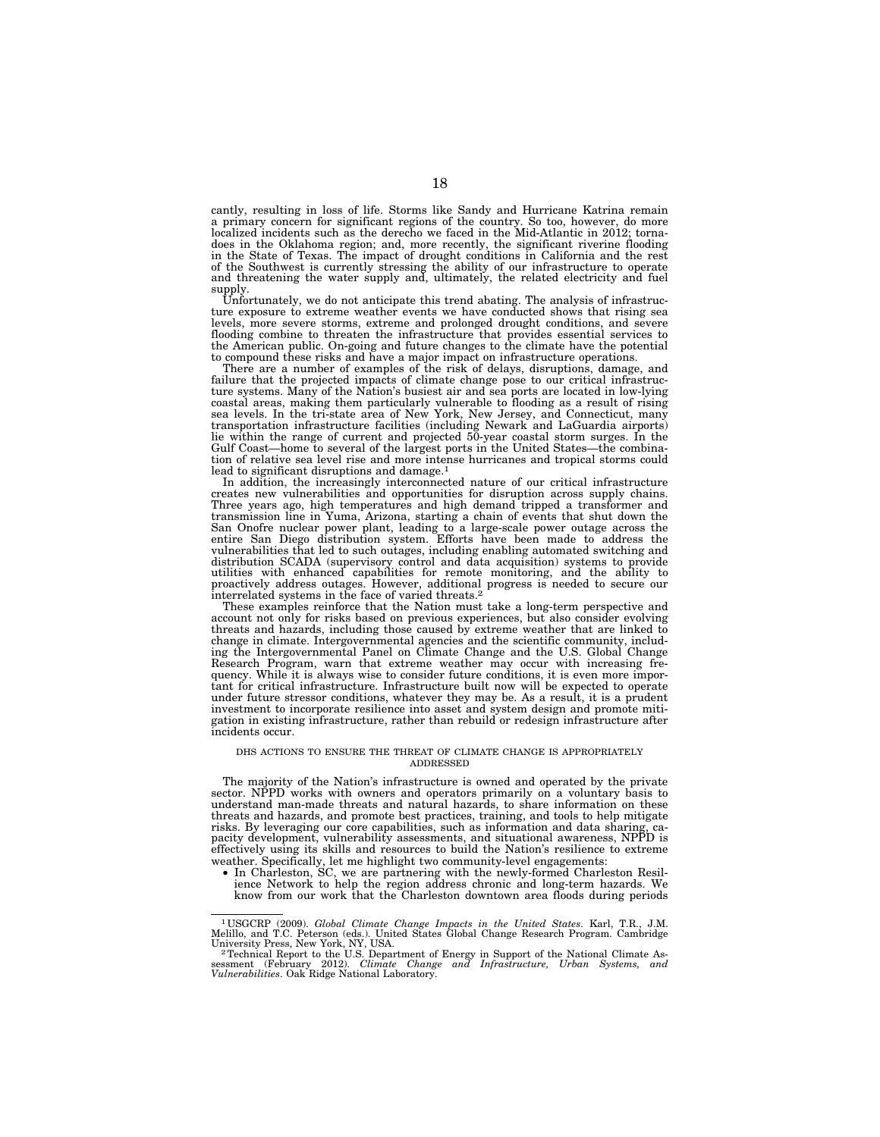cantly, resulting in loss of life. Storms like Sandy and Hurricane Katrina remain a primary concern for significant regions of the country. So too, however, do more localized incidents such as the derecho we faced in the Mid-Atlantic in 2012; tornadoes in the Oklahoma region; and, more recently, the significant riverine flooding in the State of Texas. The impact of drought conditions in California and the rest of the Southwest is currently stressing the ability of our infrastructure to operate and threatening the water supply and, ultimately, the related electricity and fuel supply.

Unfortunately, we do not anticipate this trend abating. The analysis of infrastructure exposure to extreme weather events we have conducted shows that rising sea levels, more severe storms, extreme and prolonged drought conditions, and severe flooding combine to threaten the infrastructure that provides essential services to the American public. On-going and future changes to the climate have the potential to compound these risks and have a major impact on infrastructure operations. There are a number of examples of the risk of delays, disruptions, damage, and

failure that the projected impacts of climate change pose to our critical infrastructure systems. Many of the Nation's busiest air and sea ports are located in low-lying coastal areas, making them particularly vulnerable to flooding as a result of rising sea levels. In the tri-state area of New York, New Jersey, and Connecticut, many transportation infrastructure facilities (including Newark and LaGuardia airports) lie within the range of current and projected 50-year coastal storm surges. In the Gulf Coast—home to several of the largest ports in the United States—the combination of relative sea level rise and more intense hurricanes and tropical storms could lead to significant disruptions and damage.<sup>1</sup>

In addition, the increasingly interconnected nature of our critical infrastructure creates new vulnerabilities and opportunities for disruption across supply chains. Three years ago, high temperatures and high demand tripped a transformer and transmission line in Yuma, Arizona, starting a chain of events that shut down the San Onofre nuclear power plant, leading to a large-scale power outage across the<br>entire San Diego distribution system. Efforts have been made to address the<br>vulnerabilities that led to such outages, including enabling auto distribution SCADA (supervisory control and data acquisition) systems to provide utilities with enhanced capabilities for remote monitoring, and the ability to proactively address outages. However, additional progress is needed to secure our interrelated systems in the face of varied threats.2

These examples reinforce that the Nation must take a long-term perspective and account not only for risks based on previous experiences, but also consider evolving threats and hazards, including those caused by extreme weather that are linked to change in climate. Intergovernmental agencies and the scientific community, including the Intergovernmental Panel on Climate Change and the U.S. Global Change Research Program, warn that extreme weather may occur with increasing frequency. While it is always wise to consider future conditions, it is even more impor-tant for critical infrastructure. Infrastructure built now will be expected to operate under future stressor conditions, whatever they may be. As a result, it is a prudent investment to incorporate resilience into asset and system design and promote mitigation in existing infrastructure, rather than rebuild or redesign infrastructure after incidents occur.

#### DHS ACTIONS TO ENSURE THE THREAT OF CLIMATE CHANGE IS APPROPRIATELY **ADDRESSED**

The majority of the Nation's infrastructure is owned and operated by the private sector. NPPD works with owners and operators primarily on a voluntary basis to understand man-made threats and natural hazards, to share information on these threats and hazards, and promote best practices, training, and tools to help mitigate risks. By leveraging our core capabilities, such as information and data sharing, ca-pacity development, vulnerability assessments, and situational awareness, NPPD is effectively using its skills and resources to build the Nation's resilience to extreme weather. Specifically, let me highlight two community-level engagements:

• In Charleston, SC, we are partnering with the newly-formed Charleston Resilience Network to help the region address chronic and long-term hazards. We know from our work that the Charleston downtown area floods during periods

<sup>1</sup> USGCRP (2009). *Global Climate Change Impacts in the United States*. Karl, T.R., J.M. Melillo, and T.C. Peterson (eds.). United States Global Change Research Program. Cambridge<br>University Press, New York, NY, USA.<br><sup>2</sup> Technical Report to the U.S. Department of Energy in Support of the National Climate As-

sessment (February 2012). *Climate Change and Infrastructure, Urban Systems, and Vulnerabilities*. Oak Ridge National Laboratory.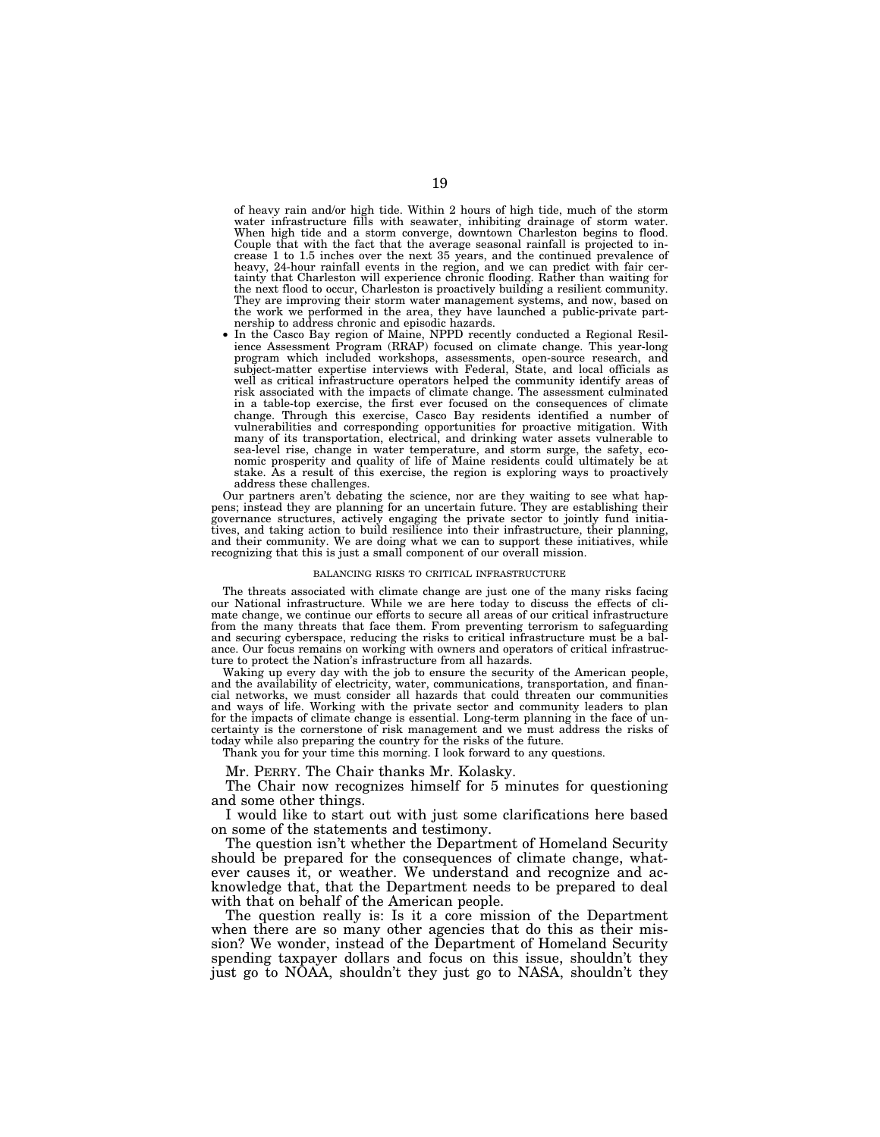of heavy rain and/or high tide. Within 2 hours of high tide, much of the storm water infrastructure fills with seawater, inhibiting drainage of storm water. When high tide and a storm converge, downtown Charleston begins to flood. Couple that with the fact that the average seasonal rainfall is projected to increase 1 to 1.5 inches over the next 35 years, and the continued prevalence of heavy, 24-hour rainfall events in the region, and we can predict with fair certainty that Charleston will experience chronic flooding. Rather than waiting for the next flood to occur, Charleston is proactively building a resilient community. They are improving their storm water management systems, and now, based on the work we performed in the area, they have launched a public-private part-nership to address chronic and episodic hazards.

• In the Casco Bay region of Maine, NPPD recently conducted a Regional Resil-ience Assessment Program (RRAP) focused on climate change. This year-long program which included workshops, assessments, open-source research, and subject-matter expertise interviews with Federal, State, and local officials as well as critical infrastructure operators helped the community identify areas of risk associated with the impacts of climate change. The assessment culminated in a table-top exercise, the first ever focused on the consequences of climate change. Through this exercise, Casco Bay residents identified a number of vulnerabilities and corresponding opportunities for proactive mitigation. With many of its transportation, electrical, and drinking water assets vulnerable to sea-level rise, change in water temperature, and storm surge, the safety, economic prosperity and quality of life of Maine residents could ultimately be at stake. As a result of this exercise, the region is exploring ways to proactively address these challenges.

Our partners aren't debating the science, nor are they waiting to see what happens; instead they are planning for an uncertain future. They are establishing their governance structures, actively engaging the private sector to jointly fund initiatives, and taking action to build resilience into their infrastructure, their planning, and their community. We are doing what we can to support these initiatives, while recognizing that this is just a small component of our overall mission.

#### BALANCING RISKS TO CRITICAL INFRASTRUCTURE

The threats associated with climate change are just one of the many risks facing our National infrastructure. While we are here today to discuss the effects of climate change, we continue our efforts to secure all areas of our critical infrastructure from the many threats that face them. From preventing terrorism to safeguarding and securing cyberspace, reducing the risks to critical infrastructure must be a balance. Our focus remains on working with owners and operators of critical infrastructure to protect the Nation's infrastructure from all hazards.

Waking up every day with the job to ensure the security of the American people, and the availability of electricity, water, communications, transportation, and financial networks, we must consider all hazards that could threaten our communities and ways of life. Working with the private sector and community leaders to plan for the impacts of climate change is essential. Long-term planning in the face of uncertainty is the cornerstone of risk management and we must address the risks of today while also preparing the country for the risks of the future.

Thank you for your time this morning. I look forward to any questions.

Mr. PERRY. The Chair thanks Mr. Kolasky.

The Chair now recognizes himself for 5 minutes for questioning and some other things.

I would like to start out with just some clarifications here based on some of the statements and testimony.

The question isn't whether the Department of Homeland Security should be prepared for the consequences of climate change, whatever causes it, or weather. We understand and recognize and acknowledge that, that the Department needs to be prepared to deal with that on behalf of the American people.

The question really is: Is it a core mission of the Department when there are so many other agencies that do this as their mission? We wonder, instead of the Department of Homeland Security spending taxpayer dollars and focus on this issue, shouldn't they just go to NOAA, shouldn't they just go to NASA, shouldn't they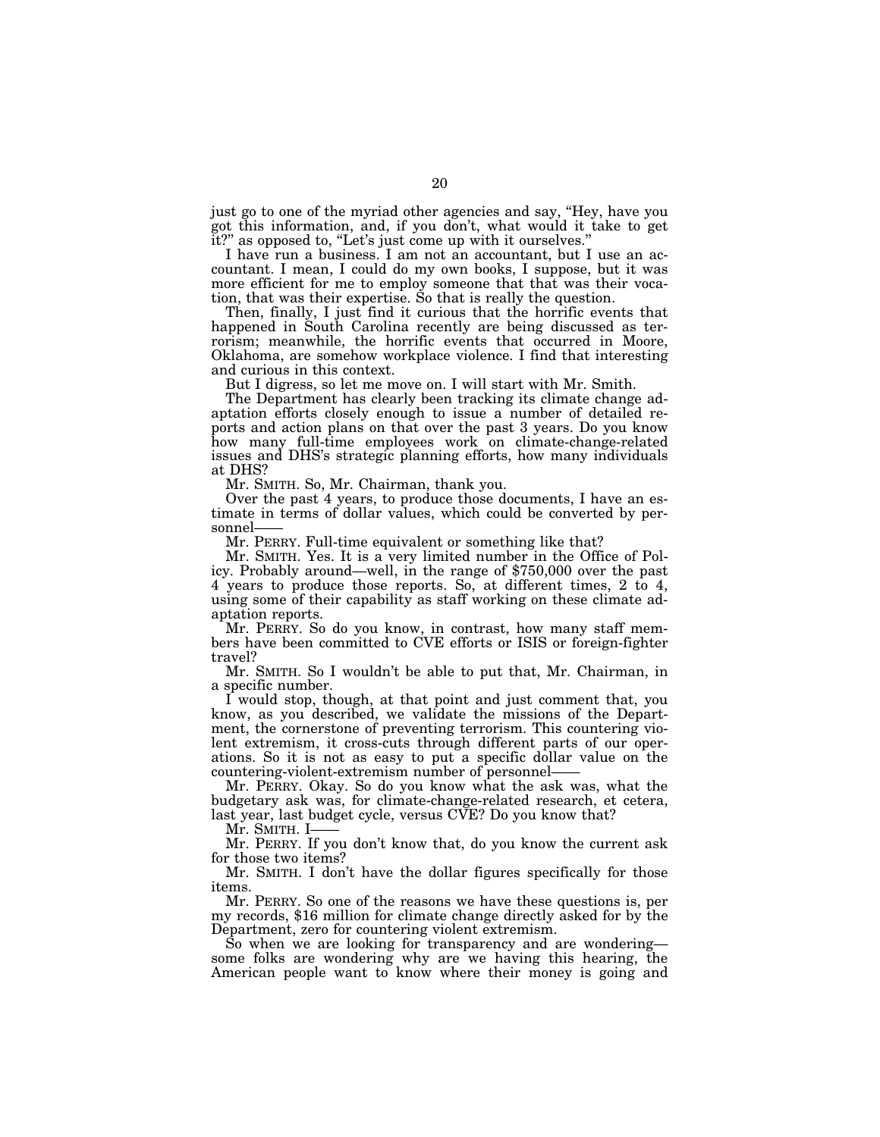just go to one of the myriad other agencies and say, ''Hey, have you got this information, and, if you don't, what would it take to get it?" as opposed to, "Let's just come up with it ourselves."

I have run a business. I am not an accountant, but I use an accountant. I mean, I could do my own books, I suppose, but it was more efficient for me to employ someone that that was their vocation, that was their expertise. So that is really the question.

Then, finally, I just find it curious that the horrific events that happened in South Carolina recently are being discussed as terrorism; meanwhile, the horrific events that occurred in Moore, Oklahoma, are somehow workplace violence. I find that interesting and curious in this context.

But I digress, so let me move on. I will start with Mr. Smith.

The Department has clearly been tracking its climate change adaptation efforts closely enough to issue a number of detailed reports and action plans on that over the past 3 years. Do you know how many full-time employees work on climate-change-related issues and DHS's strategic planning efforts, how many individuals at DHS?

Mr. SMITH. So, Mr. Chairman, thank you.

Over the past 4 years, to produce those documents, I have an estimate in terms of dollar values, which could be converted by personnel-

Mr. PERRY. Full-time equivalent or something like that?

Mr. SMITH. Yes. It is a very limited number in the Office of Pol- icy. Probably around—well, in the range of \$750,000 over the past 4 years to produce those reports. So, at different times, 2 to 4, using some of their capability as staff working on these climate adaptation reports.

Mr. PERRY. So do you know, in contrast, how many staff members have been committed to CVE efforts or ISIS or foreign-fighter travel?

Mr. SMITH. So I wouldn't be able to put that, Mr. Chairman, in a specific number.

I would stop, though, at that point and just comment that, you know, as you described, we validate the missions of the Department, the cornerstone of preventing terrorism. This countering violent extremism, it cross-cuts through different parts of our operations. So it is not as easy to put a specific dollar value on the countering-violent-extremism number of personnel——

Mr. PERRY. Okay. So do you know what the ask was, what the budgetary ask was, for climate-change-related research, et cetera, last year, last budget cycle, versus CVE? Do you know that?

Mr. Smith. I-

Mr. PERRY. If you don't know that, do you know the current ask for those two items?

Mr. SMITH. I don't have the dollar figures specifically for those items.<br>Mr. PERRY. So one of the reasons we have these questions is, per

my records, \$16 million for climate change directly asked for by the Department, zero for countering violent extremism.

So when we are looking for transparency and are wondering some folks are wondering why are we having this hearing, the American people want to know where their money is going and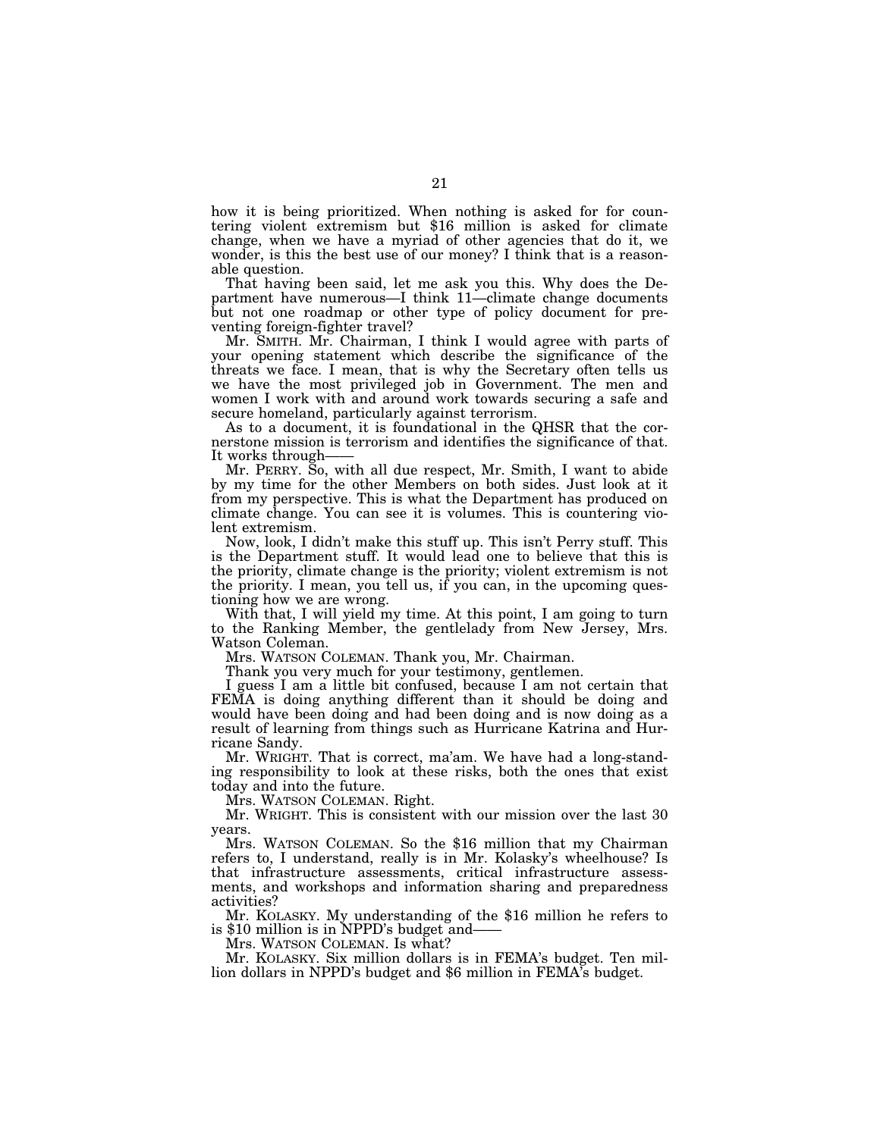how it is being prioritized. When nothing is asked for for countering violent extremism but \$16 million is asked for climate change, when we have a myriad of other agencies that do it, we wonder, is this the best use of our money? I think that is a reasonable question.

That having been said, let me ask you this. Why does the Department have numerous—I think 11—climate change documents but not one roadmap or other type of policy document for preventing foreign-fighter travel?

Mr. SMITH. Mr. Chairman, I think I would agree with parts of your opening statement which describe the significance of the threats we face. I mean, that is why the Secretary often tells us we have the most privileged job in Government. The men and women I work with and around work towards securing a safe and secure homeland, particularly against terrorism.

As to a document, it is foundational in the QHSR that the cornerstone mission is terrorism and identifies the significance of that. It works through-

Mr. PERRY. So, with all due respect, Mr. Smith, I want to abide by my time for the other Members on both sides. Just look at it from my perspective. This is what the Department has produced on climate change. You can see it is volumes. This is countering violent extremism.

Now, look, I didn't make this stuff up. This isn't Perry stuff. This is the Department stuff. It would lead one to believe that this is the priority, climate change is the priority; violent extremism is not the priority. I mean, you tell us, if you can, in the upcoming questioning how we are wrong.

With that, I will yield my time. At this point, I am going to turn to the Ranking Member, the gentlelady from New Jersey, Mrs. Watson Coleman.

Mrs. WATSON COLEMAN. Thank you, Mr. Chairman.

Thank you very much for your testimony, gentlemen.

I guess I am a little bit confused, because I am not certain that FEMA is doing anything different than it should be doing and would have been doing and had been doing and is now doing as a result of learning from things such as Hurricane Katrina and Hurricane Sandy.

Mr. WRIGHT. That is correct, ma'am. We have had a long-standing responsibility to look at these risks, both the ones that exist today and into the future.

Mrs. WATSON COLEMAN. Right.

Mr. WRIGHT. This is consistent with our mission over the last 30 years.

Mrs. WATSON COLEMAN. So the \$16 million that my Chairman refers to, I understand, really is in Mr. Kolasky's wheelhouse? Is that infrastructure assessments, critical infrastructure assessments, and workshops and information sharing and preparedness activities?

Mr. KOLASKY. My understanding of the \$16 million he refers to is \$10 million is in NPPD's budget and——

Mrs. WATSON COLEMAN. Is what?

Mr. KOLASKY. Six million dollars is in FEMA's budget. Ten million dollars in NPPD's budget and \$6 million in FEMA's budget.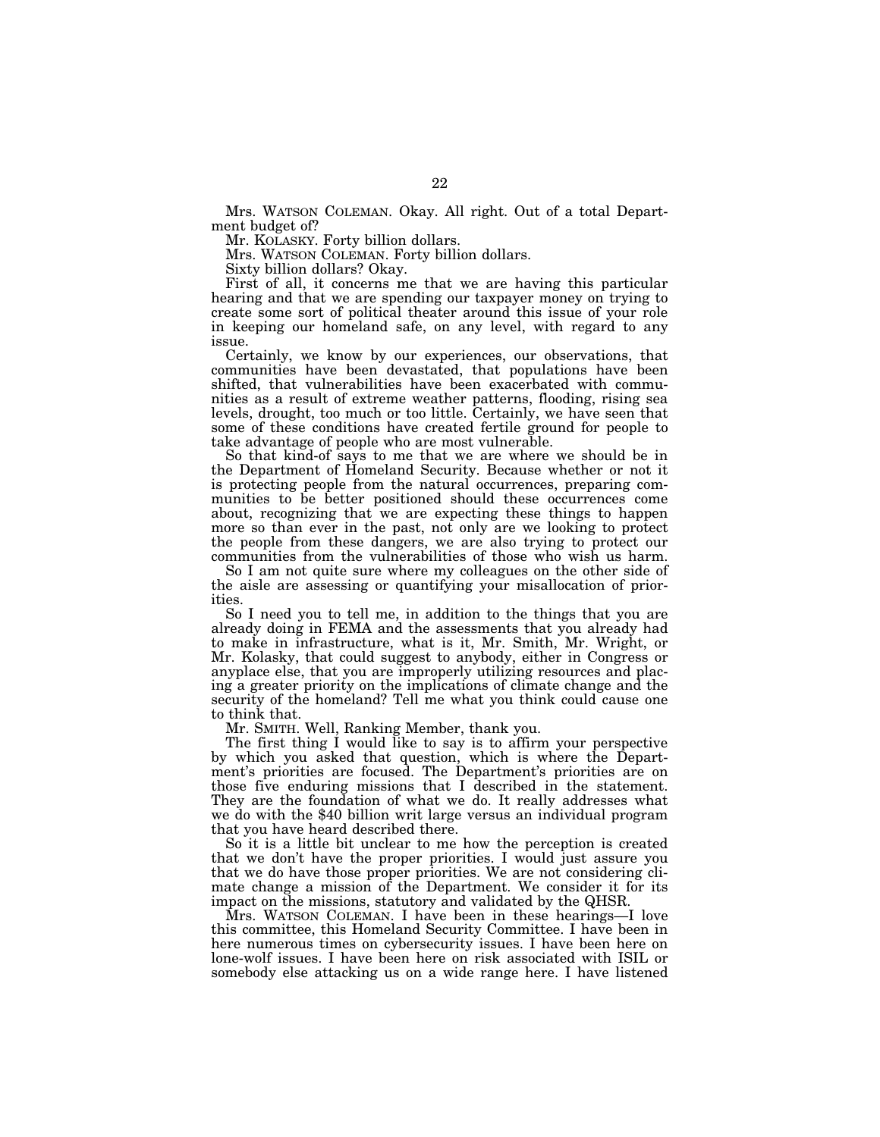Mrs. WATSON COLEMAN. Okay. All right. Out of a total Department budget of?

Mr. KOLASKY. Forty billion dollars.

Mrs. WATSON COLEMAN. Forty billion dollars.

Sixty billion dollars? Okay.

First of all, it concerns me that we are having this particular hearing and that we are spending our taxpayer money on trying to create some sort of political theater around this issue of your role in keeping our homeland safe, on any level, with regard to any issue.

Certainly, we know by our experiences, our observations, that communities have been devastated, that populations have been shifted, that vulnerabilities have been exacerbated with communities as a result of extreme weather patterns, flooding, rising sea levels, drought, too much or too little. Certainly, we have seen that some of these conditions have created fertile ground for people to take advantage of people who are most vulnerable.

So that kind-of says to me that we are where we should be in the Department of Homeland Security. Because whether or not it is protecting people from the natural occurrences, preparing communities to be better positioned should these occurrences come about, recognizing that we are expecting these things to happen more so than ever in the past, not only are we looking to protect the people from these dangers, we are also trying to protect our communities from the vulnerabilities of those who wish us harm.

So I am not quite sure where my colleagues on the other side of the aisle are assessing or quantifying your misallocation of priorities.

So I need you to tell me, in addition to the things that you are already doing in FEMA and the assessments that you already had to make in infrastructure, what is it, Mr. Smith, Mr. Wright, or Mr. Kolasky, that could suggest to anybody, either in Congress or anyplace else, that you are improperly utilizing resources and placing a greater priority on the implications of climate change and the security of the homeland? Tell me what you think could cause one to think that.

Mr. SMITH. Well, Ranking Member, thank you.

The first thing I would like to say is to affirm your perspective by which you asked that question, which is where the Department's priorities are focused. The Department's priorities are on those five enduring missions that I described in the statement. They are the foundation of what we do. It really addresses what we do with the \$40 billion writ large versus an individual program that you have heard described there.

So it is a little bit unclear to me how the perception is created that we don't have the proper priorities. I would just assure you that we do have those proper priorities. We are not considering climate change a mission of the Department. We consider it for its impact on the missions, statutory and validated by the QHSR.

Mrs. WATSON COLEMAN. I have been in these hearings—I love this committee, this Homeland Security Committee. I have been in here numerous times on cybersecurity issues. I have been here on lone-wolf issues. I have been here on risk associated with ISIL or somebody else attacking us on a wide range here. I have listened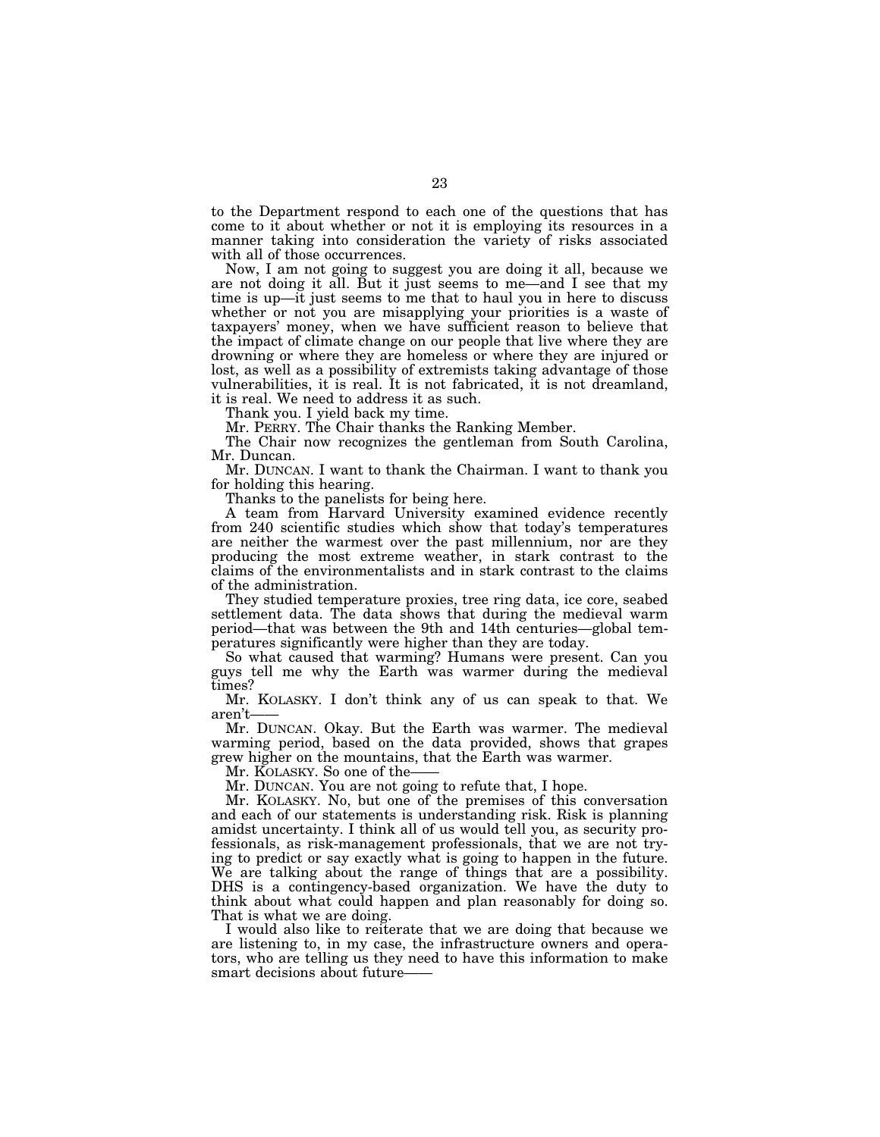to the Department respond to each one of the questions that has come to it about whether or not it is employing its resources in a manner taking into consideration the variety of risks associated with all of those occurrences.

Now, I am not going to suggest you are doing it all, because we are not doing it all. But it just seems to me—and I see that my time is up—it just seems to me that to haul you in here to discuss whether or not you are misapplying your priorities is a waste of taxpayers' money, when we have sufficient reason to believe that the impact of climate change on our people that live where they are drowning or where they are homeless or where they are injured or lost, as well as a possibility of extremists taking advantage of those vulnerabilities, it is real. It is not fabricated, it is not dreamland, it is real. We need to address it as such.

Thank you. I yield back my time.

Mr. PERRY. The Chair thanks the Ranking Member.

The Chair now recognizes the gentleman from South Carolina, Mr. Duncan.

Mr. DUNCAN. I want to thank the Chairman. I want to thank you for holding this hearing.

Thanks to the panelists for being here.

A team from Harvard University examined evidence recently from 240 scientific studies which show that today's temperatures are neither the warmest over the past millennium, nor are they producing the most extreme weather, in stark contrast to the claims of the environmentalists and in stark contrast to the claims of the administration.

They studied temperature proxies, tree ring data, ice core, seabed settlement data. The data shows that during the medieval warm period—that was between the 9th and 14th centuries—global temperatures significantly were higher than they are today.

So what caused that warming? Humans were present. Can you guys tell me why the Earth was warmer during the medieval times?

Mr. KOLASKY. I don't think any of us can speak to that. We aren't——

Mr. DUNCAN. Okay. But the Earth was warmer. The medieval warming period, based on the data provided, shows that grapes grew higher on the mountains, that the Earth was warmer.

Mr. KOLASKY. So one of the-

Mr. DUNCAN. You are not going to refute that, I hope.

Mr. KOLASKY. No, but one of the premises of this conversation and each of our statements is understanding risk. Risk is planning amidst uncertainty. I think all of us would tell you, as security professionals, as risk-management professionals, that we are not trying to predict or say exactly what is going to happen in the future. We are talking about the range of things that are a possibility. DHS is a contingency-based organization. We have the duty to think about what could happen and plan reasonably for doing so. That is what we are doing.

I would also like to reiterate that we are doing that because we are listening to, in my case, the infrastructure owners and operators, who are telling us they need to have this information to make smart decisions about future–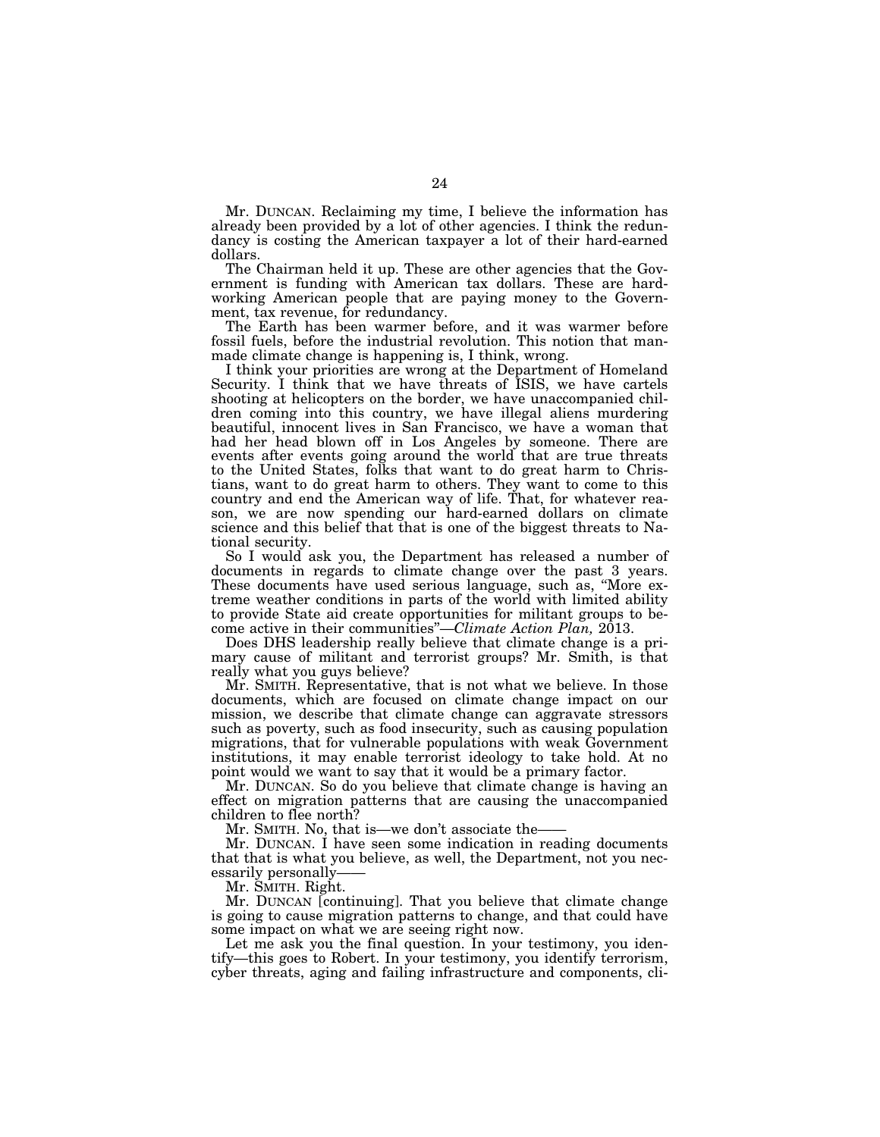Mr. DUNCAN. Reclaiming my time, I believe the information has already been provided by a lot of other agencies. I think the redundancy is costing the American taxpayer a lot of their hard-earned dollars.

The Chairman held it up. These are other agencies that the Government is funding with American tax dollars. These are hardworking American people that are paying money to the Government, tax revenue, for redundancy.

The Earth has been warmer before, and it was warmer before fossil fuels, before the industrial revolution. This notion that manmade climate change is happening is, I think, wrong.

I think your priorities are wrong at the Department of Homeland Security. I think that we have threats of ISIS, we have cartels shooting at helicopters on the border, we have unaccompanied children coming into this country, we have illegal aliens murdering beautiful, innocent lives in San Francisco, we have a woman that had her head blown off in Los Angeles by someone. There are events after events going around the world that are true threats to the United States, folks that want to do great harm to Christians, want to do great harm to others. They want to come to this country and end the American way of life. That, for whatever reason, we are now spending our hard-earned dollars on climate science and this belief that that is one of the biggest threats to National security.

So I would ask you, the Department has released a number of documents in regards to climate change over the past 3 years. These documents have used serious language, such as, ''More extreme weather conditions in parts of the world with limited ability to provide State aid create opportunities for militant groups to become active in their communities''—*Climate Action Plan,* 2013.

Does DHS leadership really believe that climate change is a primary cause of militant and terrorist groups? Mr. Smith, is that really what you guys believe?

Mr. SMITH. Representative, that is not what we believe. In those documents, which are focused on climate change impact on our mission, we describe that climate change can aggravate stressors such as poverty, such as food insecurity, such as causing population migrations, that for vulnerable populations with weak Government institutions, it may enable terrorist ideology to take hold. At no point would we want to say that it would be a primary factor.

Mr. DUNCAN. So do you believe that climate change is having an effect on migration patterns that are causing the unaccompanied children to flee north?

Mr. SMITH. No, that is—we don't associate the–

Mr. DUNCAN. I have seen some indication in reading documents that that is what you believe, as well, the Department, not you necessarily personally——

Mr. SMITH. Right.

Mr. DUNCAN [continuing]. That you believe that climate change is going to cause migration patterns to change, and that could have some impact on what we are seeing right now.

Let me ask you the final question. In your testimony, you identify—this goes to Robert. In your testimony, you identify terrorism, cyber threats, aging and failing infrastructure and components, cli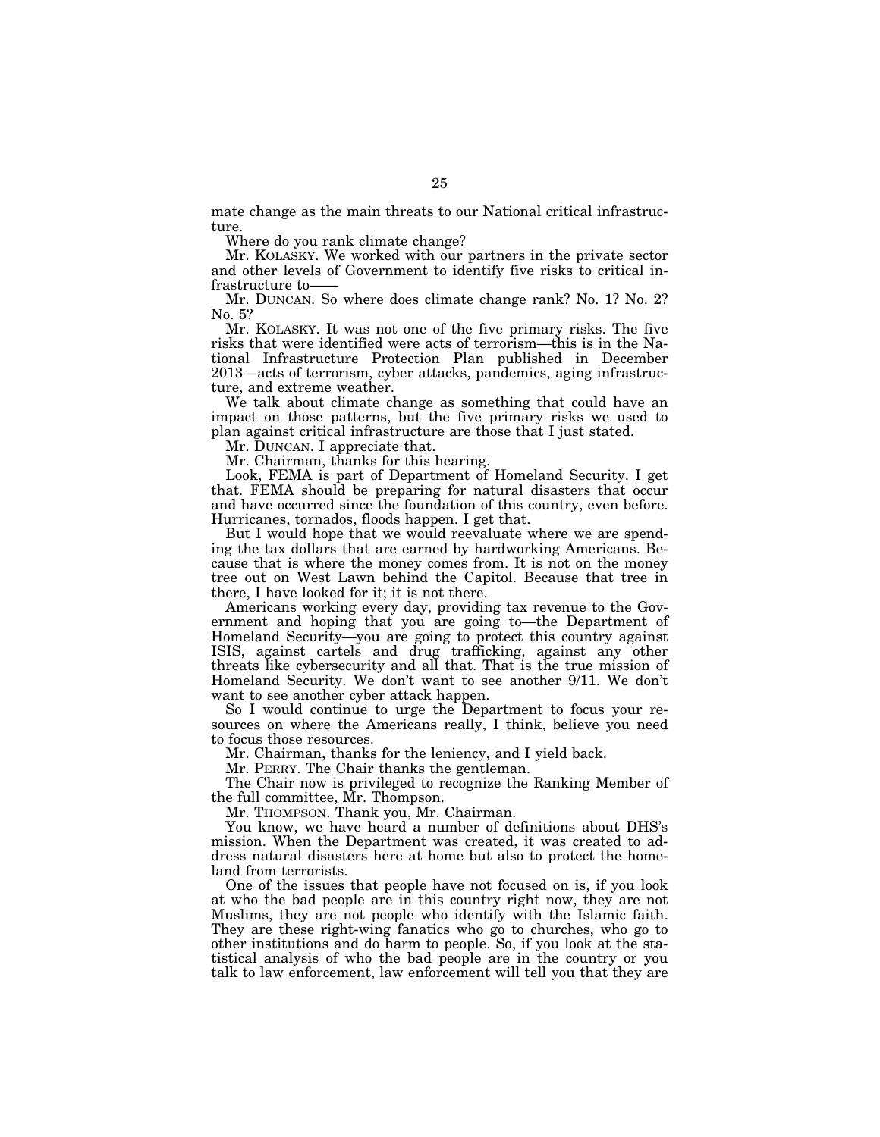mate change as the main threats to our National critical infrastructure.

Where do you rank climate change?

Mr. KOLASKY. We worked with our partners in the private sector and other levels of Government to identify five risks to critical infrastructure to-

Mr. DUNCAN. So where does climate change rank? No. 1? No. 2? No. 5?

Mr. KOLASKY. It was not one of the five primary risks. The five risks that were identified were acts of terrorism—this is in the National Infrastructure Protection Plan published in December 2013—acts of terrorism, cyber attacks, pandemics, aging infrastructure, and extreme weather.

We talk about climate change as something that could have an impact on those patterns, but the five primary risks we used to plan against critical infrastructure are those that I just stated.

Mr. DUNCAN. I appreciate that.

Mr. Chairman, thanks for this hearing.

Look, FEMA is part of Department of Homeland Security. I get that. FEMA should be preparing for natural disasters that occur and have occurred since the foundation of this country, even before. Hurricanes, tornados, floods happen. I get that.

But I would hope that we would reevaluate where we are spending the tax dollars that are earned by hardworking Americans. Because that is where the money comes from. It is not on the money tree out on West Lawn behind the Capitol. Because that tree in there, I have looked for it; it is not there.

Americans working every day, providing tax revenue to the Government and hoping that you are going to—the Department of Homeland Security—you are going to protect this country against ISIS, against cartels and drug trafficking, against any other threats like cybersecurity and all that. That is the true mission of Homeland Security. We don't want to see another 9/11. We don't want to see another cyber attack happen.

So I would continue to urge the Department to focus your resources on where the Americans really, I think, believe you need to focus those resources.

Mr. Chairman, thanks for the leniency, and I yield back.

Mr. PERRY. The Chair thanks the gentleman.

The Chair now is privileged to recognize the Ranking Member of the full committee, Mr. Thompson.

Mr. THOMPSON. Thank you, Mr. Chairman.

You know, we have heard a number of definitions about DHS's mission. When the Department was created, it was created to address natural disasters here at home but also to protect the homeland from terrorists.

One of the issues that people have not focused on is, if you look at who the bad people are in this country right now, they are not Muslims, they are not people who identify with the Islamic faith. They are these right-wing fanatics who go to churches, who go to other institutions and do harm to people. So, if you look at the statistical analysis of who the bad people are in the country or you talk to law enforcement, law enforcement will tell you that they are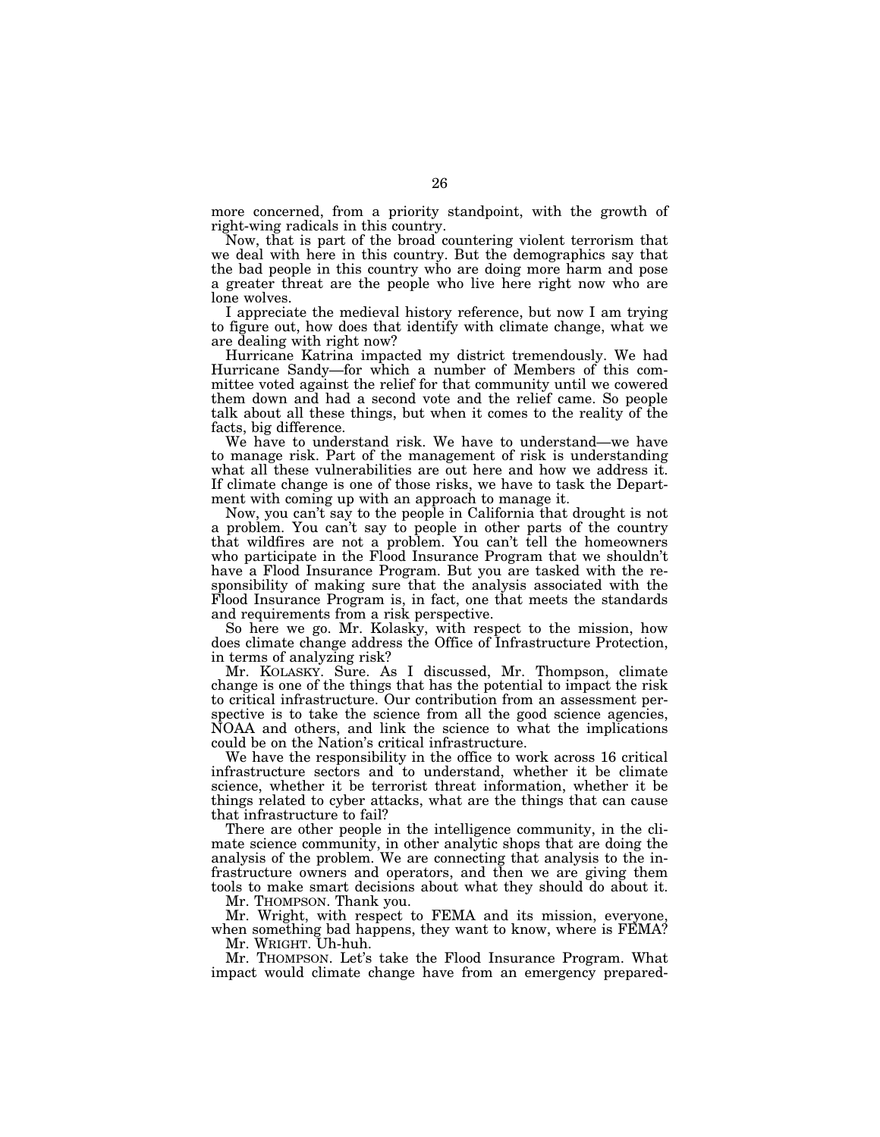more concerned, from a priority standpoint, with the growth of right-wing radicals in this country.

Now, that is part of the broad countering violent terrorism that we deal with here in this country. But the demographics say that the bad people in this country who are doing more harm and pose a greater threat are the people who live here right now who are lone wolves.

I appreciate the medieval history reference, but now I am trying to figure out, how does that identify with climate change, what we are dealing with right now?

Hurricane Katrina impacted my district tremendously. We had Hurricane Sandy—for which a number of Members of this committee voted against the relief for that community until we cowered them down and had a second vote and the relief came. So people talk about all these things, but when it comes to the reality of the facts, big difference.

We have to understand risk. We have to understand—we have to manage risk. Part of the management of risk is understanding what all these vulnerabilities are out here and how we address it. If climate change is one of those risks, we have to task the Department with coming up with an approach to manage it.

Now, you can't say to the people in California that drought is not a problem. You can't say to people in other parts of the country that wildfires are not a problem. You can't tell the homeowners who participate in the Flood Insurance Program that we shouldn't have a Flood Insurance Program. But you are tasked with the responsibility of making sure that the analysis associated with the Flood Insurance Program is, in fact, one that meets the standards and requirements from a risk perspective.

So here we go. Mr. Kolasky, with respect to the mission, how does climate change address the Office of Infrastructure Protection, in terms of analyzing risk?

Mr. KOLASKY. Sure. As I discussed, Mr. Thompson, climate change is one of the things that has the potential to impact the risk to critical infrastructure. Our contribution from an assessment perspective is to take the science from all the good science agencies, NOAA and others, and link the science to what the implications could be on the Nation's critical infrastructure.

We have the responsibility in the office to work across 16 critical infrastructure sectors and to understand, whether it be climate science, whether it be terrorist threat information, whether it be things related to cyber attacks, what are the things that can cause that infrastructure to fail?

There are other people in the intelligence community, in the climate science community, in other analytic shops that are doing the analysis of the problem. We are connecting that analysis to the infrastructure owners and operators, and then we are giving them tools to make smart decisions about what they should do about it.

Mr. THOMPSON. Thank you.

Mr. Wright, with respect to FEMA and its mission, everyone, when something bad happens, they want to know, where is FEMA? Mr. WRIGHT. Uh-huh.

Mr. THOMPSON. Let's take the Flood Insurance Program. What impact would climate change have from an emergency prepared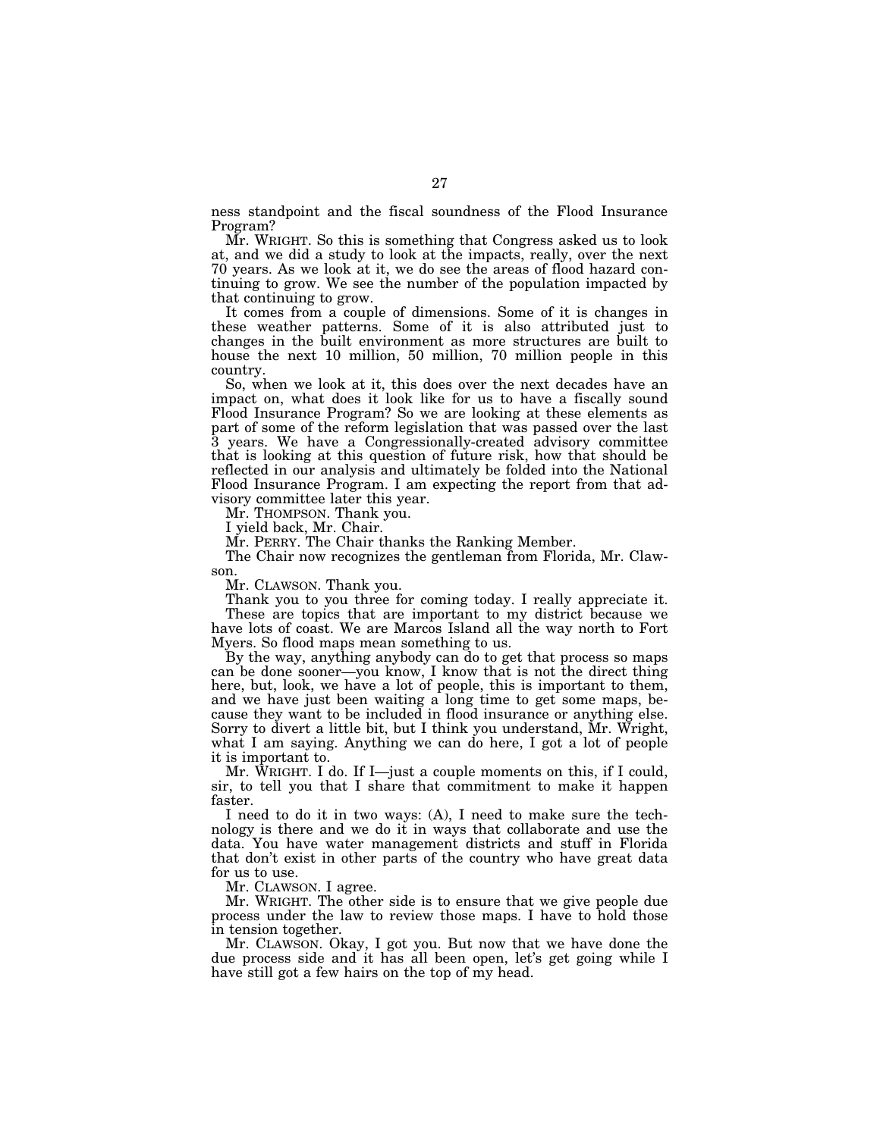ness standpoint and the fiscal soundness of the Flood Insurance Program?

Mr. WRIGHT. So this is something that Congress asked us to look at, and we did a study to look at the impacts, really, over the next 70 years. As we look at it, we do see the areas of flood hazard continuing to grow. We see the number of the population impacted by that continuing to grow.

It comes from a couple of dimensions. Some of it is changes in these weather patterns. Some of it is also attributed just to changes in the built environment as more structures are built to house the next 10 million, 50 million, 70 million people in this country.

So, when we look at it, this does over the next decades have an impact on, what does it look like for us to have a fiscally sound Flood Insurance Program? So we are looking at these elements as part of some of the reform legislation that was passed over the last 3 years. We have a Congressionally-created advisory committee that is looking at this question of future risk, how that should be reflected in our analysis and ultimately be folded into the National Flood Insurance Program. I am expecting the report from that advisory committee later this year.

Mr. THOMPSON. Thank you.

I yield back, Mr. Chair.

Mr. PERRY. The Chair thanks the Ranking Member.

The Chair now recognizes the gentleman from Florida, Mr. Clawson.

Mr. CLAWSON. Thank you.

Thank you to you three for coming today. I really appreciate it.

These are topics that are important to my district because we have lots of coast. We are Marcos Island all the way north to Fort Myers. So flood maps mean something to us.

By the way, anything anybody can do to get that process so maps can be done sooner—you know, I know that is not the direct thing here, but, look, we have a lot of people, this is important to them, and we have just been waiting a long time to get some maps, because they want to be included in flood insurance or anything else. Sorry to divert a little bit, but I think you understand, Mr. Wright, what I am saying. Anything we can do here, I got a lot of people it is important to.

Mr. WRIGHT. I do. If I—just a couple moments on this, if I could, sir, to tell you that I share that commitment to make it happen faster.

I need to do it in two ways: (A), I need to make sure the technology is there and we do it in ways that collaborate and use the data. You have water management districts and stuff in Florida that don't exist in other parts of the country who have great data for us to use.

Mr. CLAWSON. I agree.

Mr. WRIGHT. The other side is to ensure that we give people due process under the law to review those maps. I have to hold those in tension together.

Mr. CLAWSON. Okay, I got you. But now that we have done the due process side and it has all been open, let's get going while I have still got a few hairs on the top of my head.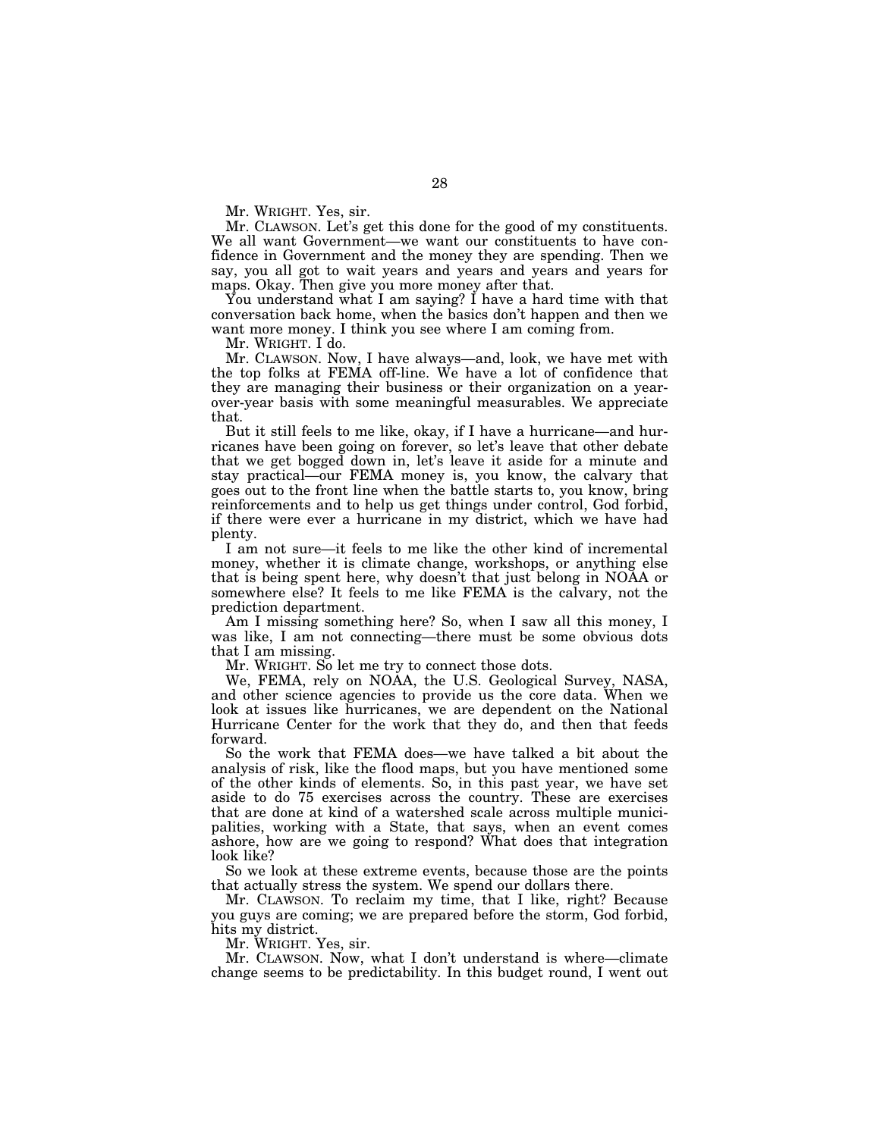Mr. WRIGHT. Yes, sir.

Mr. CLAWSON. Let's get this done for the good of my constituents. We all want Government—we want our constituents to have confidence in Government and the money they are spending. Then we say, you all got to wait years and years and years and years for maps. Okay. Then give you more money after that.

You understand what I am saying? I have a hard time with that conversation back home, when the basics don't happen and then we want more money. I think you see where I am coming from.

Mr. WRIGHT. I do.

Mr. CLAWSON. Now, I have always—and, look, we have met with the top folks at FEMA off-line. We have a lot of confidence that they are managing their business or their organization on a yearover-year basis with some meaningful measurables. We appreciate that.

But it still feels to me like, okay, if I have a hurricane—and hurricanes have been going on forever, so let's leave that other debate that we get bogged down in, let's leave it aside for a minute and stay practical—our FEMA money is, you know, the calvary that goes out to the front line when the battle starts to, you know, bring reinforcements and to help us get things under control, God forbid, if there were ever a hurricane in my district, which we have had plenty.

I am not sure—it feels to me like the other kind of incremental money, whether it is climate change, workshops, or anything else that is being spent here, why doesn't that just belong in NOAA or somewhere else? It feels to me like FEMA is the calvary, not the prediction department.

Am I missing something here? So, when I saw all this money, I was like, I am not connecting—there must be some obvious dots that I am missing.

Mr. WRIGHT. So let me try to connect those dots.

We, FEMA, rely on NOAA, the U.S. Geological Survey, NASA, and other science agencies to provide us the core data. When we look at issues like hurricanes, we are dependent on the National Hurricane Center for the work that they do, and then that feeds forward.

So the work that FEMA does—we have talked a bit about the analysis of risk, like the flood maps, but you have mentioned some of the other kinds of elements. So, in this past year, we have set aside to do 75 exercises across the country. These are exercises that are done at kind of a watershed scale across multiple municipalities, working with a State, that says, when an event comes ashore, how are we going to respond? What does that integration look like?

So we look at these extreme events, because those are the points that actually stress the system. We spend our dollars there.

Mr. CLAWSON. To reclaim my time, that I like, right? Because you guys are coming; we are prepared before the storm, God forbid, hits my district.

Mr. WRIGHT. Yes, sir.

Mr. CLAWSON. Now, what I don't understand is where—climate change seems to be predictability. In this budget round, I went out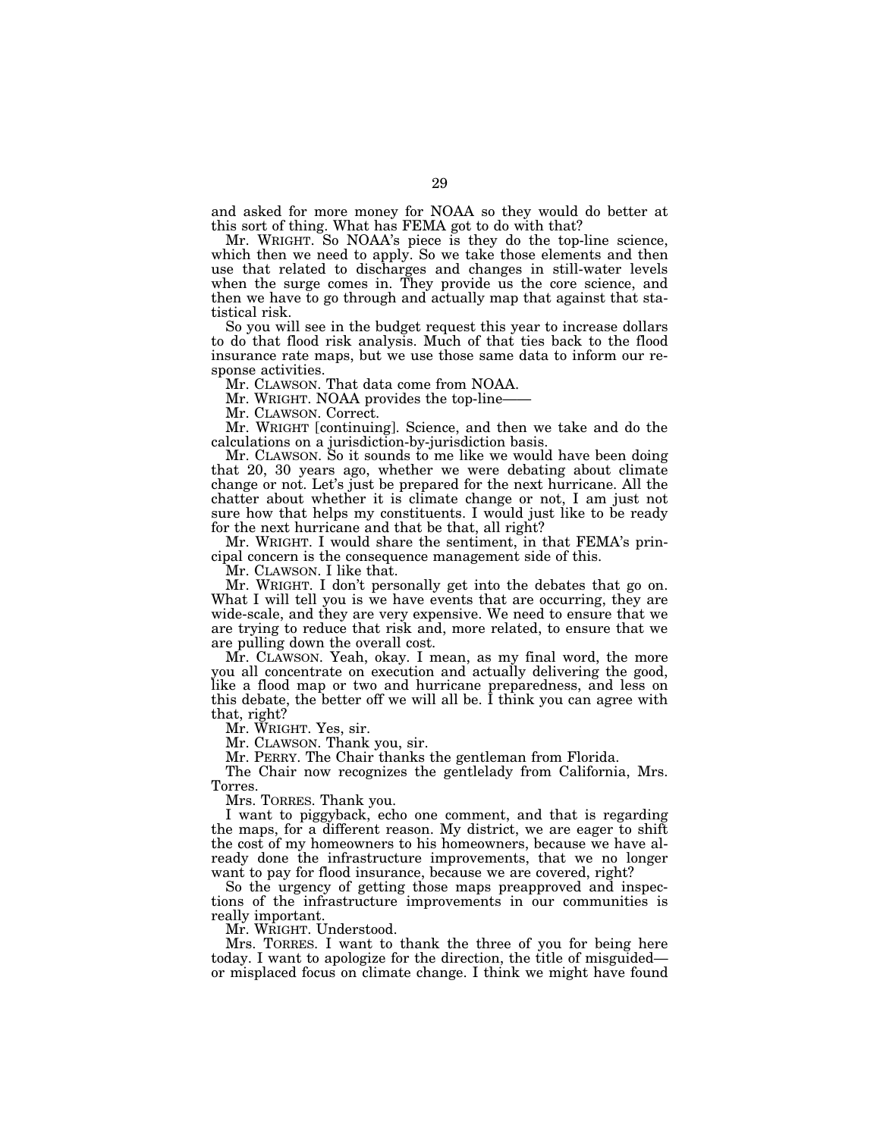and asked for more money for NOAA so they would do better at this sort of thing. What has FEMA got to do with that?

Mr. WRIGHT. So NOAA's piece is they do the top-line science, which then we need to apply. So we take those elements and then use that related to discharges and changes in still-water levels when the surge comes in. They provide us the core science, and then we have to go through and actually map that against that statistical risk.

So you will see in the budget request this year to increase dollars to do that flood risk analysis. Much of that ties back to the flood insurance rate maps, but we use those same data to inform our response activities.

Mr. CLAWSON. That data come from NOAA.

Mr. WRIGHT. NOAA provides the top-line-

Mr. CLAWSON. Correct.

Mr. WRIGHT [continuing]. Science, and then we take and do the calculations on a jurisdiction-by-jurisdiction basis.

Mr. CLAWSON. So it sounds to me like we would have been doing that 20, 30 years ago, whether we were debating about climate change or not. Let's just be prepared for the next hurricane. All the chatter about whether it is climate change or not, I am just not sure how that helps my constituents. I would just like to be ready for the next hurricane and that be that, all right?

Mr. WRIGHT. I would share the sentiment, in that FEMA's principal concern is the consequence management side of this.

Mr. CLAWSON. I like that.

Mr. WRIGHT. I don't personally get into the debates that go on. What I will tell you is we have events that are occurring, they are wide-scale, and they are very expensive. We need to ensure that we are trying to reduce that risk and, more related, to ensure that we are pulling down the overall cost.

Mr. CLAWSON. Yeah, okay. I mean, as my final word, the more you all concentrate on execution and actually delivering the good, like a flood map or two and hurricane preparedness, and less on this debate, the better off we will all be. I think you can agree with that, right?

Mr. WRIGHT. Yes, sir.

Mr. CLAWSON. Thank you, sir.

Mr. PERRY. The Chair thanks the gentleman from Florida.

The Chair now recognizes the gentlelady from California, Mrs. Torres.

Mrs. TORRES. Thank you.

I want to piggyback, echo one comment, and that is regarding the maps, for a different reason. My district, we are eager to shift the cost of my homeowners to his homeowners, because we have already done the infrastructure improvements, that we no longer want to pay for flood insurance, because we are covered, right?

So the urgency of getting those maps preapproved and inspections of the infrastructure improvements in our communities is really important.

Mr. WRIGHT. Understood.

Mrs. TORRES. I want to thank the three of you for being here today. I want to apologize for the direction, the title of misguided or misplaced focus on climate change. I think we might have found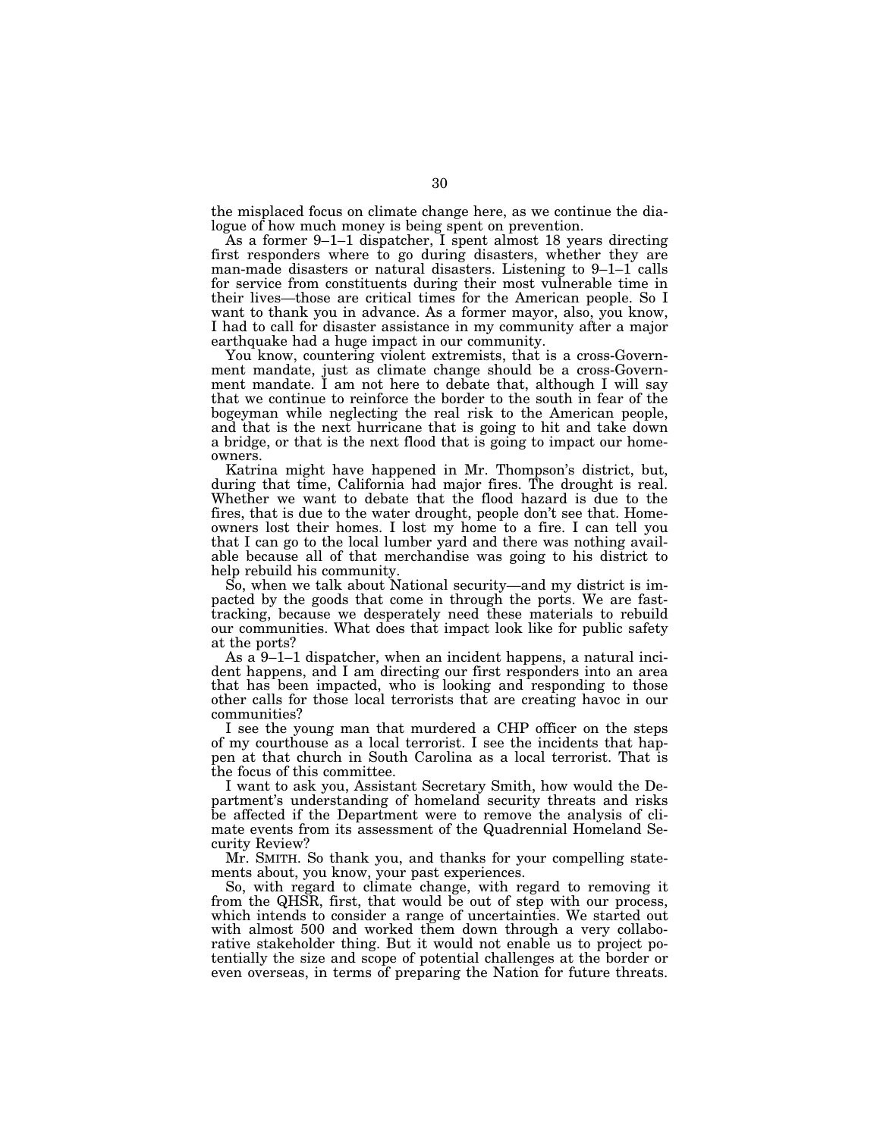the misplaced focus on climate change here, as we continue the dialogue of how much money is being spent on prevention.

As a former 9–1–1 dispatcher, I spent almost 18 years directing first responders where to go during disasters, whether they are man-made disasters or natural disasters. Listening to 9–1–1 calls for service from constituents during their most vulnerable time in their lives—those are critical times for the American people. So I want to thank you in advance. As a former mayor, also, you know, I had to call for disaster assistance in my community after a major earthquake had a huge impact in our community.

You know, countering violent extremists, that is a cross-Government mandate, just as climate change should be a cross-Government mandate. I am not here to debate that, although I will say that we continue to reinforce the border to the south in fear of the bogeyman while neglecting the real risk to the American people, and that is the next hurricane that is going to hit and take down a bridge, or that is the next flood that is going to impact our homeowners.

Katrina might have happened in Mr. Thompson's district, but, during that time, California had major fires. The drought is real. Whether we want to debate that the flood hazard is due to the fires, that is due to the water drought, people don't see that. Homeowners lost their homes. I lost my home to a fire. I can tell you that I can go to the local lumber yard and there was nothing available because all of that merchandise was going to his district to help rebuild his community.

So, when we talk about National security—and my district is impacted by the goods that come in through the ports. We are fasttracking, because we desperately need these materials to rebuild our communities. What does that impact look like for public safety at the ports?

As a 9–1–1 dispatcher, when an incident happens, a natural incident happens, and I am directing our first responders into an area that has been impacted, who is looking and responding to those other calls for those local terrorists that are creating havoc in our communities?

I see the young man that murdered a CHP officer on the steps of my courthouse as a local terrorist. I see the incidents that happen at that church in South Carolina as a local terrorist. That is the focus of this committee.

I want to ask you, Assistant Secretary Smith, how would the Department's understanding of homeland security threats and risks be affected if the Department were to remove the analysis of climate events from its assessment of the Quadrennial Homeland Security Review?

Mr. SMITH. So thank you, and thanks for your compelling statements about, you know, your past experiences.

So, with regard to climate change, with regard to removing it from the QHSR, first, that would be out of step with our process, which intends to consider a range of uncertainties. We started out with almost 500 and worked them down through a very collaborative stakeholder thing. But it would not enable us to project potentially the size and scope of potential challenges at the border or even overseas, in terms of preparing the Nation for future threats.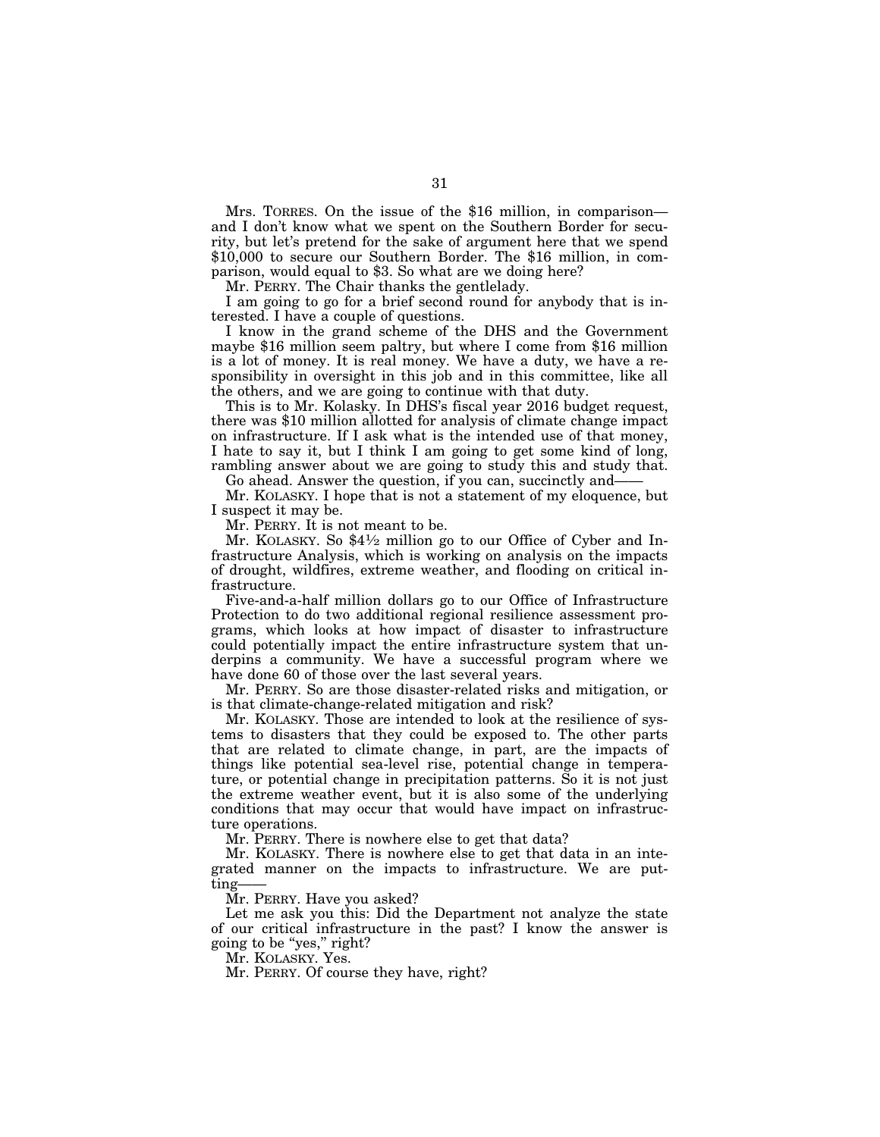Mrs. TORRES. On the issue of the \$16 million, in comparison and I don't know what we spent on the Southern Border for security, but let's pretend for the sake of argument here that we spend \$10,000 to secure our Southern Border. The \$16 million, in comparison, would equal to \$3. So what are we doing here?

Mr. PERRY. The Chair thanks the gentlelady.

I am going to go for a brief second round for anybody that is interested. I have a couple of questions.

I know in the grand scheme of the DHS and the Government maybe \$16 million seem paltry, but where I come from \$16 million is a lot of money. It is real money. We have a duty, we have a responsibility in oversight in this job and in this committee, like all the others, and we are going to continue with that duty.

This is to Mr. Kolasky. In DHS's fiscal year 2016 budget request, there was \$10 million allotted for analysis of climate change impact on infrastructure. If I ask what is the intended use of that money, I hate to say it, but I think I am going to get some kind of long, rambling answer about we are going to study this and study that.

Go ahead. Answer the question, if you can, succinctly and-

Mr. KOLASKY. I hope that is not a statement of my eloquence, but I suspect it may be.

Mr. PERRY. It is not meant to be.

Mr. KOLASKY. So \$41⁄2 million go to our Office of Cyber and Infrastructure Analysis, which is working on analysis on the impacts of drought, wildfires, extreme weather, and flooding on critical infrastructure.

Five-and-a-half million dollars go to our Office of Infrastructure Protection to do two additional regional resilience assessment programs, which looks at how impact of disaster to infrastructure could potentially impact the entire infrastructure system that underpins a community. We have a successful program where we have done 60 of those over the last several years.

Mr. PERRY. So are those disaster-related risks and mitigation, or is that climate-change-related mitigation and risk?

Mr. KOLASKY. Those are intended to look at the resilience of systems to disasters that they could be exposed to. The other parts that are related to climate change, in part, are the impacts of things like potential sea-level rise, potential change in temperature, or potential change in precipitation patterns. So it is not just the extreme weather event, but it is also some of the underlying conditions that may occur that would have impact on infrastructure operations.

Mr. PERRY. There is nowhere else to get that data?

Mr. KOLASKY. There is nowhere else to get that data in an integrated manner on the impacts to infrastructure. We are putting-

Mr. PERRY. Have you asked?

Let me ask you this: Did the Department not analyze the state of our critical infrastructure in the past? I know the answer is going to be "yes," right?

Mr. KOLASKY. Yes.

Mr. PERRY. Of course they have, right?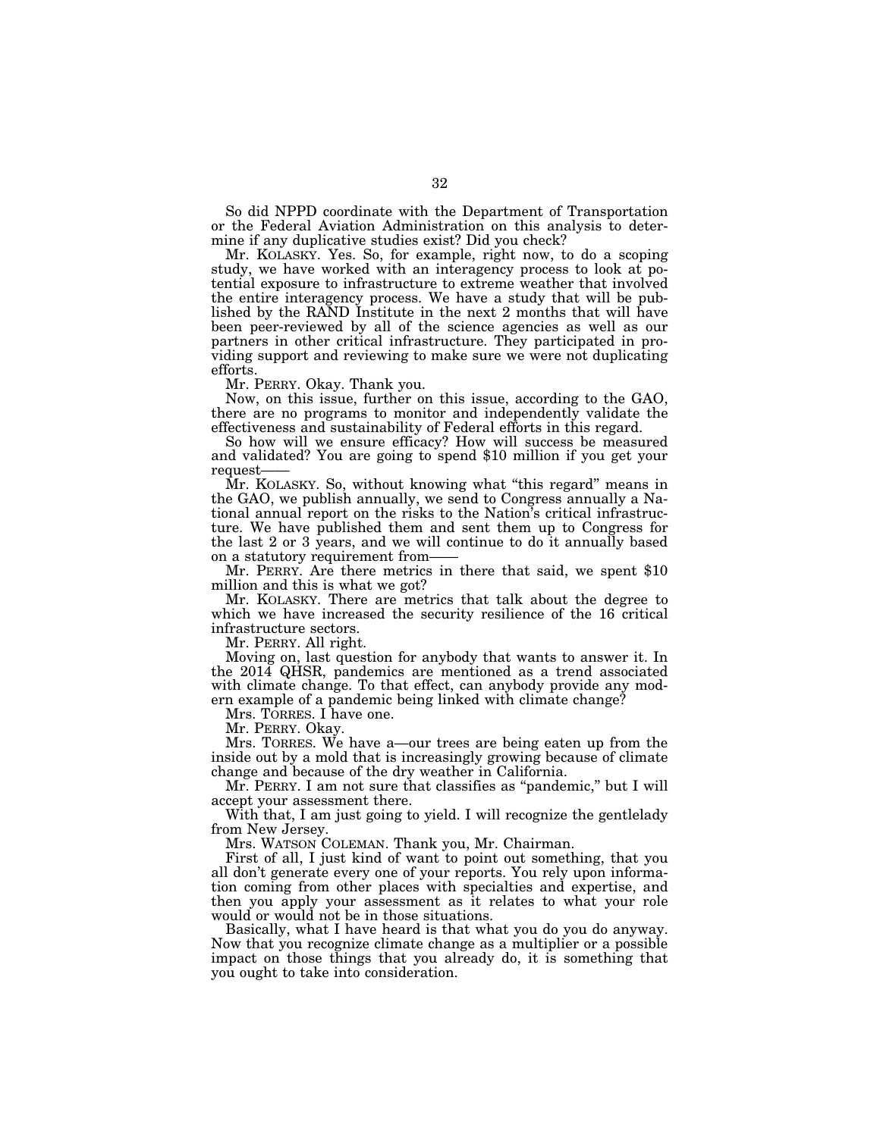So did NPPD coordinate with the Department of Transportation or the Federal Aviation Administration on this analysis to determine if any duplicative studies exist? Did you check?

Mr. KOLASKY. Yes. So, for example, right now, to do a scoping study, we have worked with an interagency process to look at potential exposure to infrastructure to extreme weather that involved the entire interagency process. We have a study that will be published by the RAND Institute in the next 2 months that will have been peer-reviewed by all of the science agencies as well as our partners in other critical infrastructure. They participated in providing support and reviewing to make sure we were not duplicating efforts.

Mr. PERRY. Okay. Thank you.

Now, on this issue, further on this issue, according to the GAO, there are no programs to monitor and independently validate the effectiveness and sustainability of Federal efforts in this regard.

So how will we ensure efficacy? How will success be measured and validated? You are going to spend \$10 million if you get your request——

Mr. KOLASKY. So, without knowing what ''this regard'' means in the GAO, we publish annually, we send to Congress annually a National annual report on the risks to the Nation's critical infrastructure. We have published them and sent them up to Congress for the last 2 or 3 years, and we will continue to do it annually based on a statutory requirement from——

Mr. PERRY. Are there metrics in there that said, we spent \$10 million and this is what we got?

Mr. KOLASKY. There are metrics that talk about the degree to which we have increased the security resilience of the 16 critical infrastructure sectors.

Mr. PERRY. All right.

Moving on, last question for anybody that wants to answer it. In the 2014 QHSR, pandemics are mentioned as a trend associated with climate change. To that effect, can anybody provide any modern example of a pandemic being linked with climate change?

Mrs. TORRES. I have one.

Mr. PERRY. Okay.

Mrs. TORRES. We have a—our trees are being eaten up from the inside out by a mold that is increasingly growing because of climate change and because of the dry weather in California.

Mr. PERRY. I am not sure that classifies as ''pandemic,'' but I will accept your assessment there.

With that, I am just going to yield. I will recognize the gentlelady from New Jersey.

Mrs. WATSON COLEMAN. Thank you, Mr. Chairman.

First of all, I just kind of want to point out something, that you all don't generate every one of your reports. You rely upon information coming from other places with specialties and expertise, and then you apply your assessment as it relates to what your role would or would not be in those situations.

Basically, what I have heard is that what you do you do anyway. Now that you recognize climate change as a multiplier or a possible impact on those things that you already do, it is something that you ought to take into consideration.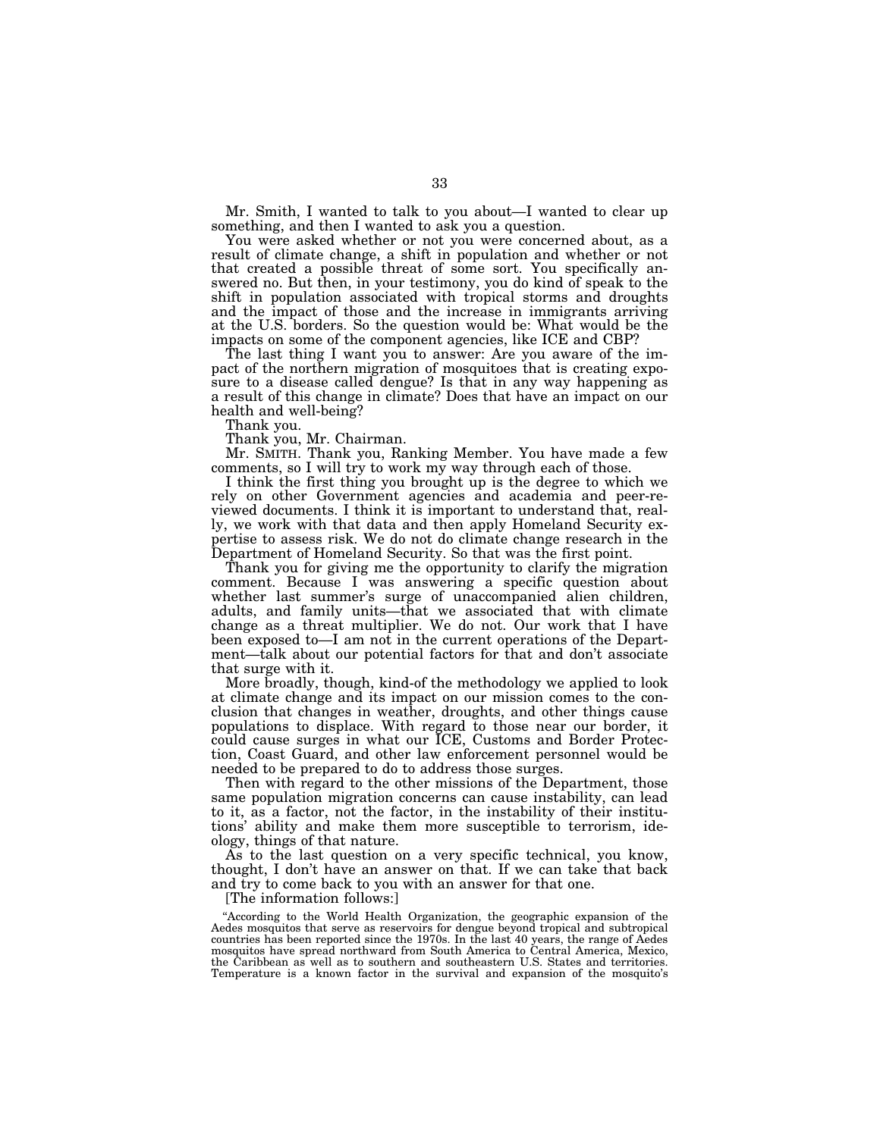Mr. Smith, I wanted to talk to you about—I wanted to clear up something, and then I wanted to ask you a question.

You were asked whether or not you were concerned about, as a result of climate change, a shift in population and whether or not that created a possible threat of some sort. You specifically answered no. But then, in your testimony, you do kind of speak to the shift in population associated with tropical storms and droughts and the impact of those and the increase in immigrants arriving at the U.S. borders. So the question would be: What would be the impacts on some of the component agencies, like ICE and CBP?

The last thing I want you to answer: Are you aware of the impact of the northern migration of mosquitoes that is creating exposure to a disease called dengue? Is that in any way happening as a result of this change in climate? Does that have an impact on our health and well-being?

Thank you.

Thank you, Mr. Chairman.

Mr. SMITH. Thank you, Ranking Member. You have made a few comments, so I will try to work my way through each of those.

I think the first thing you brought up is the degree to which we rely on other Government agencies and academia and peer-reviewed documents. I think it is important to understand that, really, we work with that data and then apply Homeland Security expertise to assess risk. We do not do climate change research in the Department of Homeland Security. So that was the first point.

Thank you for giving me the opportunity to clarify the migration comment. Because I was answering a specific question about whether last summer's surge of unaccompanied alien children, adults, and family units—that we associated that with climate change as a threat multiplier. We do not. Our work that I have been exposed to—I am not in the current operations of the Department—talk about our potential factors for that and don't associate that surge with it.

More broadly, though, kind-of the methodology we applied to look at climate change and its impact on our mission comes to the conclusion that changes in weather, droughts, and other things cause populations to displace. With regard to those near our border, it could cause surges in what our ICE, Customs and Border Protection, Coast Guard, and other law enforcement personnel would be needed to be prepared to do to address those surges.

Then with regard to the other missions of the Department, those same population migration concerns can cause instability, can lead to it, as a factor, not the factor, in the instability of their institutions' ability and make them more susceptible to terrorism, ideology, things of that nature.

As to the last question on a very specific technical, you know, thought, I don't have an answer on that. If we can take that back and try to come back to you with an answer for that one.

[The information follows:]

"According to the World Health Organization, the geographic expansion of the Aedes mosquitos that serve as reservoirs for dengue beyond tropical and subtropical countries has been reported since the 1970s. In the last 40 years, the range of Aedes mosquitos have spread northward from South America to Central America, Mexico, the Caribbean as well as to southern and southeastern U.S. States and territories. Temperature is a known factor in the survival and expansion of the mosquito's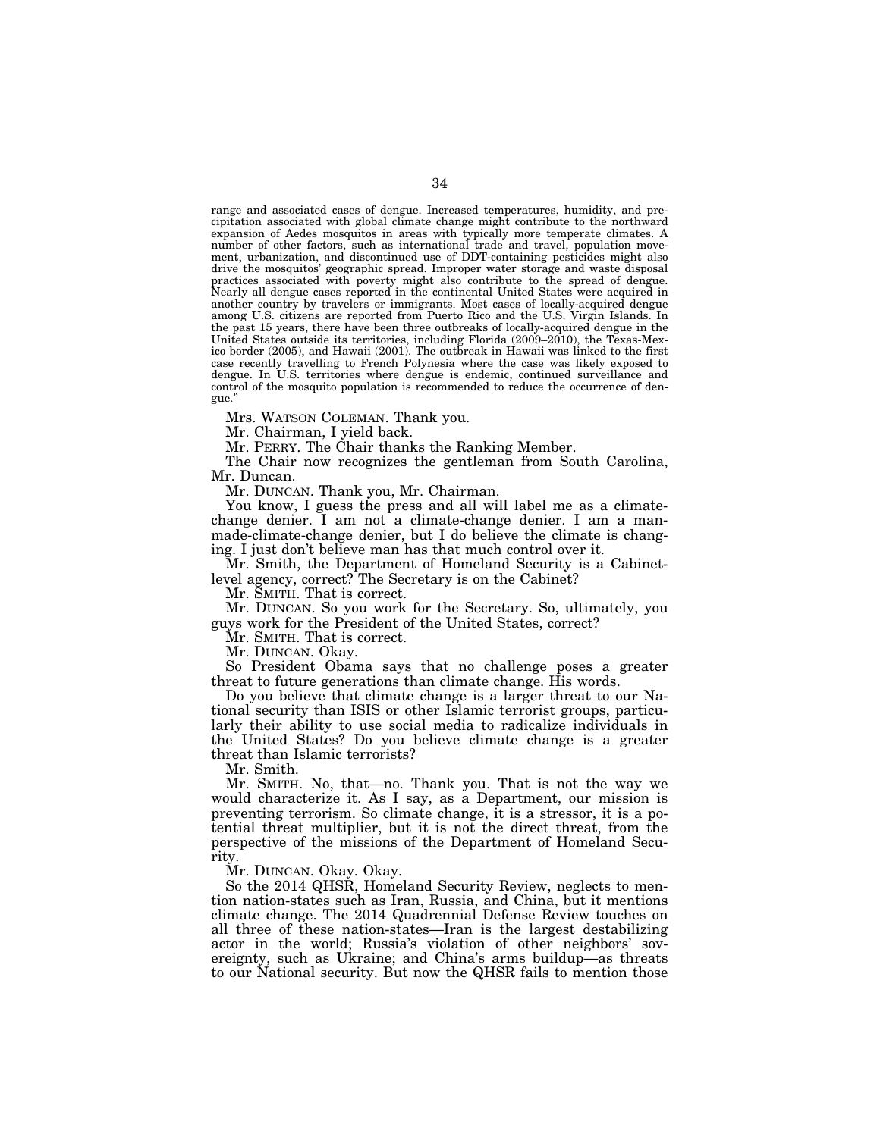range and associated cases of dengue. Increased temperatures, humidity, and precipitation associated with global climate change might contribute to the northward expansion of Aedes mosquitos in areas with typically more temperate climates. A number of other factors, such as international trade and travel, population movement, urbanization, and discontinued use of DDT-containing pesticides might also drive the mosquitos' geographic spread. Improper water storage and waste disposal practices associated with poverty might also contribute to the spread of dengue. Nearly all dengue cases reported in the continental United States were acquired in another country by travelers or immigrants. Most cases of locally-acquired dengue among U.S. citizens are reported from Puerto Rico and the U.S. Virgin Islands. In the past 15 years, there have been three outbreaks of locally-acquired dengue in the United States outside its territories, including Florida (2009–2010), the Texas-Mexico border (2005), and Hawaii (2001). The outbreak in Hawaii was linked to the first case recently travelling to French Polynesia where the case was likely exposed to dengue. In U.S. territories where dengue is endemic, continued surveillance and control of the mosquito population is recommended to reduce the occurrence of dengue.''

Mrs. WATSON COLEMAN. Thank you.

Mr. Chairman, I yield back.

Mr. PERRY. The Chair thanks the Ranking Member.

The Chair now recognizes the gentleman from South Carolina, Mr. Duncan.

Mr. DUNCAN. Thank you, Mr. Chairman.

You know, I guess the press and all will label me as a climatechange denier. I am not a climate-change denier. I am a manmade-climate-change denier, but I do believe the climate is changing. I just don't believe man has that much control over it.

Mr. Smith, the Department of Homeland Security is a Cabinetlevel agency, correct? The Secretary is on the Cabinet?

Mr. SMITH. That is correct.

Mr. DUNCAN. So you work for the Secretary. So, ultimately, you guys work for the President of the United States, correct?

Mr. SMITH. That is correct.

Mr. DUNCAN. Okay.

So President Obama says that no challenge poses a greater threat to future generations than climate change. His words.

Do you believe that climate change is a larger threat to our National security than ISIS or other Islamic terrorist groups, particularly their ability to use social media to radicalize individuals in the United States? Do you believe climate change is a greater threat than Islamic terrorists?

Mr. Smith.

Mr. SMITH. No, that—no. Thank you. That is not the way we would characterize it. As I say, as a Department, our mission is preventing terrorism. So climate change, it is a stressor, it is a potential threat multiplier, but it is not the direct threat, from the perspective of the missions of the Department of Homeland Security.

Mr. DUNCAN. Okay. Okay.

So the 2014 QHSR, Homeland Security Review, neglects to mention nation-states such as Iran, Russia, and China, but it mentions climate change. The 2014 Quadrennial Defense Review touches on all three of these nation-states—Iran is the largest destabilizing actor in the world; Russia's violation of other neighbors' sovereignty, such as Ukraine; and China's arms buildup—as threats to our National security. But now the QHSR fails to mention those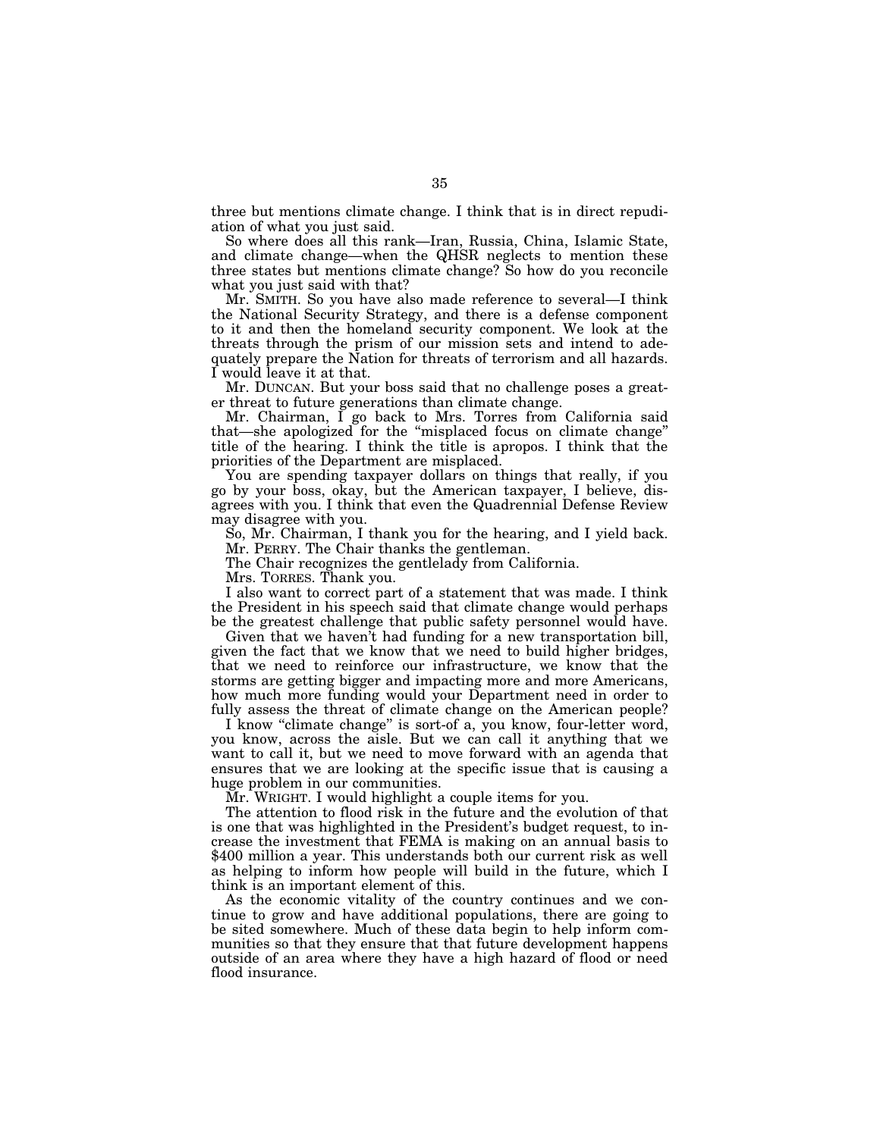three but mentions climate change. I think that is in direct repudiation of what you just said.

So where does all this rank—Iran, Russia, China, Islamic State, and climate change—when the QHSR neglects to mention these three states but mentions climate change? So how do you reconcile what you just said with that?

Mr. SMITH. So you have also made reference to several—I think the National Security Strategy, and there is a defense component to it and then the homeland security component. We look at the threats through the prism of our mission sets and intend to adequately prepare the Nation for threats of terrorism and all hazards. I would leave it at that.

Mr. DUNCAN. But your boss said that no challenge poses a greater threat to future generations than climate change.

Mr. Chairman, I go back to Mrs. Torres from California said that—she apologized for the ''misplaced focus on climate change'' title of the hearing. I think the title is apropos. I think that the priorities of the Department are misplaced.

You are spending taxpayer dollars on things that really, if you go by your boss, okay, but the American taxpayer, I believe, disagrees with you. I think that even the Quadrennial Defense Review may disagree with you.

So, Mr. Chairman, I thank you for the hearing, and I yield back. Mr. PERRY. The Chair thanks the gentleman.

The Chair recognizes the gentlelady from California.

Mrs. TORRES. Thank you.

I also want to correct part of a statement that was made. I think the President in his speech said that climate change would perhaps be the greatest challenge that public safety personnel would have.

Given that we haven't had funding for a new transportation bill, given the fact that we know that we need to build higher bridges, that we need to reinforce our infrastructure, we know that the storms are getting bigger and impacting more and more Americans, how much more funding would your Department need in order to fully assess the threat of climate change on the American people?

I know "climate change" is sort-of a, you know, four-letter word, you know, across the aisle. But we can call it anything that we want to call it, but we need to move forward with an agenda that ensures that we are looking at the specific issue that is causing a huge problem in our communities.

Mr. WRIGHT. I would highlight a couple items for you.

The attention to flood risk in the future and the evolution of that is one that was highlighted in the President's budget request, to increase the investment that FEMA is making on an annual basis to \$400 million a year. This understands both our current risk as well as helping to inform how people will build in the future, which I think is an important element of this.

As the economic vitality of the country continues and we continue to grow and have additional populations, there are going to be sited somewhere. Much of these data begin to help inform communities so that they ensure that that future development happens outside of an area where they have a high hazard of flood or need flood insurance.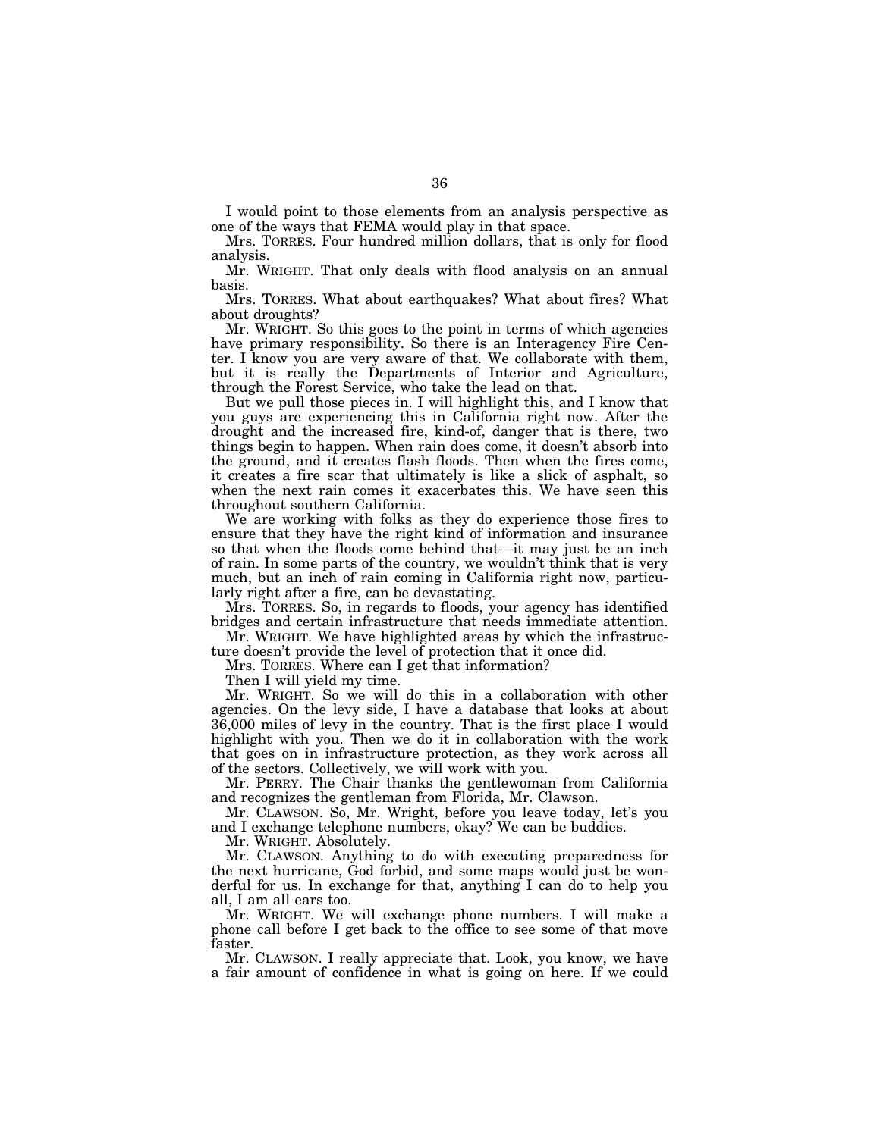I would point to those elements from an analysis perspective as one of the ways that FEMA would play in that space.

Mrs. TORRES. Four hundred million dollars, that is only for flood analysis.

Mr. WRIGHT. That only deals with flood analysis on an annual basis.

Mrs. TORRES. What about earthquakes? What about fires? What about droughts?

Mr. WRIGHT. So this goes to the point in terms of which agencies have primary responsibility. So there is an Interagency Fire Center. I know you are very aware of that. We collaborate with them, but it is really the Departments of Interior and Agriculture, through the Forest Service, who take the lead on that.

But we pull those pieces in. I will highlight this, and I know that you guys are experiencing this in California right now. After the drought and the increased fire, kind-of, danger that is there, two things begin to happen. When rain does come, it doesn't absorb into the ground, and it creates flash floods. Then when the fires come, it creates a fire scar that ultimately is like a slick of asphalt, so when the next rain comes it exacerbates this. We have seen this throughout southern California.

We are working with folks as they do experience those fires to ensure that they have the right kind of information and insurance so that when the floods come behind that—it may just be an inch of rain. In some parts of the country, we wouldn't think that is very much, but an inch of rain coming in California right now, particularly right after a fire, can be devastating.

Mrs. TORRES. So, in regards to floods, your agency has identified bridges and certain infrastructure that needs immediate attention.

Mr. WRIGHT. We have highlighted areas by which the infrastructure doesn't provide the level of protection that it once did.

Mrs. TORRES. Where can I get that information?

Then I will yield my time.

Mr. WRIGHT. So we will do this in a collaboration with other agencies. On the levy side, I have a database that looks at about 36,000 miles of levy in the country. That is the first place I would highlight with you. Then we do it in collaboration with the work that goes on in infrastructure protection, as they work across all of the sectors. Collectively, we will work with you.

Mr. PERRY. The Chair thanks the gentlewoman from California and recognizes the gentleman from Florida, Mr. Clawson.

Mr. CLAWSON. So, Mr. Wright, before you leave today, let's you and I exchange telephone numbers, okay? We can be buddies.

Mr. WRIGHT. Absolutely.

Mr. CLAWSON. Anything to do with executing preparedness for the next hurricane, God forbid, and some maps would just be wonderful for us. In exchange for that, anything I can do to help you all, I am all ears too.

Mr. WRIGHT. We will exchange phone numbers. I will make a phone call before I get back to the office to see some of that move faster.

Mr. CLAWSON. I really appreciate that. Look, you know, we have a fair amount of confidence in what is going on here. If we could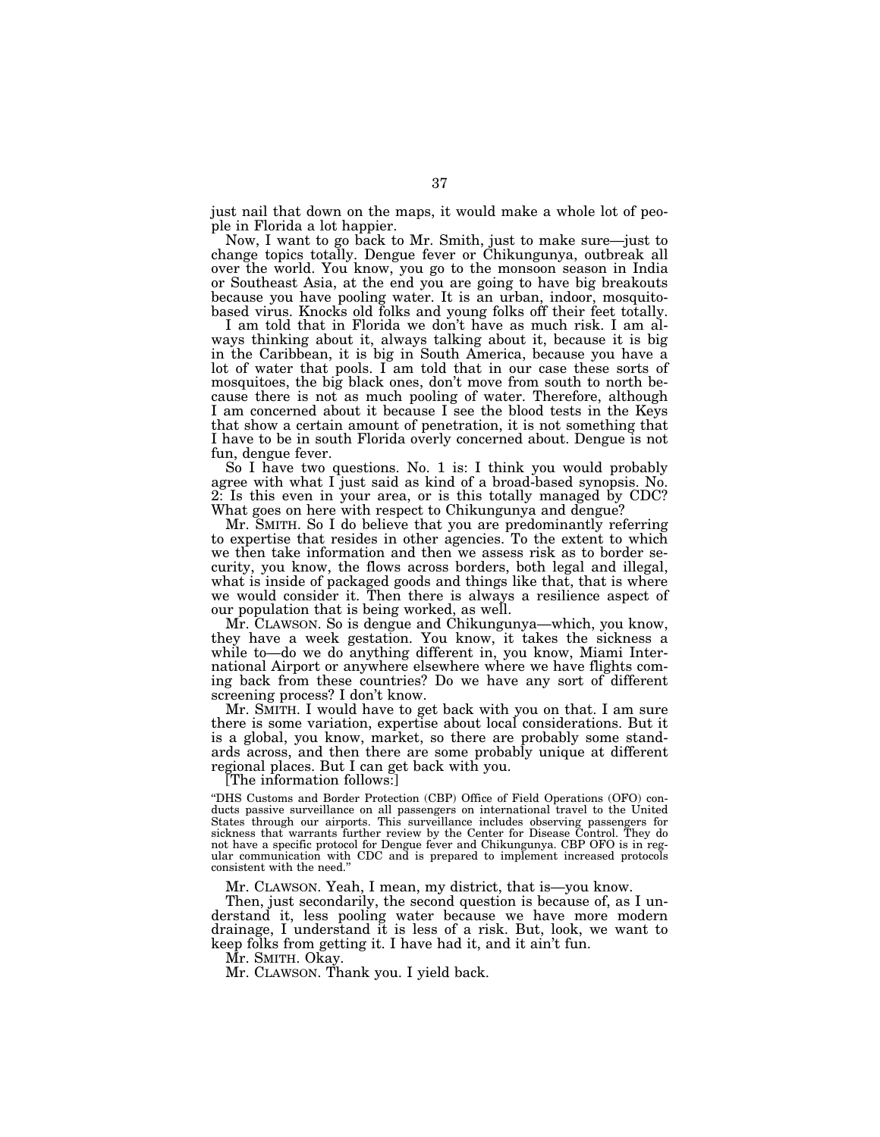just nail that down on the maps, it would make a whole lot of people in Florida a lot happier.

Now, I want to go back to Mr. Smith, just to make sure—just to change topics totally. Dengue fever or Chikungunya, outbreak all over the world. You know, you go to the monsoon season in India or Southeast Asia, at the end you are going to have big breakouts because you have pooling water. It is an urban, indoor, mosquitobased virus. Knocks old folks and young folks off their feet totally.

I am told that in Florida we don't have as much risk. I am always thinking about it, always talking about it, because it is big in the Caribbean, it is big in South America, because you have a lot of water that pools. I am told that in our case these sorts of mosquitoes, the big black ones, don't move from south to north because there is not as much pooling of water. Therefore, although I am concerned about it because I see the blood tests in the Keys that show a certain amount of penetration, it is not something that I have to be in south Florida overly concerned about. Dengue is not fun, dengue fever.

So I have two questions. No. 1 is: I think you would probably agree with what I just said as kind of a broad-based synopsis. No. 2: Is this even in your area, or is this totally managed by CDC? What goes on here with respect to Chikungunya and dengue?

Mr. SMITH. So I do believe that you are predominantly referring to expertise that resides in other agencies. To the extent to which we then take information and then we assess risk as to border security, you know, the flows across borders, both legal and illegal, what is inside of packaged goods and things like that, that is where we would consider it. Then there is always a resilience aspect of our population that is being worked, as well.

Mr. CLAWSON. So is dengue and Chikungunya—which, you know, they have a week gestation. You know, it takes the sickness a while to—do we do anything different in, you know, Miami International Airport or anywhere elsewhere where we have flights coming back from these countries? Do we have any sort of different screening process? I don't know.

Mr. SMITH. I would have to get back with you on that. I am sure there is some variation, expertise about local considerations. But it is a global, you know, market, so there are probably some standards across, and then there are some probably unique at different regional places. But I can get back with you.

[The information follows:]

''DHS Customs and Border Protection (CBP) Office of Field Operations (OFO) conducts passive surveillance on all passengers on international travel to the United States through our airports. This surveillance includes observing passengers for sickness that warrants further review by the Center for Disease Control. They do not have a specific protocol for Dengue fever and Chikungunya. CBP OFO is in regular communication with CDC and is prepared to implement increased protocols consistent with the need.''

Mr. CLAWSON. Yeah, I mean, my district, that is—you know.

Then, just secondarily, the second question is because of, as I understand it, less pooling water because we have more modern drainage, I understand it is less of a risk. But, look, we want to keep folks from getting it. I have had it, and it ain't fun.

Mr. SMITH. Okay.

Mr. CLAWSON. Thank you. I yield back.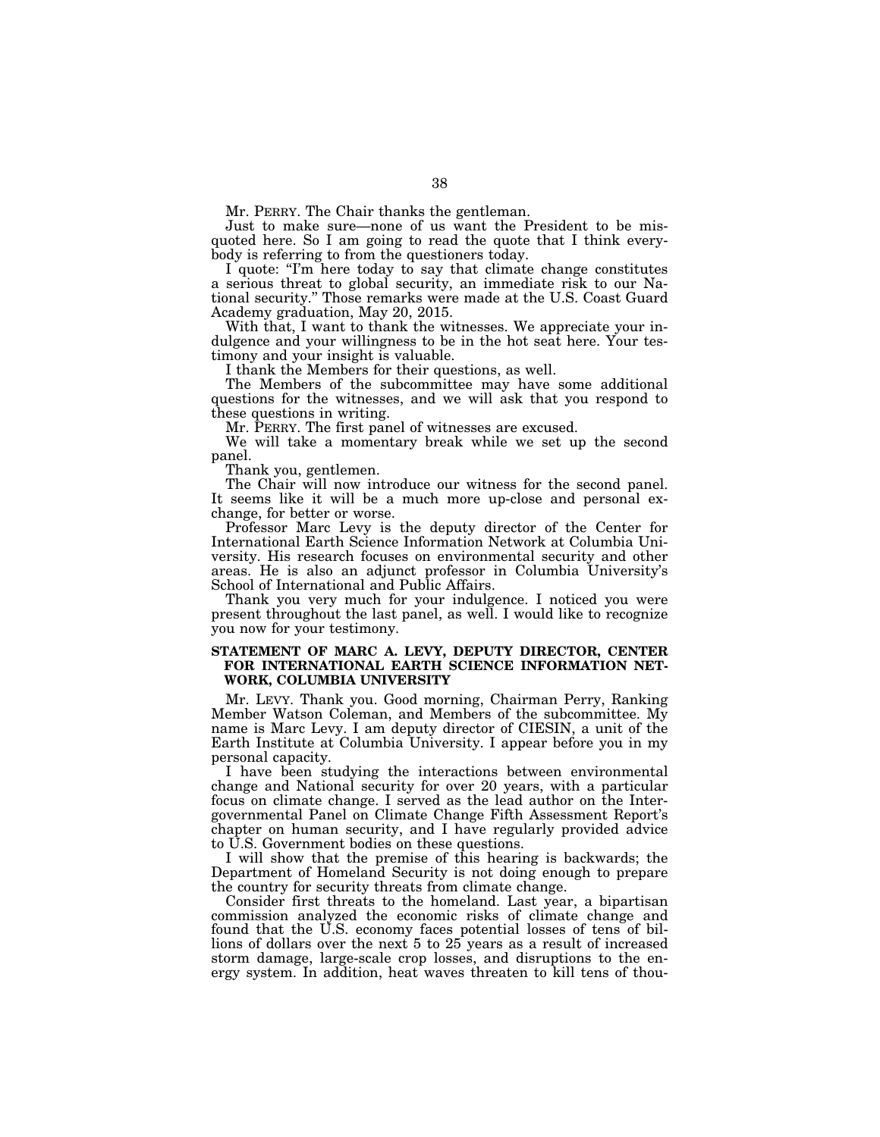Mr. PERRY. The Chair thanks the gentleman.

Just to make sure—none of us want the President to be misquoted here. So I am going to read the quote that I think everybody is referring to from the questioners today.

I quote: "I'm here today to say that climate change constitutes a serious threat to global security, an immediate risk to our National security.'' Those remarks were made at the U.S. Coast Guard Academy graduation, May 20, 2015.

With that, I want to thank the witnesses. We appreciate your indulgence and your willingness to be in the hot seat here. Your testimony and your insight is valuable.

I thank the Members for their questions, as well.

The Members of the subcommittee may have some additional questions for the witnesses, and we will ask that you respond to these questions in writing.

Mr. PERRY. The first panel of witnesses are excused.

We will take a momentary break while we set up the second panel.

Thank you, gentlemen.

The Chair will now introduce our witness for the second panel. It seems like it will be a much more up-close and personal exchange, for better or worse.

Professor Marc Levy is the deputy director of the Center for International Earth Science Information Network at Columbia University. His research focuses on environmental security and other areas. He is also an adjunct professor in Columbia University's School of International and Public Affairs.

Thank you very much for your indulgence. I noticed you were present throughout the last panel, as well. I would like to recognize you now for your testimony.

### **STATEMENT OF MARC A. LEVY, DEPUTY DIRECTOR, CENTER FOR INTERNATIONAL EARTH SCIENCE INFORMATION NET-WORK, COLUMBIA UNIVERSITY**

Mr. LEVY. Thank you. Good morning, Chairman Perry, Ranking Member Watson Coleman, and Members of the subcommittee. My name is Marc Levy. I am deputy director of CIESIN, a unit of the Earth Institute at Columbia University. I appear before you in my personal capacity.

I have been studying the interactions between environmental change and National security for over 20 years, with a particular focus on climate change. I served as the lead author on the Intergovernmental Panel on Climate Change Fifth Assessment Report's chapter on human security, and I have regularly provided advice to U.S. Government bodies on these questions.

I will show that the premise of this hearing is backwards; the Department of Homeland Security is not doing enough to prepare the country for security threats from climate change.

Consider first threats to the homeland. Last year, a bipartisan commission analyzed the economic risks of climate change and found that the U.S. economy faces potential losses of tens of billions of dollars over the next 5 to 25 years as a result of increased storm damage, large-scale crop losses, and disruptions to the energy system. In addition, heat waves threaten to kill tens of thou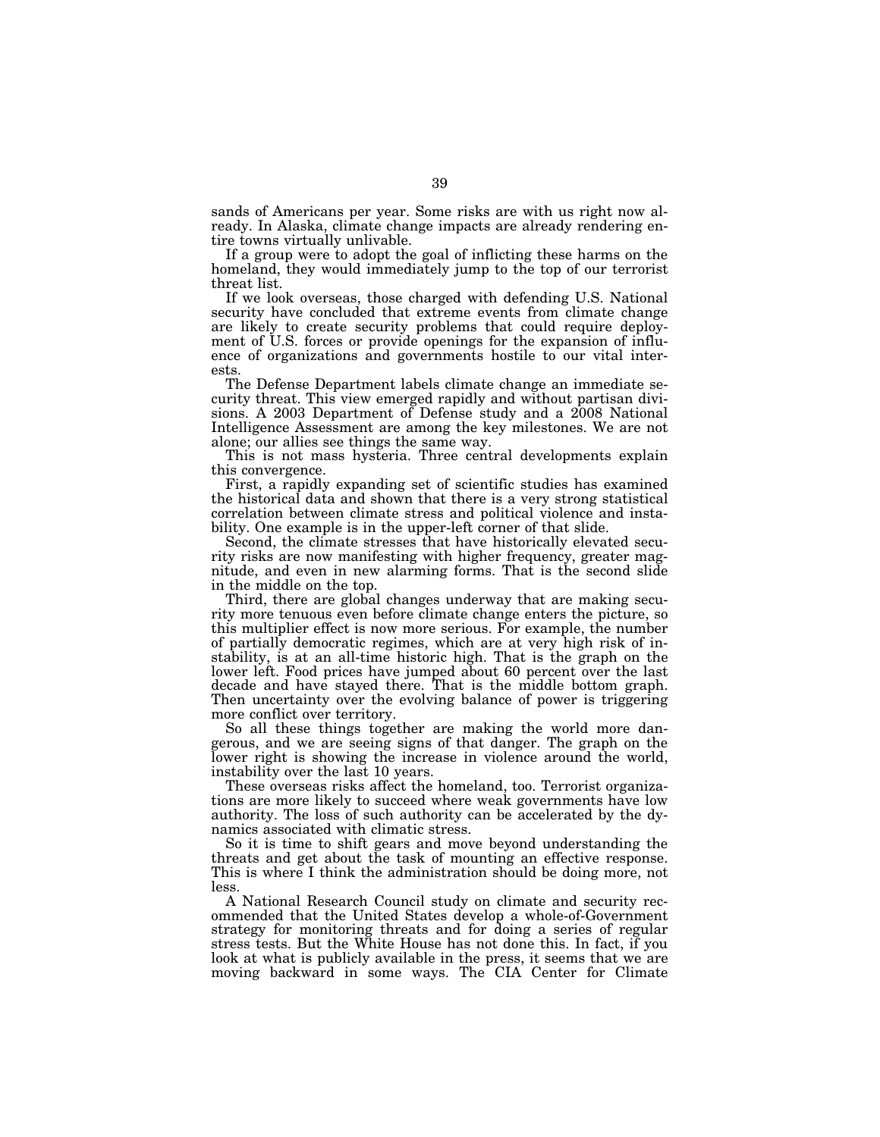sands of Americans per year. Some risks are with us right now already. In Alaska, climate change impacts are already rendering entire towns virtually unlivable.

If a group were to adopt the goal of inflicting these harms on the homeland, they would immediately jump to the top of our terrorist threat list.

If we look overseas, those charged with defending U.S. National security have concluded that extreme events from climate change are likely to create security problems that could require deployment of U.S. forces or provide openings for the expansion of influence of organizations and governments hostile to our vital interests.

The Defense Department labels climate change an immediate security threat. This view emerged rapidly and without partisan divisions. A 2003 Department of Defense study and a 2008 National Intelligence Assessment are among the key milestones. We are not alone; our allies see things the same way.

This is not mass hysteria. Three central developments explain this convergence.

First, a rapidly expanding set of scientific studies has examined the historical data and shown that there is a very strong statistical correlation between climate stress and political violence and instability. One example is in the upper-left corner of that slide.

Second, the climate stresses that have historically elevated security risks are now manifesting with higher frequency, greater magnitude, and even in new alarming forms. That is the second slide in the middle on the top.

Third, there are global changes underway that are making security more tenuous even before climate change enters the picture, so this multiplier effect is now more serious. For example, the number of partially democratic regimes, which are at very high risk of instability, is at an all-time historic high. That is the graph on the lower left. Food prices have jumped about 60 percent over the last decade and have stayed there. That is the middle bottom graph. Then uncertainty over the evolving balance of power is triggering more conflict over territory.

So all these things together are making the world more dangerous, and we are seeing signs of that danger. The graph on the lower right is showing the increase in violence around the world, instability over the last 10 years.

These overseas risks affect the homeland, too. Terrorist organizations are more likely to succeed where weak governments have low authority. The loss of such authority can be accelerated by the dynamics associated with climatic stress.

So it is time to shift gears and move beyond understanding the threats and get about the task of mounting an effective response. This is where I think the administration should be doing more, not less.

A National Research Council study on climate and security recommended that the United States develop a whole-of-Government strategy for monitoring threats and for doing a series of regular stress tests. But the White House has not done this. In fact, if you look at what is publicly available in the press, it seems that we are moving backward in some ways. The CIA Center for Climate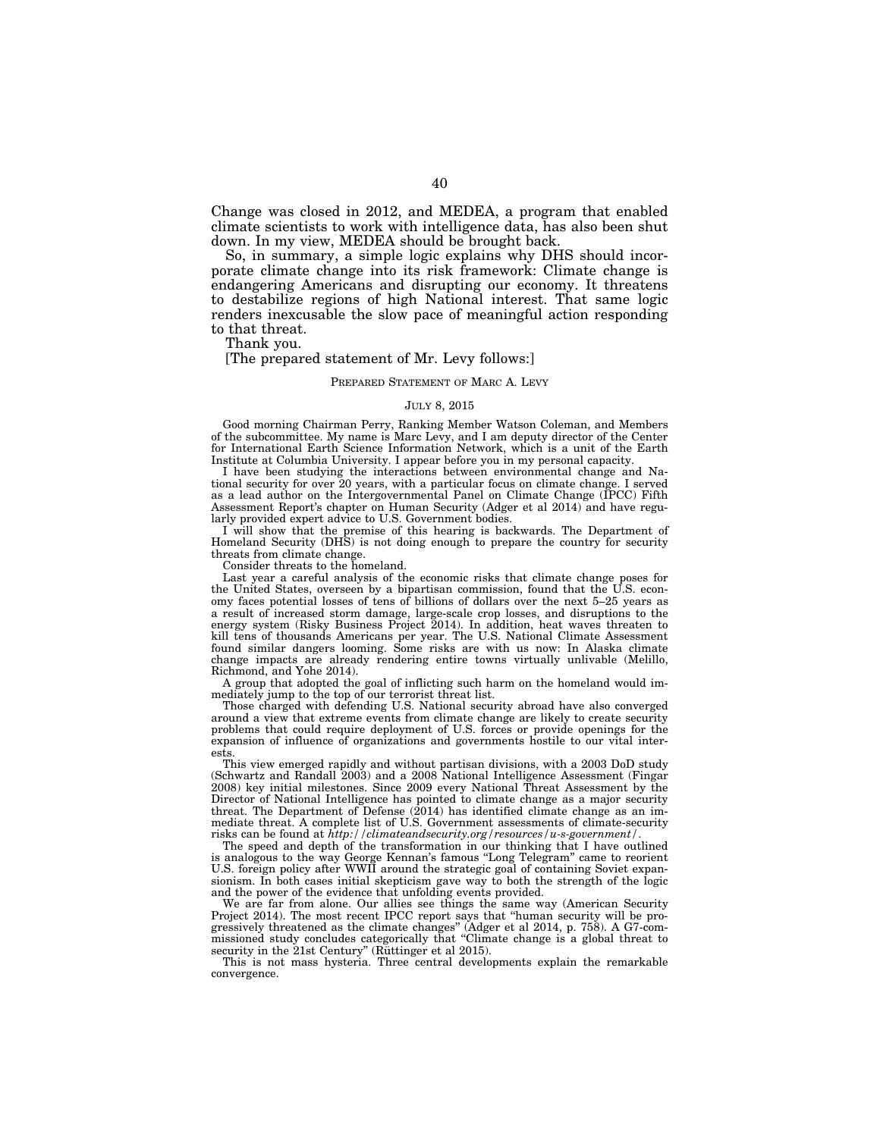Change was closed in 2012, and MEDEA, a program that enabled climate scientists to work with intelligence data, has also been shut down. In my view, MEDEA should be brought back.

So, in summary, a simple logic explains why DHS should incorporate climate change into its risk framework: Climate change is endangering Americans and disrupting our economy. It threatens to destabilize regions of high National interest. That same logic renders inexcusable the slow pace of meaningful action responding to that threat.

Thank you.

### [The prepared statement of Mr. Levy follows:]

#### PREPARED STATEMENT OF MARC A. LEVY

#### JULY 8, 2015

Good morning Chairman Perry, Ranking Member Watson Coleman, and Members of the subcommittee. My name is Marc Levy, and I am deputy director of the Center for International Earth Science Information Network, which is a unit of the Earth Institute at Columbia University. I appear before you in my personal capacity.

I have been studying the interactions between environmental change and National security for over 20 years, with a particular focus on climate change. I served as a lead author on the Intergovernmental Panel on Climate Change (IPCC) Fifth Assessment Report's chapter on Human Security (Adger et al 2014) and have regularly provided expert advice to U.S. Government bodies.

I will show that the premise of this hearing is backwards. The Department of Homeland Security (DHS) is not doing enough to prepare the country for security threats from climate change.

Consider threats to the homeland.

Last year a careful analysis of the economic risks that climate change poses for the United States, overseen by a bipartisan commission, found that the U.S. economy faces potential losses of tens of billions of dollars over the next 5–25 years as a result of increased storm damage, large-scale crop losses, and disruptions to the energy system (Risky Business Project 2014). In addition, heat waves threaten to kill tens of thousands Americans per year. The U.S. National Climate Assessment found similar dangers looming. Some risks are with us now: In Alaska climate change impacts are already rendering entire towns virtually unlivable (Melillo, Richmond, and Yohe 2014).

A group that adopted the goal of inflicting such harm on the homeland would immediately jump to the top of our terrorist threat list.

Those charged with defending U.S. National security abroad have also converged around a view that extreme events from climate change are likely to create security problems that could require deployment of U.S. forces or provide openings for the expansion of influence of organizations and governments hostile to our vital interests.

This view emerged rapidly and without partisan divisions, with a 2003 DoD study (Schwartz and Randall 2003) and a 2008 National Intelligence Assessment (Fingar 2008) key initial milestones. Since 2009 every National Threat Assessment by the Director of National Intelligence has pointed to climate change as a major security threat. The Department of Defense  $(2014)$  has identified climate change as an immediate threat. A complete list of U.S. Government assessments of climate-security risks can be found at *http://climateandsecurity.org/resources/u-s-government/*.

The speed and depth of the transformation in our thinking that I have outlined is analogous to the way George Kennan's famous ''Long Telegram'' came to reorient U.S. foreign policy after WWII around the strategic goal of containing Soviet expansionism. In both cases initial skepticism gave way to both the strength of the logic and the power of the evidence that unfolding events provided.

We are far from alone. Our allies see things the same way (American Security Project 2014). The most recent IPCC report says that ''human security will be progressively threatened as the climate changes'' (Adger et al 2014, p. 758). A G7-commissioned study concludes categorically that "Climate change is a global threat to security in the 21st Century" (Rüttinger et al 2015).

This is not mass hysteria. Three central developments explain the remarkable convergence.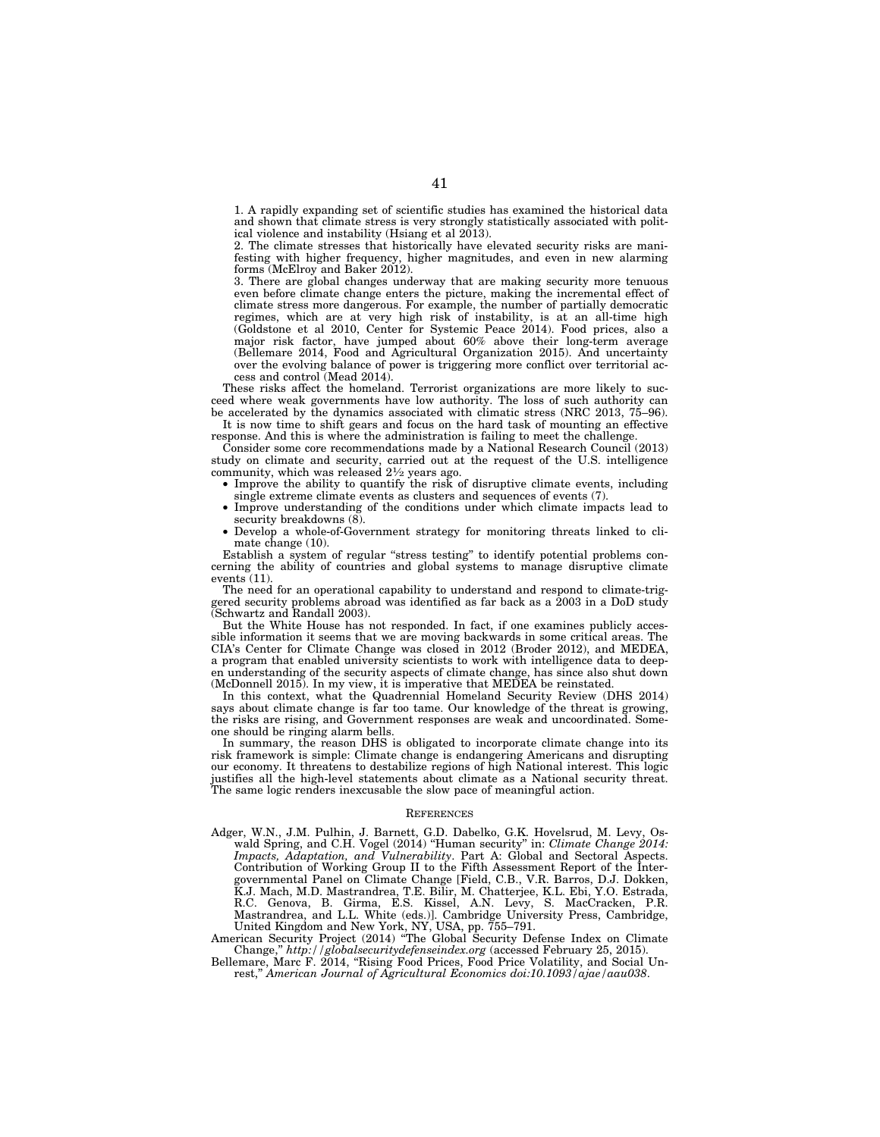1. A rapidly expanding set of scientific studies has examined the historical data and shown that climate stress is very strongly statistically associated with political violence and instability (Hsiang et al 2013).

2. The climate stresses that historically have elevated security risks are manifesting with higher frequency, higher magnitudes, and even in new alarming forms (McElroy and Baker 2012).

3. There are global changes underway that are making security more tenuous even before climate change enters the picture, making the incremental effect of climate stress more dangerous. For example, the number of partially democratic regimes, which are at very high risk of instability, is at an all-time high (Goldstone et al 2010, Center for Systemic Peace 2014). Food prices, also a major risk factor, have jumped about 60% above their long-term average (Bellemare 2014, Food and Agricultural Organization 2015). And uncertainty over the evolving balance of power is triggering more conflict over territorial access and control (Mead 2014).

These risks affect the homeland. Terrorist organizations are more likely to succeed where weak governments have low authority. The loss of such authority can be accelerated by the dynamics associated with climatic stress (NRC 2013, 75–96).

It is now time to shift gears and focus on the hard task of mounting an effective response. And this is where the administration is failing to meet the challenge.

Consider some core recommendations made by a National Research Council (2013) study on climate and security, carried out at the request of the U.S. intelligence community, which was released 21⁄2 years ago.

• Improve the ability to quantify the risk of disruptive climate events, including single extreme climate events as clusters and sequences of events (7).

- Improve understanding of the conditions under which climate impacts lead to security breakdowns  $(8)$ .
- Develop a whole-of-Government strategy for monitoring threats linked to climate change (10).

Establish a system of regular ''stress testing'' to identify potential problems concerning the ability of countries and global systems to manage disruptive climate events (11).

The need for an operational capability to understand and respond to climate-triggered security problems abroad was identified as far back as a 2003 in a DoD study (Schwartz and Randall 2003).

But the White House has not responded. In fact, if one examines publicly accessible information it seems that we are moving backwards in some critical areas. The CIA's Center for Climate Change was closed in 2012 (Broder 2012), and MEDEA, a program that enabled university scientists to work with intelligence data to deepen understanding of the security aspects of climate change, has since also shut down (McDonnell 2015). In my view, it is imperative that MEDEA be reinstated.

In this context, what the Quadrennial Homeland Security Review (DHS 2014) says about climate change is far too tame. Our knowledge of the threat is growing, the risks are rising, and Government responses are weak and uncoordinated. Someone should be ringing alarm bells.

In summary, the reason DHS is obligated to incorporate climate change into its risk framework is simple: Climate change is endangering Americans and disrupting our economy. It threatens to destabilize regions of high National interest. This logic justifies all the high-level statements about climate as a National security threat. The same logic renders inexcusable the slow pace of meaningful action.

#### **REFERENCES**

Adger, W.N., J.M. Pulhin, J. Barnett, G.D. Dabelko, G.K. Hovelsrud, M. Levy, Oswald Spring, and C.H. Vogel (2014) ''Human security'' in: *Climate Change 2014: Impacts, Adaptation, and Vulnerability*. Part A: Global and Sectoral Aspects. Contribution of Working Group II to the Fifth Assessment Report of the Intergovernmental Panel on Climate Change [Field, C.B., V.R. Barros, D.J. Dokken, K.J. Mach, M.D. Mastrandrea, T.E. Bilir, M. Chatterjee, K.L. Ebi, Y.O. Estrada, R.C. Genova, B. Girma, E.S. Kissel, A.N. Levy, S. MacCracken, P.R. Mastrandrea, and L.L. White (eds.)]. Cambridge University Press, Cambridge, United Kingdom and New York, NY, USA, pp. 755–791.

American Security Project (2014) ''The Global Security Defense Index on Climate Change,'' *http://globalsecuritydefenseindex.org* (accessed February 25, 2015).

Bellemare, Marc F. 2014, ''Rising Food Prices, Food Price Volatility, and Social Unrest,'' *American Journal of Agricultural Economics doi:10.1093/ajae/aau038*.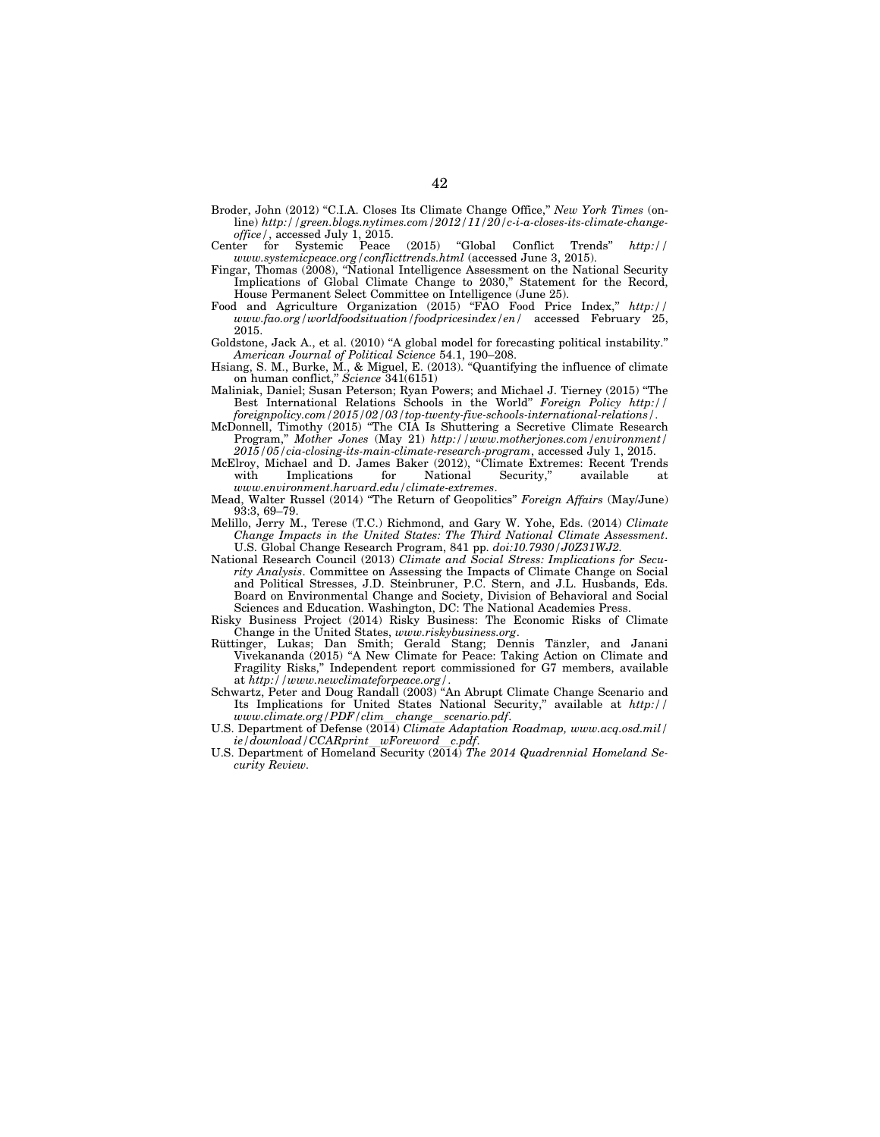- Broder, John (2012) ''C.I.A. Closes Its Climate Change Office,'' *New York Times* (online) *http://green.blogs.nytimes.com/2012/11/20/c-i-a-closes-its-climate-changeoffice/*, accessed July 1, 2015.
- Center for Systemic Peace (2015) ''Global Conflict Trends'' *http:// www.systemicpeace.org/conflicttrends.html* (accessed June 3, 2015).
- Fingar, Thomas (2008), "National Intelligence Assessment on the National Security Implications of Global Climate Change to 2030,'' Statement for the Record, House Permanent Select Committee on Intelligence (June 25).
- Food and Agriculture Organization (2015) ''FAO Food Price Index,'' *http:// www.fao.org/worldfoodsituation/foodpricesindex/en/* accessed February 25, 2015.
- Goldstone, Jack A., et al. (2010) ''A global model for forecasting political instability.'' *American Journal of Political Science* 54.1, 190–208.
- Hsiang, S. M., Burke, M., & Miguel, E. (2013). ''Quantifying the influence of climate on human conflict,'' *Science* 341(6151)
- Maliniak, Daniel; Susan Peterson; Ryan Powers; and Michael J. Tierney (2015) ''The Best International Relations Schools in the World'' *Foreign Policy http:// foreignpolicy.com/2015/02/03/top-twenty-five-schools-international-relations/*.
- McDonnell, Timothy (2015) ''The CIA Is Shuttering a Secretive Climate Research Program,'' *Mother Jones* (May 21) *http://www.motherjones.com/environment/ 2015/05/cia-closing-its-main-climate-research-program*, accessed July 1, 2015.
- McElroy, Michael and D. James Baker (2012), ''Climate Extremes: Recent Trends with Implications for National Security," available at *www.environment.harvard.edu/climate-extremes*.
- Mead, Walter Russel (2014) ''The Return of Geopolitics'' *Foreign Affairs* (May/June) 93:3, 69–79.
- Melillo, Jerry M., Terese (T.C.) Richmond, and Gary W. Yohe, Eds. (2014) *Climate Change Impacts in the United States: The Third National Climate Assessment*. U.S. Global Change Research Program, 841 pp. *doi:10.7930/J0Z31WJ2.*
- National Research Council (2013) *Climate and Social Stress: Implications for Security Analysis*. Committee on Assessing the Impacts of Climate Change on Social and Political Stresses, J.D. Steinbruner, P.C. Stern, and J.L. Husbands, Eds. Board on Environmental Change and Society, Division of Behavioral and Social Sciences and Education. Washington, DC: The National Academies Press.
- Risky Business Project (2014) Risky Business: The Economic Risks of Climate
- Change in the United States, *www.riskybusiness.org*.<br>Rüttinger, Lukas; Dan Smith; Gerald Stang; Dennis Tänzler, and Janani Vivekananda (2015) ''A New Climate for Peace: Taking Action on Climate and Fragility Risks,'' Independent report commissioned for G7 members, available at *http://www.newclimateforpeace.org/*.
- Schwartz, Peter and Doug Randall (2003) ''An Abrupt Climate Change Scenario and Its Implications for United States National Security,'' available at *http://*
- *www.climate.org/PDF/clim*l*change*l*scenario.pdf*. U.S. Department of Defense (2014) *Climate Adaptation Roadmap, www.acq.osd.mil/ ie/download/CCARprint*l*wForeword*l*c.pdf*.
- U.S. Department of Homeland Security (2014) *The 2014 Quadrennial Homeland Security Review.*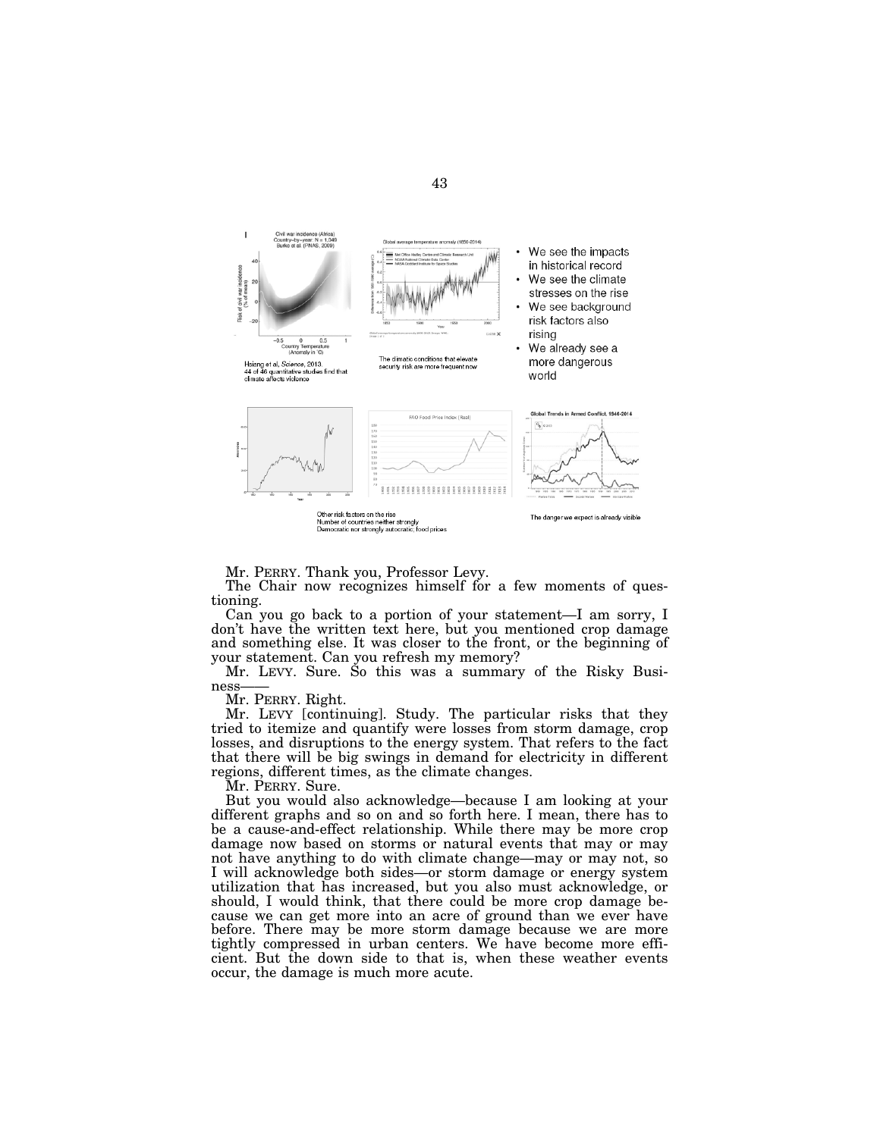

Mr. PERRY. Thank you, Professor Levy.

The Chair now recognizes himself for a few moments of questioning.

Can you go back to a portion of your statement—I am sorry, I don't have the written text here, but you mentioned crop damage and something else. It was closer to the front, or the beginning of your statement. Can you refresh my memory?

Mr. LEVY. Sure. So this was a summary of the Risky Business——

Mr. PERRY. Right.

Mr. LEVY [continuing]. Study. The particular risks that they tried to itemize and quantify were losses from storm damage, crop losses, and disruptions to the energy system. That refers to the fact that there will be big swings in demand for electricity in different regions, different times, as the climate changes.

Mr. PERRY. Sure.

But you would also acknowledge—because I am looking at your different graphs and so on and so forth here. I mean, there has to be a cause-and-effect relationship. While there may be more crop damage now based on storms or natural events that may or may not have anything to do with climate change—may or may not, so I will acknowledge both sides—or storm damage or energy system utilization that has increased, but you also must acknowledge, or should, I would think, that there could be more crop damage because we can get more into an acre of ground than we ever have before. There may be more storm damage because we are more tightly compressed in urban centers. We have become more efficient. But the down side to that is, when these weather events occur, the damage is much more acute.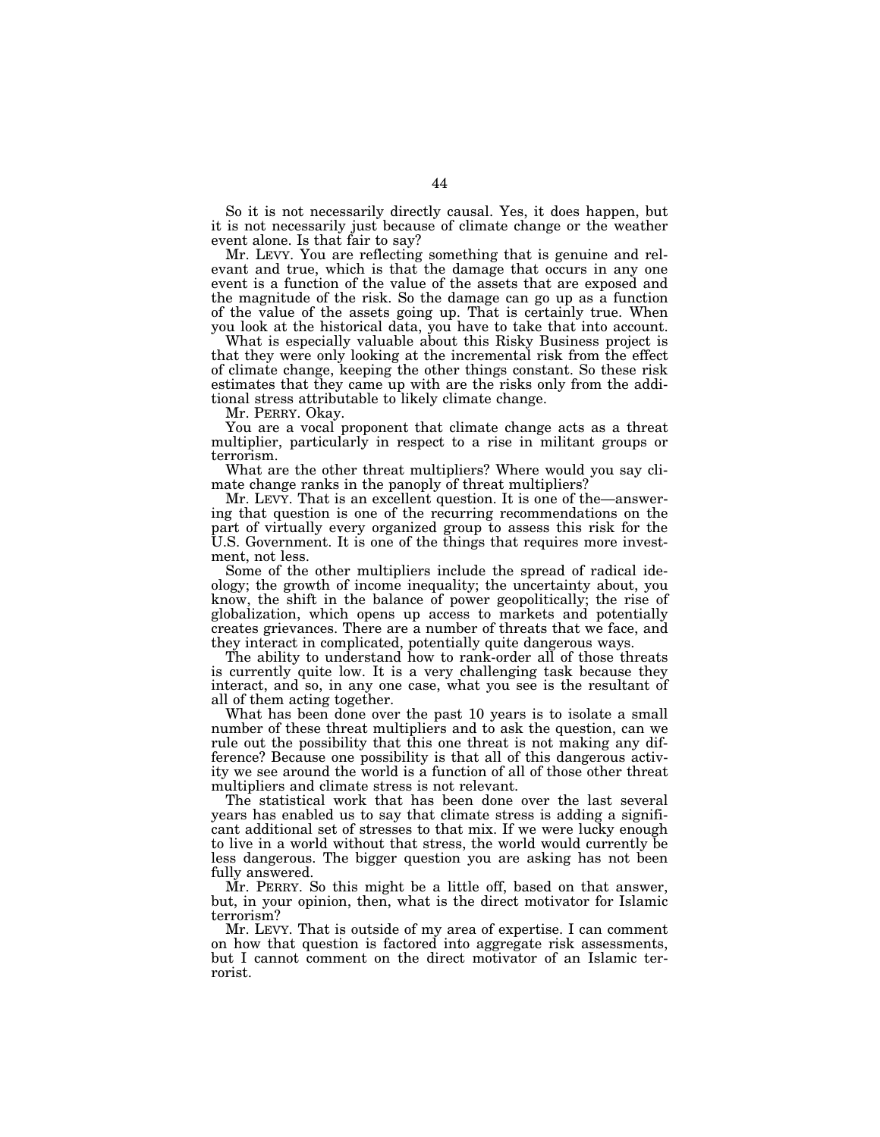So it is not necessarily directly causal. Yes, it does happen, but it is not necessarily just because of climate change or the weather event alone. Is that fair to say?

Mr. LEVY. You are reflecting something that is genuine and relevant and true, which is that the damage that occurs in any one event is a function of the value of the assets that are exposed and the magnitude of the risk. So the damage can go up as a function of the value of the assets going up. That is certainly true. When you look at the historical data, you have to take that into account.

What is especially valuable about this Risky Business project is that they were only looking at the incremental risk from the effect of climate change, keeping the other things constant. So these risk estimates that they came up with are the risks only from the additional stress attributable to likely climate change.

Mr. PERRY. Okay.

You are a vocal proponent that climate change acts as a threat multiplier, particularly in respect to a rise in militant groups or terrorism.

What are the other threat multipliers? Where would you say climate change ranks in the panoply of threat multipliers?

Mr. LEVY. That is an excellent question. It is one of the—answering that question is one of the recurring recommendations on the part of virtually every organized group to assess this risk for the U.S. Government. It is one of the things that requires more investment, not less.

Some of the other multipliers include the spread of radical ideology; the growth of income inequality; the uncertainty about, you know, the shift in the balance of power geopolitically; the rise of globalization, which opens up access to markets and potentially creates grievances. There are a number of threats that we face, and they interact in complicated, potentially quite dangerous ways.

The ability to understand how to rank-order all of those threats is currently quite low. It is a very challenging task because they interact, and so, in any one case, what you see is the resultant of all of them acting together.

What has been done over the past 10 years is to isolate a small number of these threat multipliers and to ask the question, can we rule out the possibility that this one threat is not making any difference? Because one possibility is that all of this dangerous activity we see around the world is a function of all of those other threat multipliers and climate stress is not relevant.

The statistical work that has been done over the last several years has enabled us to say that climate stress is adding a significant additional set of stresses to that mix. If we were lucky enough to live in a world without that stress, the world would currently be less dangerous. The bigger question you are asking has not been fully answered.

Mr. PERRY. So this might be a little off, based on that answer, but, in your opinion, then, what is the direct motivator for Islamic terrorism?

Mr. LEVY. That is outside of my area of expertise. I can comment on how that question is factored into aggregate risk assessments, but I cannot comment on the direct motivator of an Islamic terrorist.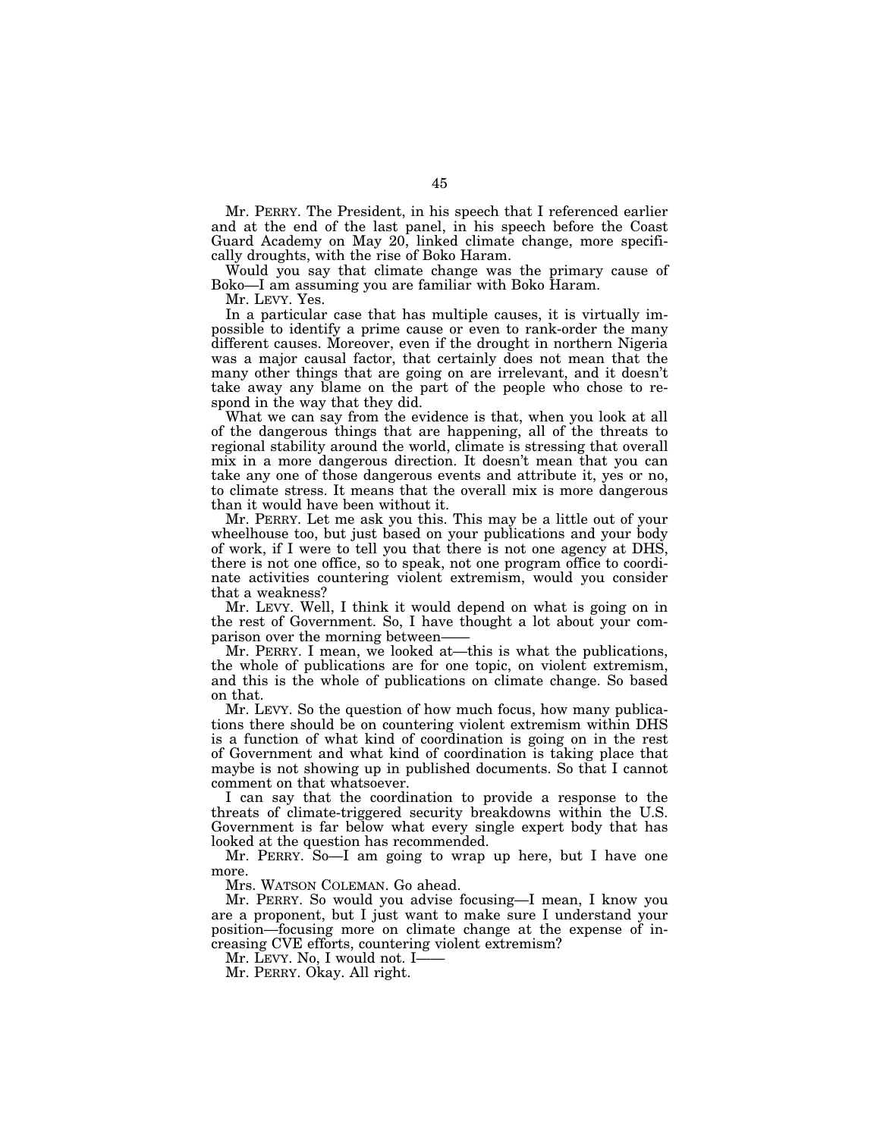Mr. PERRY. The President, in his speech that I referenced earlier and at the end of the last panel, in his speech before the Coast Guard Academy on May 20, linked climate change, more specifically droughts, with the rise of Boko Haram.

Would you say that climate change was the primary cause of Boko—I am assuming you are familiar with Boko Haram.

Mr. LEVY. Yes.

In a particular case that has multiple causes, it is virtually impossible to identify a prime cause or even to rank-order the many different causes. Moreover, even if the drought in northern Nigeria was a major causal factor, that certainly does not mean that the many other things that are going on are irrelevant, and it doesn't take away any blame on the part of the people who chose to respond in the way that they did.

What we can say from the evidence is that, when you look at all of the dangerous things that are happening, all of the threats to regional stability around the world, climate is stressing that overall mix in a more dangerous direction. It doesn't mean that you can take any one of those dangerous events and attribute it, yes or no, to climate stress. It means that the overall mix is more dangerous than it would have been without it.

Mr. PERRY. Let me ask you this. This may be a little out of your wheelhouse too, but just based on your publications and your body of work, if I were to tell you that there is not one agency at DHS, there is not one office, so to speak, not one program office to coordinate activities countering violent extremism, would you consider that a weakness?

Mr. LEVY. Well, I think it would depend on what is going on in the rest of Government. So, I have thought a lot about your comparison over the morning between-

Mr. PERRY. I mean, we looked at—this is what the publications, the whole of publications are for one topic, on violent extremism, and this is the whole of publications on climate change. So based on that.

Mr. LEVY. So the question of how much focus, how many publications there should be on countering violent extremism within DHS is a function of what kind of coordination is going on in the rest of Government and what kind of coordination is taking place that maybe is not showing up in published documents. So that I cannot comment on that whatsoever.

I can say that the coordination to provide a response to the threats of climate-triggered security breakdowns within the U.S. Government is far below what every single expert body that has looked at the question has recommended.

Mr. PERRY. So—I am going to wrap up here, but I have one more.

Mrs. WATSON COLEMAN. Go ahead.

Mr. PERRY. So would you advise focusing—I mean, I know you are a proponent, but I just want to make sure I understand your position—focusing more on climate change at the expense of increasing CVE efforts, countering violent extremism?

Mr. LEVY. No, I would not. I-

Mr. PERRY. Okay. All right.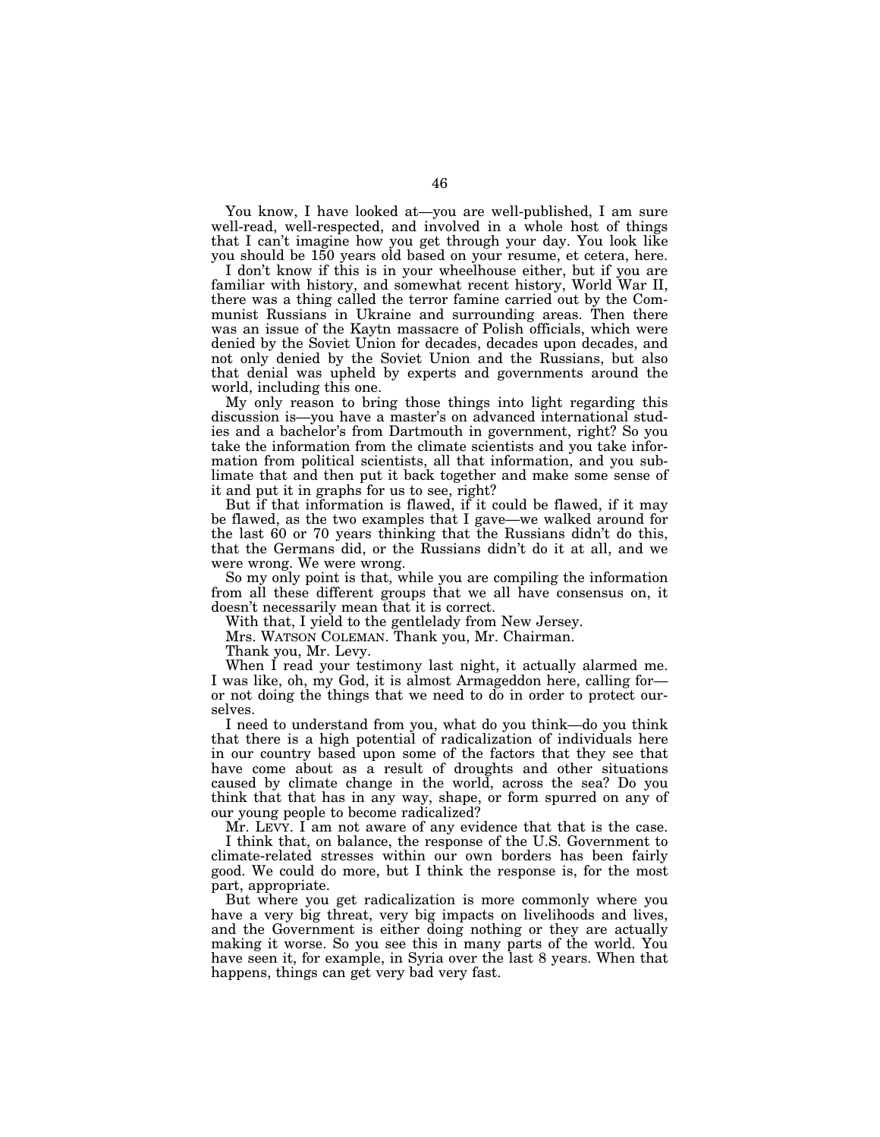You know, I have looked at—you are well-published, I am sure well-read, well-respected, and involved in a whole host of things that I can't imagine how you get through your day. You look like you should be 150 years old based on your resume, et cetera, here.

I don't know if this is in your wheelhouse either, but if you are familiar with history, and somewhat recent history, World War II, there was a thing called the terror famine carried out by the Communist Russians in Ukraine and surrounding areas. Then there was an issue of the Kaytn massacre of Polish officials, which were denied by the Soviet Union for decades, decades upon decades, and not only denied by the Soviet Union and the Russians, but also that denial was upheld by experts and governments around the world, including this one.

My only reason to bring those things into light regarding this discussion is—you have a master's on advanced international studies and a bachelor's from Dartmouth in government, right? So you take the information from the climate scientists and you take information from political scientists, all that information, and you sublimate that and then put it back together and make some sense of it and put it in graphs for us to see, right?

But if that information is flawed, if it could be flawed, if it may be flawed, as the two examples that I gave—we walked around for the last 60 or 70 years thinking that the Russians didn't do this, that the Germans did, or the Russians didn't do it at all, and we were wrong. We were wrong.

So my only point is that, while you are compiling the information from all these different groups that we all have consensus on, it doesn't necessarily mean that it is correct.

With that, I yield to the gentlelady from New Jersey.

Mrs. WATSON COLEMAN. Thank you, Mr. Chairman.

Thank you, Mr. Levy.

When I read your testimony last night, it actually alarmed me. I was like, oh, my God, it is almost Armageddon here, calling for or not doing the things that we need to do in order to protect ourselves.

I need to understand from you, what do you think—do you think that there is a high potential of radicalization of individuals here in our country based upon some of the factors that they see that have come about as a result of droughts and other situations caused by climate change in the world, across the sea? Do you think that that has in any way, shape, or form spurred on any of our young people to become radicalized?

Mr. LEVY. I am not aware of any evidence that that is the case. I think that, on balance, the response of the U.S. Government to climate-related stresses within our own borders has been fairly good. We could do more, but I think the response is, for the most part, appropriate.

But where you get radicalization is more commonly where you have a very big threat, very big impacts on livelihoods and lives, and the Government is either doing nothing or they are actually making it worse. So you see this in many parts of the world. You have seen it, for example, in Syria over the last 8 years. When that happens, things can get very bad very fast.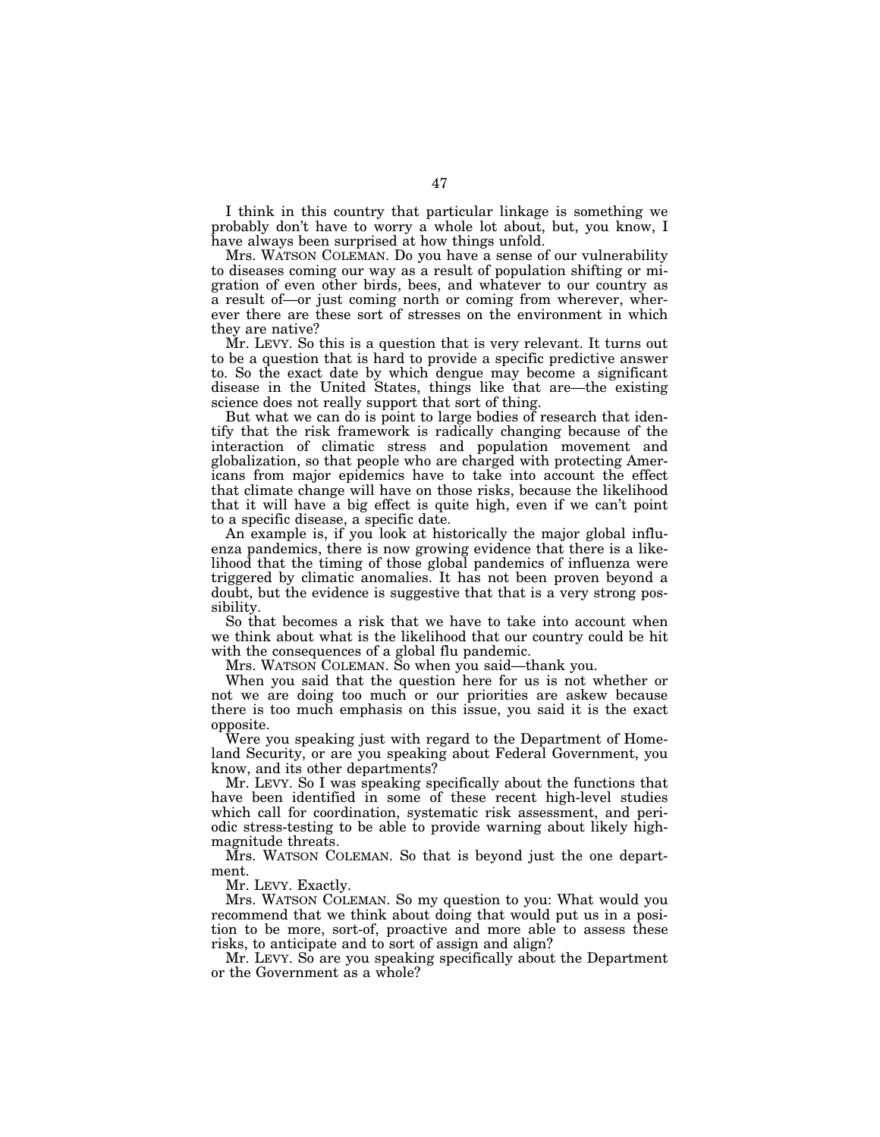I think in this country that particular linkage is something we probably don't have to worry a whole lot about, but, you know, I have always been surprised at how things unfold.

Mrs. WATSON COLEMAN. Do you have a sense of our vulnerability to diseases coming our way as a result of population shifting or migration of even other birds, bees, and whatever to our country as a result of—or just coming north or coming from wherever, wherever there are these sort of stresses on the environment in which they are native?

Mr. LEVY. So this is a question that is very relevant. It turns out to be a question that is hard to provide a specific predictive answer to. So the exact date by which dengue may become a significant disease in the United States, things like that are—the existing science does not really support that sort of thing.

But what we can do is point to large bodies of research that identify that the risk framework is radically changing because of the interaction of climatic stress and population movement and globalization, so that people who are charged with protecting Americans from major epidemics have to take into account the effect that climate change will have on those risks, because the likelihood that it will have a big effect is quite high, even if we can't point to a specific disease, a specific date.

An example is, if you look at historically the major global influenza pandemics, there is now growing evidence that there is a likelihood that the timing of those global pandemics of influenza were triggered by climatic anomalies. It has not been proven beyond a doubt, but the evidence is suggestive that that is a very strong possibility.

So that becomes a risk that we have to take into account when we think about what is the likelihood that our country could be hit with the consequences of a global flu pandemic.

Mrs. WATSON COLEMAN. So when you said—thank you.

When you said that the question here for us is not whether or not we are doing too much or our priorities are askew because there is too much emphasis on this issue, you said it is the exact opposite.

Were you speaking just with regard to the Department of Homeland Security, or are you speaking about Federal Government, you know, and its other departments?

Mr. LEVY. So I was speaking specifically about the functions that have been identified in some of these recent high-level studies which call for coordination, systematic risk assessment, and periodic stress-testing to be able to provide warning about likely highmagnitude threats.

Mrs. WATSON COLEMAN. So that is beyond just the one department.

Mr. LEVY. Exactly.

Mrs. WATSON COLEMAN. So my question to you: What would you recommend that we think about doing that would put us in a position to be more, sort-of, proactive and more able to assess these risks, to anticipate and to sort of assign and align?

Mr. LEVY. So are you speaking specifically about the Department or the Government as a whole?